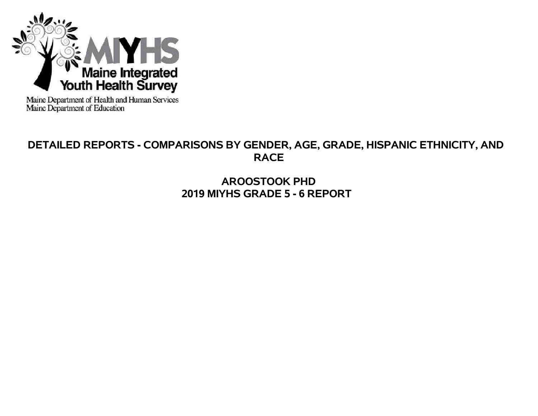

Maine Department of Health and Human Services<br>Maine Department of Education

# **DETAILED REPORTS - COMPARISONS BY GENDER, AGE, GRADE, HISPANIC ETHNICITY, AND RACE**

**AROOSTOOK PHD 2019 MIYHS GRADE 5 - 6 REPORT**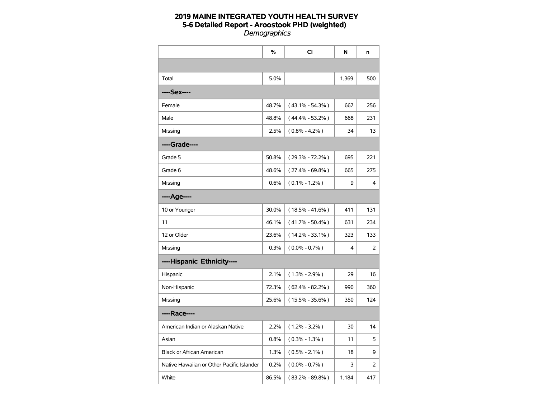|                                           | %     | CI                  | N     | n   |
|-------------------------------------------|-------|---------------------|-------|-----|
|                                           |       |                     |       |     |
| Total                                     | 5.0%  |                     | 1,369 | 500 |
| ----Sex----                               |       |                     |       |     |
| Female                                    | 48.7% | $(43.1\% - 54.3\%)$ | 667   | 256 |
| Male                                      | 48.8% | $(44.4\% - 53.2\%)$ | 668   | 231 |
| Missing                                   | 2.5%  | $(0.8\% - 4.2\%)$   | 34    | 13  |
| ----Grade----                             |       |                     |       |     |
| Grade 5                                   | 50.8% | $(29.3\% - 72.2\%)$ | 695   | 221 |
| Grade 6                                   | 48.6% | $(27.4\% - 69.8\%)$ | 665   | 275 |
| Missing                                   | 0.6%  | $(0.1\% - 1.2\%)$   | 9     | 4   |
| ----Age----                               |       |                     |       |     |
| 10 or Younger                             | 30.0% | $(18.5\% - 41.6\%)$ | 411   | 131 |
| 11                                        | 46.1% | $(41.7\% - 50.4\%)$ | 631   | 234 |
| 12 or Older                               | 23.6% | $(14.2\% - 33.1\%)$ | 323   | 133 |
| Missing                                   | 0.3%  | $(0.0\% - 0.7\%)$   | 4     | 2   |
| ----Hispanic Ethnicity----                |       |                     |       |     |
| Hispanic                                  | 2.1%  | $(1.3\% - 2.9\%)$   | 29    | 16  |
| Non-Hispanic                              | 72.3% | $(62.4\% - 82.2\%)$ | 990   | 360 |
| Missing                                   | 25.6% | $(15.5\% - 35.6\%)$ | 350   | 124 |
| ----Race----                              |       |                     |       |     |
| American Indian or Alaskan Native         | 2.2%  | $(1.2\% - 3.2\%)$   | 30    | 14  |
| Asian                                     | 0.8%  | $(0.3\% - 1.3\%)$   | 11    | 5   |
| <b>Black or African American</b>          | 1.3%  | $(0.5\% - 2.1\%)$   | 18    | 9   |
| Native Hawaiian or Other Pacific Islander | 0.2%  | $(0.0\% - 0.7\%)$   | 3     | 2   |
| White                                     | 86.5% | $(83.2\% - 89.8\%)$ | 1,184 | 417 |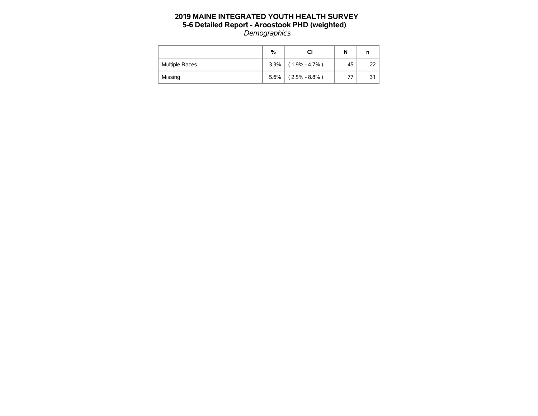|                       | %    |                   | N  | n  |
|-----------------------|------|-------------------|----|----|
| <b>Multiple Races</b> | 3.3% | $(1.9\% - 4.7\%)$ | 45 |    |
| Missing               | 5.6% | $(2.5\% - 8.8\%)$ | 77 | 31 |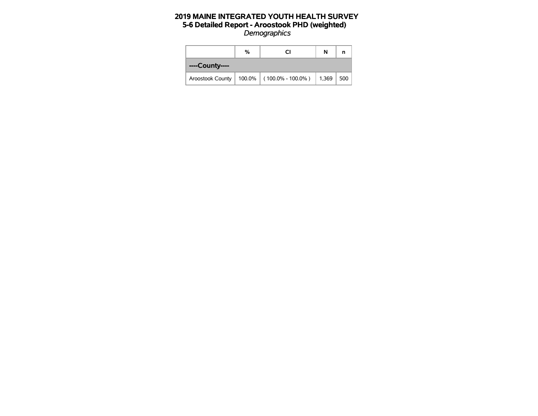|                | %<br>СI |                                               |       |     |  |  |  |
|----------------|---------|-----------------------------------------------|-------|-----|--|--|--|
| ----County---- |         |                                               |       |     |  |  |  |
|                |         | Aroostook County   100.0%   (100.0% - 100.0%) | 1,369 | 500 |  |  |  |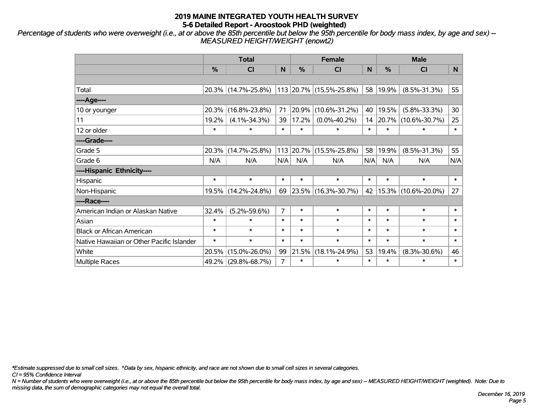*Percentage of students who were overweight (i.e., at or above the 85th percentile but below the 95th percentile for body mass index, by age and sex) -- MEASURED HEIGHT/WEIGHT (enowt2)*

|                                           |        | <b>Total</b>        |                |        | <b>Female</b>           |        | <b>Male</b> |                     |                |  |
|-------------------------------------------|--------|---------------------|----------------|--------|-------------------------|--------|-------------|---------------------|----------------|--|
|                                           | %      | <b>CI</b>           | N              | %      | <b>CI</b>               | N      | %           | <b>CI</b>           | N <sub>1</sub> |  |
|                                           |        |                     |                |        |                         |        |             |                     |                |  |
| Total                                     |        | 20.3% (14.7%-25.8%) |                |        | 113 20.7% (15.5%-25.8%) | 58     | 19.9%       | $(8.5\% - 31.3\%)$  | 55             |  |
| ----Age----                               |        |                     |                |        |                         |        |             |                     |                |  |
| 10 or younger                             | 20.3%  | $(16.8\% - 23.8\%)$ | 71             | 20.9%  | $(10.6\% - 31.2\%)$     | 40     | 19.5%       | $(5.8\% - 33.3\%)$  | 30             |  |
| 11                                        | 19.2%  | $(4.1\% - 34.3\%)$  | 39             | 17.2%  | $(0.0\% - 40.2\%)$      |        | 14 20.7%    | $(10.6\% - 30.7\%)$ | 25             |  |
| 12 or older                               | $\ast$ | $\ast$              | $\ast$         | $\ast$ | $\ast$                  | $\ast$ | $\ast$      | $\ast$              | $\ast$         |  |
| ----Grade----                             |        |                     |                |        |                         |        |             |                     |                |  |
| Grade 5                                   | 20.3%  | $(14.7\% - 25.8\%)$ |                |        | 113 20.7% (15.5%-25.8%) | 58     | 19.9%       | $(8.5\% - 31.3\%)$  | 55             |  |
| Grade 6                                   | N/A    | N/A                 | N/A            | N/A    | N/A                     | N/A    | N/A         | N/A                 | N/A            |  |
| ----Hispanic Ethnicity----                |        |                     |                |        |                         |        |             |                     |                |  |
| Hispanic                                  | $\ast$ | $\ast$              | $\ast$         | $\ast$ | $\ast$                  | $\ast$ | $\ast$      | $\ast$              | $\ast$         |  |
| Non-Hispanic                              |        | 19.5% (14.2%-24.8%) | 69             |        | 23.5% (16.3%-30.7%)     | 42     | 15.3%       | $(10.6\% - 20.0\%)$ | 27             |  |
| ----Race----                              |        |                     |                |        |                         |        |             |                     |                |  |
| American Indian or Alaskan Native         | 32.4%  | $(5.2\% - 59.6\%)$  | $\overline{7}$ | $\ast$ | $\ast$                  | $\ast$ | $\ast$      | $\ast$              | $\ast$         |  |
| Asian                                     | $\ast$ | $\ast$              | $\ast$         | $\ast$ | $\ast$                  | $\ast$ | $\ast$      | $\ast$              | $\ast$         |  |
| <b>Black or African American</b>          | $\ast$ | $\ast$              | $\ast$         | $\ast$ | $\ast$                  | $\ast$ | $\ast$      | $\ast$              | $\ast$         |  |
| Native Hawaiian or Other Pacific Islander | $\ast$ | $\ast$              | $\ast$         | $\ast$ | $\ast$                  | $\ast$ | $\ast$      | $\ast$              | $\ast$         |  |
| White                                     | 20.5%  | $(15.0\% - 26.0\%)$ | 99             | 21.5%  | $(18.1\% - 24.9\%)$     | 53     | 19.4%       | $(8.3\% - 30.6\%)$  | 46             |  |
| <b>Multiple Races</b>                     |        | 49.2% (29.8%-68.7%) | $\overline{7}$ | $\ast$ | $\ast$                  | $\ast$ | $\ast$      | $\ast$              | $\ast$         |  |

*\*Estimate suppressed due to small cell sizes. ^Data by sex, hispanic ethnicity, and race are not shown due to small cell sizes in several categories.*

*CI = 95% Confidence Interval*

*N = Number of students who were overweight (i.e., at or above the 85th percentile but below the 95th percentile for body mass index, by age and sex) -- MEASURED HEIGHT/WEIGHT (weighted). Note: Due to missing data, the sum of demographic categories may not equal the overall total.*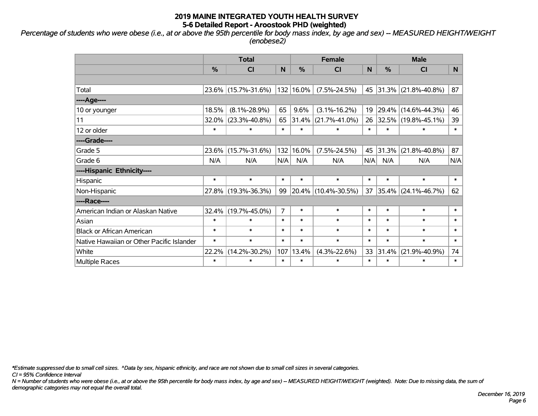*Percentage of students who were obese (i.e., at or above the 95th percentile for body mass index, by age and sex) -- MEASURED HEIGHT/WEIGHT (enobese2)*

|                                           |               | <b>Total</b>        |                |           | <b>Female</b>       |        | <b>Male</b>   |                     |        |  |
|-------------------------------------------|---------------|---------------------|----------------|-----------|---------------------|--------|---------------|---------------------|--------|--|
|                                           | $\frac{0}{0}$ | <b>CI</b>           | N              | %         | <b>CI</b>           | N      | $\frac{0}{0}$ | <b>CI</b>           | N.     |  |
|                                           |               |                     |                |           |                     |        |               |                     |        |  |
| Total                                     |               | 23.6% (15.7%-31.6%) |                | 132 16.0% | $(7.5\% - 24.5\%)$  |        | 45 31.3%      | $(21.8\% - 40.8\%)$ | 87     |  |
| ----Age----                               |               |                     |                |           |                     |        |               |                     |        |  |
| 10 or younger                             | 18.5%         | $(8.1\% - 28.9\%)$  | 65             | 9.6%      | $(3.1\% - 16.2\%)$  | 19     | 29.4%         | $(14.6\% - 44.3\%)$ | 46     |  |
| 11                                        | 32.0%         | $(23.3\% - 40.8\%)$ | 65             | 31.4%     | $(21.7\% - 41.0\%)$ | 26     | 32.5%         | $(19.8\% - 45.1\%)$ | 39     |  |
| 12 or older                               | $\ast$        | *                   | $\ast$         | $\ast$    | $\ast$              | $\ast$ | $\ast$        | *                   | $\ast$ |  |
| ----Grade----                             |               |                     |                |           |                     |        |               |                     |        |  |
| Grade 5                                   | 23.6%         | $(15.7\% - 31.6\%)$ | 132            | 16.0%     | $(7.5\% - 24.5\%)$  | 45     | 31.3%         | $(21.8\% - 40.8\%)$ | 87     |  |
| Grade 6                                   | N/A           | N/A                 | N/A            | N/A       | N/A                 | N/A    | N/A           | N/A                 | N/A    |  |
| ----Hispanic Ethnicity----                |               |                     |                |           |                     |        |               |                     |        |  |
| Hispanic                                  | $\ast$        | $\ast$              | $\ast$         | $\ast$    | $\ast$              | $\ast$ | $\ast$        | $\ast$              | $\ast$ |  |
| Non-Hispanic                              |               | 27.8% (19.3%-36.3%) | 99             | $20.4\%$  | $(10.4\% - 30.5\%)$ | 37     | 35.4%         | $(24.1\% - 46.7\%)$ | 62     |  |
| ----Race----                              |               |                     |                |           |                     |        |               |                     |        |  |
| American Indian or Alaskan Native         | 32.4%         | $(19.7\% - 45.0\%)$ | $\overline{7}$ | $\ast$    | $\ast$              | $\ast$ | $\ast$        | $\ast$              | $\ast$ |  |
| Asian                                     | $\ast$        | $\ast$              | $\ast$         | $\ast$    | $\ast$              | $\ast$ | $\ast$        | $\ast$              | $\ast$ |  |
| <b>Black or African American</b>          | $\ast$        | $\ast$              | $\ast$         | $\ast$    | $\ast$              | $\ast$ | $\ast$        | $\ast$              | $\ast$ |  |
| Native Hawaiian or Other Pacific Islander | $\ast$        | $\ast$              | $\ast$         | $\ast$    | $\ast$              | $\ast$ | $\ast$        | $\ast$              | $\ast$ |  |
| White                                     | 22.2%         | $(14.2\% - 30.2\%)$ | 107            | 13.4%     | $(4.3\% - 22.6\%)$  | 33     | 31.4%         | $(21.9\% - 40.9\%)$ | 74     |  |
| Multiple Races                            | $\ast$        | *                   | $\ast$         | $\ast$    | $\ast$              | $\ast$ | $\ast$        | *                   | $\ast$ |  |

*\*Estimate suppressed due to small cell sizes. ^Data by sex, hispanic ethnicity, and race are not shown due to small cell sizes in several categories.*

*CI = 95% Confidence Interval*

*N = Number of students who were obese (i.e., at or above the 95th percentile for body mass index, by age and sex) -- MEASURED HEIGHT/WEIGHT (weighted). Note: Due to missing data, the sum of demographic categories may not equal the overall total.*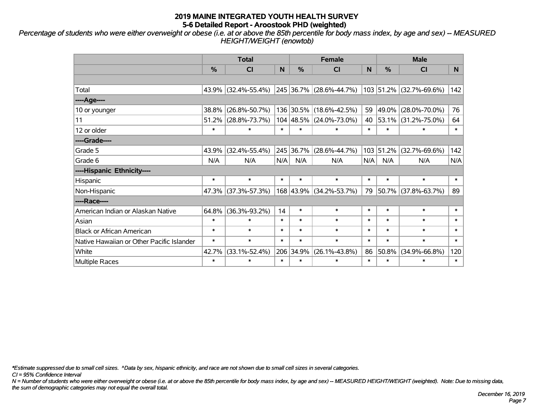*Percentage of students who were either overweight or obese (i.e. at or above the 85th percentile for body mass index, by age and sex) -- MEASURED HEIGHT/WEIGHT (enowtob)*

|                                           |        | <b>Total</b>        |        |               | <b>Female</b>           |        | <b>Male</b> |                         |        |  |
|-------------------------------------------|--------|---------------------|--------|---------------|-------------------------|--------|-------------|-------------------------|--------|--|
|                                           | %      | <b>CI</b>           | N      | $\frac{0}{0}$ | <b>CI</b>               | N      | %           | <b>CI</b>               | N.     |  |
|                                           |        |                     |        |               |                         |        |             |                         |        |  |
| Total                                     |        | 43.9% (32.4%-55.4%) |        |               | 245 36.7% (28.6%-44.7%) |        |             | 103 51.2% (32.7%-69.6%) | 142    |  |
| ----Age----                               |        |                     |        |               |                         |        |             |                         |        |  |
| 10 or younger                             | 38.8%  | $(26.8\% - 50.7\%)$ |        |               | 136 30.5% (18.6%-42.5%) | 59     | 49.0%       | $(28.0\% - 70.0\%)$     | 76     |  |
| 11                                        | 51.2%  | $(28.8\% - 73.7\%)$ |        |               | 104 48.5% (24.0%-73.0%) | 40     | 53.1%       | $(31.2\% - 75.0\%)$     | 64     |  |
| 12 or older                               | $\ast$ | $\ast$              | $\ast$ | $\ast$        | $\ast$                  | $\ast$ | $\ast$      | $\ast$                  | $\ast$ |  |
| ----Grade----                             |        |                     |        |               |                         |        |             |                         |        |  |
| Grade 5                                   | 43.9%  | $(32.4\% - 55.4\%)$ |        | 245 36.7%     | $(28.6\% - 44.7\%)$     |        | 103 51.2%   | $(32.7\% - 69.6\%)$     | 142    |  |
| Grade 6                                   | N/A    | N/A                 | N/A    | N/A           | N/A                     | N/A    | N/A         | N/A                     | N/A    |  |
| ----Hispanic Ethnicity----                |        |                     |        |               |                         |        |             |                         |        |  |
| Hispanic                                  | $\ast$ | $\ast$              | $\ast$ | $\ast$        | $\ast$                  | $\ast$ | $\ast$      | $\ast$                  | $\ast$ |  |
| Non-Hispanic                              |        | 47.3% (37.3%-57.3%) |        |               | 168 43.9% (34.2%-53.7%) | 79     | 50.7%       | $(37.8\% - 63.7\%)$     | 89     |  |
| ----Race----                              |        |                     |        |               |                         |        |             |                         |        |  |
| American Indian or Alaskan Native         | 64.8%  | $(36.3\% - 93.2\%)$ | 14     | $\ast$        | $\ast$                  | $\ast$ | $\ast$      | $\ast$                  | $\ast$ |  |
| Asian                                     | $\ast$ | $\ast$              | $\ast$ | $\ast$        | $\ast$                  | $\ast$ | $\ast$      | $\ast$                  | $\ast$ |  |
| <b>Black or African American</b>          | $\ast$ | $\ast$              | $\ast$ | $\ast$        | $\ast$                  | $\ast$ | $\ast$      | $\ast$                  | $\ast$ |  |
| Native Hawaiian or Other Pacific Islander | $\ast$ | $\ast$              | $\ast$ | $\ast$        | $\ast$                  | $\ast$ | $\ast$      | $\ast$                  | $\ast$ |  |
| White                                     | 42.7%  | $(33.1\% - 52.4\%)$ |        | 206 34.9%     | $(26.1\% - 43.8\%)$     | 86     | 50.8%       | $(34.9\% - 66.8\%)$     | 120    |  |
| <b>Multiple Races</b>                     | $\ast$ | $\ast$              | $\ast$ | $\ast$        | $\ast$                  | $\ast$ | $\ast$      | $\ast$                  | $\ast$ |  |

*\*Estimate suppressed due to small cell sizes. ^Data by sex, hispanic ethnicity, and race are not shown due to small cell sizes in several categories.*

*CI = 95% Confidence Interval*

*N = Number of students who were either overweight or obese (i.e. at or above the 85th percentile for body mass index, by age and sex) -- MEASURED HEIGHT/WEIGHT (weighted). Note: Due to missing data, the sum of demographic categories may not equal the overall total.*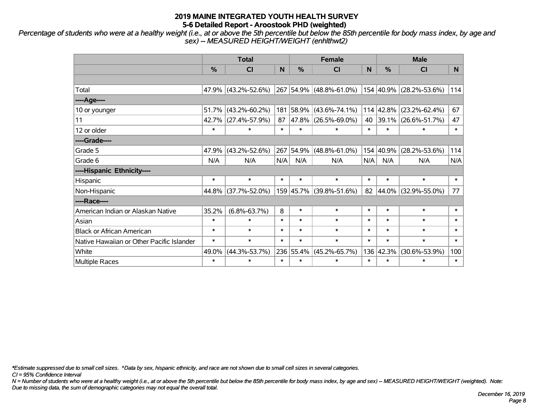*Percentage of students who were at a healthy weight (i.e., at or above the 5th percentile but below the 85th percentile for body mass index, by age and sex) -- MEASURED HEIGHT/WEIGHT (enhlthwt2)*

|                                           |               | <b>Total</b>        |        |           | <b>Female</b>           |        | <b>Male</b> |                         |        |  |
|-------------------------------------------|---------------|---------------------|--------|-----------|-------------------------|--------|-------------|-------------------------|--------|--|
|                                           | $\frac{0}{0}$ | <b>CI</b>           | N      | %         | <b>CI</b>               | N      | %           | <b>CI</b>               | N.     |  |
|                                           |               |                     |        |           |                         |        |             |                         |        |  |
| Total                                     |               | 47.9% (43.2%-52.6%) |        |           | 267 54.9% (48.8%-61.0%) |        |             | 154 40.9% (28.2%-53.6%) | 114    |  |
| ----Age----                               |               |                     |        |           |                         |        |             |                         |        |  |
| 10 or younger                             | 51.7%         | $(43.2\% - 60.2\%)$ | 181    | 58.9%     | $(43.6\% - 74.1\%)$     |        | 114 42.8%   | $(23.2\% - 62.4\%)$     | 67     |  |
| 11                                        |               | 42.7% (27.4%-57.9%) | 87     | 47.8%     | $(26.5\% - 69.0\%)$     | 40     | 39.1%       | $(26.6\% - 51.7\%)$     | 47     |  |
| 12 or older                               | $\ast$        | $\ast$              | $\ast$ | $\ast$    | $\ast$                  | $\ast$ | $\ast$      | $\ast$                  | $\ast$ |  |
| ----Grade----                             |               |                     |        |           |                         |        |             |                         |        |  |
| Grade 5                                   | 47.9%         | $(43.2\% - 52.6\%)$ | 267    | 54.9%     | $(48.8\% - 61.0\%)$     | 154    | 40.9%       | $(28.2\% - 53.6\%)$     | 114    |  |
| Grade 6                                   | N/A           | N/A                 | N/A    | N/A       | N/A                     | N/A    | N/A         | N/A                     | N/A    |  |
| ----Hispanic Ethnicity----                |               |                     |        |           |                         |        |             |                         |        |  |
| Hispanic                                  | $\ast$        | $\ast$              | $\ast$ | $\ast$    | $\ast$                  | $\ast$ | $\ast$      | $\ast$                  | $\ast$ |  |
| Non-Hispanic                              |               | 44.8% (37.7%-52.0%) |        |           | 159 45.7% (39.8%-51.6%) | 82     | 44.0%       | $(32.9\% - 55.0\%)$     | 77     |  |
| ----Race----                              |               |                     |        |           |                         |        |             |                         |        |  |
| American Indian or Alaskan Native         | 35.2%         | $(6.8\% - 63.7\%)$  | 8      | $\ast$    | $\ast$                  | $\ast$ | $\ast$      | $\ast$                  | $\ast$ |  |
| Asian                                     | $\ast$        | $\ast$              | $\ast$ | $\ast$    | $\ast$                  | $\ast$ | $\ast$      | $\ast$                  | $\ast$ |  |
| <b>Black or African American</b>          | $\ast$        | $\ast$              | $\ast$ | $\ast$    | $\ast$                  | $\ast$ | $\ast$      | $\ast$                  | $\ast$ |  |
| Native Hawaiian or Other Pacific Islander | $\ast$        | $\ast$              | $\ast$ | $\ast$    | $\ast$                  | $\ast$ | $\ast$      | $\ast$                  | $\ast$ |  |
| White                                     | 49.0%         | $(44.3\% - 53.7\%)$ |        | 236 55.4% | $(45.2\% - 65.7\%)$     |        | 136 42.3%   | $(30.6\% - 53.9\%)$     | 100    |  |
| Multiple Races                            | $\ast$        | $\ast$              | $\ast$ | $\ast$    | $\ast$                  | $\ast$ | $\ast$      | $\ast$                  | $\ast$ |  |

*\*Estimate suppressed due to small cell sizes. ^Data by sex, hispanic ethnicity, and race are not shown due to small cell sizes in several categories.*

*CI = 95% Confidence Interval*

*N = Number of students who were at a healthy weight (i.e., at or above the 5th percentile but below the 85th percentile for body mass index, by age and sex) -- MEASURED HEIGHT/WEIGHT (weighted). Note: Due to missing data, the sum of demographic categories may not equal the overall total.*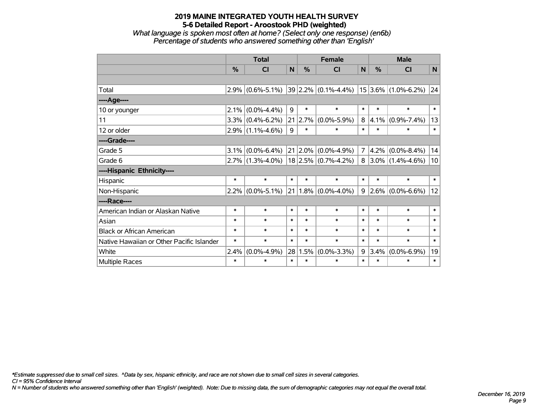*What language is spoken most often at home? (Select only one response) (en6b) Percentage of students who answered something other than 'English'*

|                                           |        | <b>Total</b>        |        |        | <b>Female</b>           |                | <b>Male</b> |                       |        |  |
|-------------------------------------------|--------|---------------------|--------|--------|-------------------------|----------------|-------------|-----------------------|--------|--|
|                                           | %      | <b>CI</b>           | N      | %      | <b>CI</b>               | N              | $\%$        | <b>CI</b>             | N      |  |
|                                           |        |                     |        |        |                         |                |             |                       |        |  |
| Total                                     | 2.9%   | $(0.6\% - 5.1\%)$   |        |        | $39 2.2\% $ (0.1%-4.4%) |                |             | $15$ 3.6% (1.0%-6.2%) | 24     |  |
| ----Age----                               |        |                     |        |        |                         |                |             |                       |        |  |
| 10 or younger                             | 2.1%   | $(0.0\% - 4.4\%)$   | 9      | $\ast$ | $\ast$                  | $\ast$         | $\ast$      | $\ast$                | $\ast$ |  |
| 11                                        | 3.3%   | $(0.4\% - 6.2\%)$   | 21     | 2.7%   | $(0.0\% - 5.9\%)$       | 8              | 4.1%        | $(0.9\% - 7.4\%)$     | 13     |  |
| 12 or older                               |        | $2.9\%$ (1.1%-4.6%) | 9      | $\ast$ | *                       | $\ast$         | $\ast$      | $\ast$                | $\ast$ |  |
| ----Grade----                             |        |                     |        |        |                         |                |             |                       |        |  |
| Grade 5                                   | 3.1%   | $(0.0\% - 6.4\%)$   | 21     | 2.0%   | $(0.0\% - 4.9\%)$       | 7 <sup>1</sup> | 4.2%        | $(0.0\% - 8.4\%)$     | 14     |  |
| Grade 6                                   | 2.7%   | $(1.3\% - 4.0\%)$   |        |        | $18$ 2.5% (0.7%-4.2%)   |                | $8 3.0\% $  | $(1.4\% - 4.6\%)$     | 10     |  |
| ----Hispanic Ethnicity----                |        |                     |        |        |                         |                |             |                       |        |  |
| Hispanic                                  | $\ast$ | $\ast$              | $\ast$ | *      | $\ast$                  | $\ast$         | $\ast$      | $\ast$                | $\ast$ |  |
| Non-Hispanic                              | 2.2%   | $(0.0\% - 5.1\%)$   | 21     |        | $1.8\%$ (0.0%-4.0%)     | 9              | 2.6%        | $(0.0\% - 6.6\%)$     | 12     |  |
| ----Race----                              |        |                     |        |        |                         |                |             |                       |        |  |
| American Indian or Alaskan Native         | $\ast$ | $\ast$              | $\ast$ | $\ast$ | $\ast$                  | $\ast$         | $\ast$      | $\ast$                | $\ast$ |  |
| Asian                                     | $\ast$ | $\ast$              | $\ast$ | $\ast$ | $\ast$                  | $\ast$         | $\ast$      | $\ast$                | $\ast$ |  |
| <b>Black or African American</b>          | $\ast$ | $\ast$              | $\ast$ | $\ast$ | $\ast$                  | $\ast$         | $\ast$      | $\ast$                | $\ast$ |  |
| Native Hawaiian or Other Pacific Islander | $\ast$ | $\ast$              | $\ast$ | $\ast$ | $\ast$                  | $\ast$         | $\ast$      | $\ast$                | $\ast$ |  |
| White                                     | 2.4%   | $(0.0\% - 4.9\%)$   | 28     | 1.5%   | $(0.0\% - 3.3\%)$       | 9              | 3.4%        | $(0.0\% - 6.9\%)$     | 19     |  |
| Multiple Races                            | $\ast$ | $\ast$              | $\ast$ | $\ast$ | $\ast$                  | $\ast$         | $\ast$      | $\ast$                | $\ast$ |  |

*\*Estimate suppressed due to small cell sizes. ^Data by sex, hispanic ethnicity, and race are not shown due to small cell sizes in several categories.*

*CI = 95% Confidence Interval*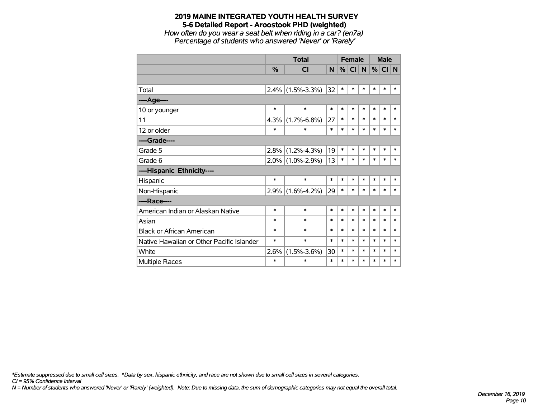*How often do you wear a seat belt when riding in a car? (en7a) Percentage of students who answered 'Never' or 'Rarely'*

|                                           |               | <b>Total</b>      |        |        | <b>Female</b> |        | <b>Male</b> |        |        |
|-------------------------------------------|---------------|-------------------|--------|--------|---------------|--------|-------------|--------|--------|
|                                           | $\frac{0}{0}$ | <b>CI</b>         | N      | %      | <b>CI</b>     | N.     | %           | CI N   |        |
|                                           |               |                   |        |        |               |        |             |        |        |
| Total                                     | 2.4%          | $(1.5\% - 3.3\%)$ | 32     | $\ast$ | $\ast$        | $\ast$ | $\ast$      | $\ast$ | $\ast$ |
| ----Age----                               |               |                   |        |        |               |        |             |        |        |
| 10 or younger                             | $\ast$        | $\ast$            | $\ast$ | $\ast$ | $\ast$        | $\ast$ | $\ast$      | $\ast$ | $\ast$ |
| 11                                        | 4.3%          | $(1.7\% - 6.8\%)$ | 27     | $\ast$ | $\ast$        | $\ast$ | $\ast$      | $\ast$ | $\ast$ |
| 12 or older                               | $\ast$        | $\ast$            | $\ast$ | $\ast$ | $\ast$        | $\ast$ | $\ast$      | $\ast$ | $\ast$ |
| ----Grade----                             |               |                   |        |        |               |        |             |        |        |
| Grade 5                                   | 2.8%          | $(1.2\% - 4.3\%)$ | 19     | $\ast$ | $\ast$        | $\ast$ | $\ast$      | $\ast$ | $\ast$ |
| Grade 6                                   | $2.0\%$       | $(1.0\% - 2.9\%)$ | 13     | $\ast$ | $\ast$        | $\ast$ | $\ast$      | $\ast$ | $\ast$ |
| ----Hispanic Ethnicity----                |               |                   |        |        |               |        |             |        |        |
| Hispanic                                  | $\ast$        | $\ast$            | $\ast$ | $\ast$ | $\ast$        | *      | $\ast$      | $\ast$ | $\ast$ |
| Non-Hispanic                              | 2.9%          | $(1.6\% - 4.2\%)$ | 29     | $\ast$ | $\ast$        | $\ast$ | $\ast$      | $\ast$ | *      |
| ----Race----                              |               |                   |        |        |               |        |             |        |        |
| American Indian or Alaskan Native         | $\ast$        | $\ast$            | $\ast$ | $\ast$ | $\ast$        | $\ast$ | $\ast$      | $\ast$ | $\ast$ |
| Asian                                     | $\ast$        | $\ast$            | $\ast$ | $\ast$ | $\ast$        | $\ast$ | $\ast$      | $\ast$ | $\ast$ |
| <b>Black or African American</b>          | $\ast$        | $\ast$            | $\ast$ | $\ast$ | $\ast$        | $\ast$ | $\ast$      | $\ast$ | $\ast$ |
| Native Hawaiian or Other Pacific Islander | *             | $\ast$            | $\ast$ | $\ast$ | $\ast$        | $\ast$ | $\ast$      | $\ast$ | $\ast$ |
| White                                     | 2.6%          | $(1.5\% - 3.6\%)$ | 30     | $\ast$ | $\ast$        | $\ast$ | $\ast$      | $\ast$ | $\ast$ |
| Multiple Races                            | $\ast$        | $\ast$            | $\ast$ | $\ast$ | $\ast$        | $\ast$ | $\ast$      | $\ast$ | $\ast$ |

*\*Estimate suppressed due to small cell sizes. ^Data by sex, hispanic ethnicity, and race are not shown due to small cell sizes in several categories.*

*CI = 95% Confidence Interval*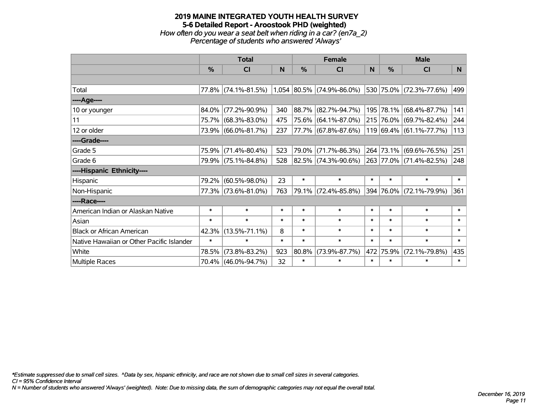# **2019 MAINE INTEGRATED YOUTH HEALTH SURVEY 5-6 Detailed Report - Aroostook PHD (weighted)** *How often do you wear a seat belt when riding in a car? (en7a\_2) Percentage of students who answered 'Always'*

|                                           |               | <b>Total</b>        |        |        | <b>Female</b>               |        | <b>Male</b> |                         |        |  |
|-------------------------------------------|---------------|---------------------|--------|--------|-----------------------------|--------|-------------|-------------------------|--------|--|
|                                           | $\frac{0}{0}$ | <b>CI</b>           | N      | %      | <b>CI</b>                   | N      | %           | <b>CI</b>               | N.     |  |
|                                           |               |                     |        |        |                             |        |             |                         |        |  |
| Total                                     |               | 77.8% (74.1%-81.5%) |        |        | $1,054$ 80.5% (74.9%-86.0%) |        |             | 530 75.0% (72.3%-77.6%) | 499    |  |
| ----Age----                               |               |                     |        |        |                             |        |             |                         |        |  |
| 10 or younger                             | 84.0%         | $(77.2\% - 90.9\%)$ | 340    | 88.7%  | $(82.7\% - 94.7\%)$         |        |             | 195 78.1% (68.4%-87.7%) | 141    |  |
| 11                                        |               | 75.7% (68.3%-83.0%) | 475    |        | 75.6% (64.1%-87.0%)         |        |             | 215 76.0% (69.7%-82.4%) | 244    |  |
| 12 or older                               |               | 73.9% (66.0%-81.7%) | 237    |        | 77.7% (67.8%-87.6%)         |        |             | 119 69.4% (61.1%-77.7%) | 113    |  |
| ----Grade----                             |               |                     |        |        |                             |        |             |                         |        |  |
| Grade 5                                   | 75.9%         | $(71.4\% - 80.4\%)$ | 523    | 79.0%  | $(71.7\% - 86.3\%)$         |        |             | 264 73.1% (69.6%-76.5%) | 251    |  |
| Grade 6                                   |               | 79.9% (75.1%-84.8%) | 528    |        | 82.5% (74.3%-90.6%)         |        |             | 263 77.0% (71.4%-82.5%) | 248    |  |
| ----Hispanic Ethnicity----                |               |                     |        |        |                             |        |             |                         |        |  |
| Hispanic                                  | 79.2%         | $(60.5\% - 98.0\%)$ | 23     | $\ast$ | $\ast$                      | $\ast$ | $\ast$      | $\ast$                  | $\ast$ |  |
| Non-Hispanic                              |               | 77.3% (73.6%-81.0%) | 763    |        | 79.1% (72.4%-85.8%)         |        |             | 394 76.0% (72.1%-79.9%) | 361    |  |
| ----Race----                              |               |                     |        |        |                             |        |             |                         |        |  |
| American Indian or Alaskan Native         | $\ast$        | $\ast$              | $\ast$ | $\ast$ | $\ast$                      | $\ast$ | $\ast$      | $\ast$                  | $\ast$ |  |
| Asian                                     | $\ast$        | $\ast$              | $\ast$ | $\ast$ | $\ast$                      | $\ast$ | $\ast$      | $\ast$                  | $\ast$ |  |
| <b>Black or African American</b>          | 42.3%         | $(13.5\% - 71.1\%)$ | 8      | $\ast$ | $\ast$                      | $\ast$ | $\ast$      | $\ast$                  | $\ast$ |  |
| Native Hawaiian or Other Pacific Islander | $\ast$        | $\ast$              | $\ast$ | $\ast$ | $\ast$                      | $\ast$ | $\ast$      | $\ast$                  | $\ast$ |  |
| White                                     | 78.5%         | $(73.8\% - 83.2\%)$ | 923    | 80.8%  | $(73.9\% - 87.7\%)$         | 472    | 75.9%       | $(72.1\% - 79.8\%)$     | 435    |  |
| Multiple Races                            |               | 70.4% (46.0%-94.7%) | 32     | $\ast$ | $\ast$                      | $\ast$ | $\ast$      | $\ast$                  | $\ast$ |  |

*\*Estimate suppressed due to small cell sizes. ^Data by sex, hispanic ethnicity, and race are not shown due to small cell sizes in several categories.*

*CI = 95% Confidence Interval*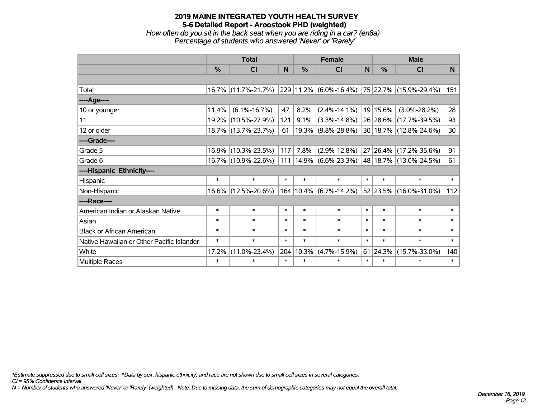*How often do you sit in the back seat when you are riding in a car? (en8a) Percentage of students who answered 'Never' or 'Rarely'*

|                                           |        | <b>Total</b>        |        |               | <b>Female</b>             |        | <b>Male</b>      |                                                    |                 |  |
|-------------------------------------------|--------|---------------------|--------|---------------|---------------------------|--------|------------------|----------------------------------------------------|-----------------|--|
|                                           | $\%$   | <b>CI</b>           | N      | $\frac{0}{0}$ | <b>CI</b>                 | N      | $\frac{0}{0}$    | <b>CI</b>                                          | N.              |  |
|                                           |        |                     |        |               |                           |        |                  |                                                    |                 |  |
| Total                                     |        | 16.7% (11.7%-21.7%) |        |               |                           |        |                  | $ 229 11.2\% $ (6.0%-16.4%) 75 22.7% (15.9%-29.4%) | 151             |  |
| ----Age----                               |        |                     |        |               |                           |        |                  |                                                    |                 |  |
| 10 or younger                             | 11.4%  | $(6.1\% - 16.7\%)$  | 47     | 8.2%          | $(2.4\% - 14.1\%)$        |        | 19 15.6%         | $(3.0\% - 28.2\%)$                                 | 28              |  |
| 11                                        |        | 19.2% (10.5%-27.9%) | 121    | 9.1%          | $(3.3\% - 14.8\%)$        |        |                  | 26 28.6% (17.7%-39.5%)                             | 93              |  |
| 12 or older                               |        | 18.7% (13.7%-23.7%) | 61     |               | $19.3\%$ (9.8%-28.8%)     |        |                  | 30 18.7% (12.8%-24.6%)                             | 30 <sup>°</sup> |  |
| ----Grade----                             |        |                     |        |               |                           |        |                  |                                                    |                 |  |
| Grade 5                                   |        | 16.9% (10.3%-23.5%) | 117    | 7.8%          | $(2.9\% - 12.8\%)$        |        |                  | 27 26.4% (17.2%-35.6%)                             | 91              |  |
| Grade 6                                   |        | 16.7% (10.9%-22.6%) |        |               | $111$  14.9% (6.6%-23.3%) |        |                  | 48 18.7% (13.0%-24.5%)                             | 61              |  |
| ----Hispanic Ethnicity----                |        |                     |        |               |                           |        |                  |                                                    |                 |  |
| Hispanic                                  | $\ast$ | $\ast$              | $\ast$ | $\ast$        | $\ast$                    | $\ast$ | $\ast$           | $\ast$                                             | $\ast$          |  |
| Non-Hispanic                              |        | 16.6% (12.5%-20.6%) |        |               | 164 10.4% (6.7%-14.2%)    |        |                  | 52 23.5% (16.0%-31.0%)                             | 112             |  |
| ----Race----                              |        |                     |        |               |                           |        |                  |                                                    |                 |  |
| American Indian or Alaskan Native         | $\ast$ | $\ast$              | $\ast$ | $\ast$        | $\ast$                    | $\ast$ | $\ast$           | $\ast$                                             | $\ast$          |  |
| Asian                                     | $\ast$ | $\ast$              | $\ast$ | $\ast$        | $\ast$                    | $\ast$ | $\ast$           | $\ast$                                             | $\ast$          |  |
| <b>Black or African American</b>          | $\ast$ | $\ast$              | $\ast$ | $\ast$        | $\ast$                    | $\ast$ | $\ast$           | $\ast$                                             | $\ast$          |  |
| Native Hawaiian or Other Pacific Islander | $\ast$ | $\ast$              | $\ast$ | $\ast$        | $\ast$                    | $\ast$ | $\ast$           | $\ast$                                             | $\ast$          |  |
| White                                     | 17.2%  | $(11.0\% - 23.4\%)$ | 204    | 10.3%         | $(4.7\% - 15.9\%)$        |        | $61 \,   24.3\%$ | $(15.7\% - 33.0\%)$                                | 140             |  |
| Multiple Races                            | $\ast$ | $\ast$              | $\ast$ | $\ast$        | $\ast$                    | $\ast$ | $\ast$           | $\ast$                                             | $\ast$          |  |

*\*Estimate suppressed due to small cell sizes. ^Data by sex, hispanic ethnicity, and race are not shown due to small cell sizes in several categories.*

*CI = 95% Confidence Interval*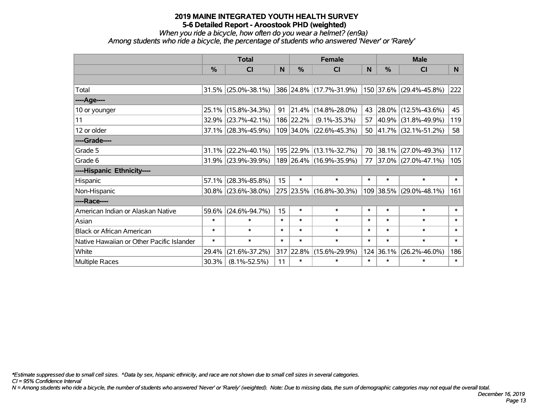*When you ride a bicycle, how often do you wear a helmet? (en9a)*

*Among students who ride a bicycle, the percentage of students who answered 'Never' or 'Rarely'*

|                                           |          | <b>Total</b>           |        |               | <b>Female</b>           |        | <b>Male</b>   |                             |        |  |
|-------------------------------------------|----------|------------------------|--------|---------------|-------------------------|--------|---------------|-----------------------------|--------|--|
|                                           | %        | <b>CI</b>              | N      | $\frac{0}{0}$ | CI                      | N      | $\frac{0}{0}$ | <b>CI</b>                   | N.     |  |
|                                           |          |                        |        |               |                         |        |               |                             |        |  |
| Total                                     |          | $31.5\%$ (25.0%-38.1%) |        |               | 386 24.8% (17.7%-31.9%) |        |               | 150   37.6%   (29.4%-45.8%) | 222    |  |
| ----Age----                               |          |                        |        |               |                         |        |               |                             |        |  |
| 10 or younger                             |          | 25.1% (15.8%-34.3%)    | 91     | 21.4%         | $(14.8\% - 28.0\%)$     | 43     |               | 28.0% (12.5%-43.6%)         | 45     |  |
| 11                                        |          | 32.9% (23.7%-42.1%)    |        | 186 22.2%     | $(9.1\% - 35.3\%)$      | 57     | $ 40.9\% $    | $(31.8\% - 49.9\%)$         | 119    |  |
| 12 or older                               |          | $37.1\%$ (28.3%-45.9%) |        |               | 109 34.0% (22.6%-45.3%) |        |               | 50 41.7% (32.1%-51.2%)      | 58     |  |
| ----Grade----                             |          |                        |        |               |                         |        |               |                             |        |  |
| Grade 5                                   |          | $31.1\%$ (22.2%-40.1%) |        |               | 195 22.9% (13.1%-32.7%) | 70     | 38.1%         | $(27.0\% - 49.3\%)$         | 117    |  |
| Grade 6                                   |          | $31.9\%$ (23.9%-39.9%) |        |               | 189 26.4% (16.9%-35.9%) | 77     |               | $ 37.0\% $ (27.0%-47.1%)    | 105    |  |
| ----Hispanic Ethnicity----                |          |                        |        |               |                         |        |               |                             |        |  |
| Hispanic                                  | 57.1%    | $(28.3\% - 85.8\%)$    | 15     | $\ast$        | $\ast$                  | $\ast$ | $\ast$        | $\ast$                      | $\ast$ |  |
| Non-Hispanic                              |          | $30.8\%$ (23.6%-38.0%) |        |               | 275 23.5% (16.8%-30.3%) |        | 109 38.5%     | $(29.0\% - 48.1\%)$         | 161    |  |
| ----Race----                              |          |                        |        |               |                         |        |               |                             |        |  |
| American Indian or Alaskan Native         | $59.6\%$ | $(24.6\% - 94.7\%)$    | 15     | $\ast$        | $\ast$                  | $\ast$ | $\ast$        | $\ast$                      | $\ast$ |  |
| Asian                                     | $\ast$   | $\ast$                 | $\ast$ | $\ast$        | $\ast$                  | $\ast$ | $\ast$        | $\ast$                      | $\ast$ |  |
| <b>Black or African American</b>          | $\ast$   | $\ast$                 | $\ast$ | $\ast$        | $\ast$                  | $\ast$ | $\ast$        | $\ast$                      | $\ast$ |  |
| Native Hawaiian or Other Pacific Islander | $\ast$   | $\ast$                 | $\ast$ | $\ast$        | $\ast$                  | $\ast$ | $\ast$        | $\ast$                      | $\ast$ |  |
| White                                     | 29.4%    | $(21.6\% - 37.2\%)$    |        | 317 22.8%     | $(15.6\% - 29.9\%)$     |        | 124 36.1%     | $(26.2\% - 46.0\%)$         | 186    |  |
| <b>Multiple Races</b>                     | 30.3%    | $(8.1\% - 52.5\%)$     | 11     | $\ast$        | $\ast$                  | $\ast$ | $\ast$        | $\ast$                      | $\ast$ |  |

*\*Estimate suppressed due to small cell sizes. ^Data by sex, hispanic ethnicity, and race are not shown due to small cell sizes in several categories.*

*CI = 95% Confidence Interval*

*N = Among students who ride a bicycle, the number of students who answered 'Never' or 'Rarely' (weighted). Note: Due to missing data, the sum of demographic categories may not equal the overall total.*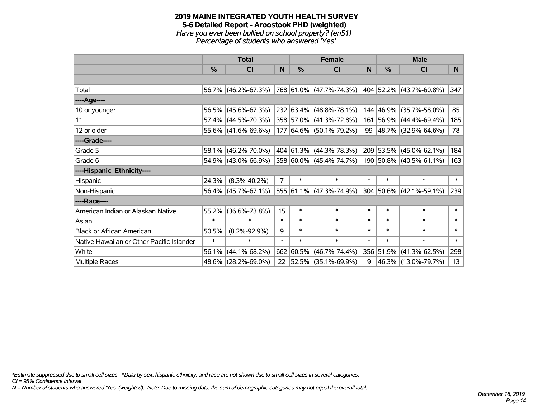#### **2019 MAINE INTEGRATED YOUTH HEALTH SURVEY 5-6 Detailed Report - Aroostook PHD (weighted)** *Have you ever been bullied on school property? (en51) Percentage of students who answered 'Yes'*

|                                           | <b>Total</b>  |                     |                | <b>Female</b> | <b>Male</b>              |              |           |                             |        |
|-------------------------------------------|---------------|---------------------|----------------|---------------|--------------------------|--------------|-----------|-----------------------------|--------|
|                                           | $\frac{0}{0}$ | <b>CI</b>           | N              | $\%$          | <b>CI</b>                | <sub>N</sub> | %         | <b>CI</b>                   | N      |
|                                           |               |                     |                |               |                          |              |           |                             |        |
| Total                                     |               | 56.7% (46.2%-67.3%) |                |               | 768 61.0% (47.7%-74.3%)  |              |           | 404 52.2% (43.7%-60.8%)     | 347    |
| ----Age----                               |               |                     |                |               |                          |              |           |                             |        |
| 10 or younger                             |               | 56.5% (45.6%-67.3%) |                |               | 232 63.4% (48.8%-78.1%)  |              | 144 46.9% | $(35.7\% - 58.0\%)$         | 85     |
| 11                                        |               | 57.4% (44.5%-70.3%) |                |               | 358 57.0% (41.3%-72.8%)  |              |           | 161 56.9% (44.4%-69.4%)     | 185    |
| 12 or older                               |               | 55.6% (41.6%-69.6%) |                |               | 177 64.6% (50.1%-79.2%)  |              |           | 99 48.7% (32.9%-64.6%)      | 78     |
| ----Grade----                             |               |                     |                |               |                          |              |           |                             |        |
| Grade 5                                   | 58.1%         | $(46.2\% - 70.0\%)$ |                |               | 404 61.3% (44.3%-78.3%)  |              | 209 53.5% | $(45.0\% - 62.1\%)$         | 184    |
| Grade 6                                   |               | 54.9% (43.0%-66.9%) |                |               | 358 60.0% (45.4%-74.7%)  |              |           | 190 50.8% (40.5%-61.1%)     | 163    |
| ----Hispanic Ethnicity----                |               |                     |                |               |                          |              |           |                             |        |
| Hispanic                                  | 24.3%         | $(8.3\% - 40.2\%)$  | $\overline{7}$ | $\ast$        | $\ast$                   | $\ast$       | $\ast$    | $\ast$                      | $\ast$ |
| Non-Hispanic                              |               | 56.4% (45.7%-67.1%) |                |               | 555 61.1% (47.3%-74.9%)  |              |           | $304 50.6\% $ (42.1%-59.1%) | 239    |
| ----Race----                              |               |                     |                |               |                          |              |           |                             |        |
| American Indian or Alaskan Native         | 55.2%         | $(36.6\% - 73.8\%)$ | 15             | $\ast$        | $\ast$                   | $\ast$       | $\ast$    | $\ast$                      | $\ast$ |
| Asian                                     | $\ast$        | $\ast$              | $\ast$         | $\ast$        | $\ast$                   | $\ast$       | $\ast$    | $\ast$                      | $\ast$ |
| <b>Black or African American</b>          | 50.5%         | $(8.2\% - 92.9\%)$  | 9              | $\ast$        | $\ast$                   | $\ast$       | $\ast$    | $\ast$                      | $\ast$ |
| Native Hawaiian or Other Pacific Islander | $\ast$        | $\ast$              | $\ast$         | $\ast$        | $\ast$                   | $\ast$       | $\ast$    | $\ast$                      | $\ast$ |
| White                                     | 56.1%         | $(44.1\% - 68.2\%)$ | 662            | 60.5%         | $(46.7\% - 74.4\%)$      |              | 356 51.9% | $(41.3\% - 62.5\%)$         | 298    |
| Multiple Races                            |               | 48.6% (28.2%-69.0%) | 22             |               | $ 52.5\% $ (35.1%-69.9%) | 9            |           | 46.3% (13.0%-79.7%)         | 13     |

*\*Estimate suppressed due to small cell sizes. ^Data by sex, hispanic ethnicity, and race are not shown due to small cell sizes in several categories.*

*CI = 95% Confidence Interval*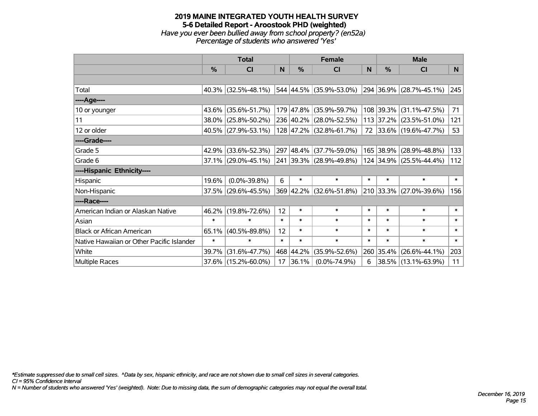#### **2019 MAINE INTEGRATED YOUTH HEALTH SURVEY 5-6 Detailed Report - Aroostook PHD (weighted)** *Have you ever been bullied away from school property? (en52a) Percentage of students who answered 'Yes'*

|                                           | <b>Total</b>  |                        |        |               | <b>Female</b>           | <b>Male</b> |           |                         |        |
|-------------------------------------------|---------------|------------------------|--------|---------------|-------------------------|-------------|-----------|-------------------------|--------|
|                                           | $\frac{0}{0}$ | CI                     | N      | $\frac{0}{0}$ | CI                      | <b>N</b>    | %         | <b>CI</b>               | N      |
|                                           |               |                        |        |               |                         |             |           |                         |        |
| Total                                     |               | $40.3\%$ (32.5%-48.1%) |        |               | 544 44.5% (35.9%-53.0%) |             |           | 294 36.9% (28.7%-45.1%) | 245    |
| ----Age----                               |               |                        |        |               |                         |             |           |                         |        |
| 10 or younger                             |               | 43.6% (35.6%-51.7%)    |        |               | 179 47.8% (35.9%-59.7%) |             | 108 39.3% | $(31.1\% - 47.5\%)$     | 71     |
| 11                                        |               | 38.0% (25.8%-50.2%)    |        |               | 236 40.2% (28.0%-52.5%) |             |           | 113 37.2% (23.5%-51.0%) | 121    |
| 12 or older                               |               | 40.5% (27.9%-53.1%)    |        |               | 128 47.2% (32.8%-61.7%) |             |           | 72 33.6% (19.6%-47.7%)  | 53     |
| ----Grade----                             |               |                        |        |               |                         |             |           |                         |        |
| Grade 5                                   | 42.9%         | $(33.6\% - 52.3\%)$    |        |               | 297 48.4% (37.7%-59.0%) |             | 165 38.9% | $(28.9\% - 48.8\%)$     | 133    |
| Grade 6                                   |               | $37.1\%$ (29.0%-45.1%) |        |               | 241 39.3% (28.9%-49.8%) |             |           | 124 34.9% (25.5%-44.4%) | 112    |
| ----Hispanic Ethnicity----                |               |                        |        |               |                         |             |           |                         |        |
| Hispanic                                  | 19.6%         | $(0.0\% - 39.8\%)$     | 6      | $\ast$        | $\ast$                  | $\ast$      | $\ast$    | $\ast$                  | $\ast$ |
| Non-Hispanic                              |               | $37.5\%$ (29.6%-45.5%) |        |               | 369 42.2% (32.6%-51.8%) |             |           | 210 33.3% (27.0%-39.6%) | 156    |
| ----Race----                              |               |                        |        |               |                         |             |           |                         |        |
| American Indian or Alaskan Native         |               | 46.2% (19.8%-72.6%)    | 12     | $\ast$        | $\ast$                  | $\ast$      | $\ast$    | $\ast$                  | $\ast$ |
| Asian                                     | $\ast$        | $\ast$                 | $\ast$ | $\ast$        | $\ast$                  | $\ast$      | $\ast$    | $\ast$                  | $\ast$ |
| <b>Black or African American</b>          | 65.1%         | $(40.5\% - 89.8\%)$    | 12     | $\ast$        | $\ast$                  | $\ast$      | $\ast$    | $\ast$                  | $\ast$ |
| Native Hawaiian or Other Pacific Islander | $\ast$        | $\ast$                 | $\ast$ | $\ast$        | $\ast$                  | $\ast$      | $\ast$    | $\ast$                  | $\ast$ |
| White                                     | 39.7%         | $(31.6\% - 47.7\%)$    |        | 468 44.2%     | $(35.9\% - 52.6\%)$     |             | 260 35.4% | $(26.6\% - 44.1\%)$     | 203    |
| <b>Multiple Races</b>                     |               | 37.6% (15.2%-60.0%)    | 17     | $ 36.1\% $    | $(0.0\% - 74.9\%)$      | 6           |           | 38.5% (13.1%-63.9%)     | 11     |

*\*Estimate suppressed due to small cell sizes. ^Data by sex, hispanic ethnicity, and race are not shown due to small cell sizes in several categories.*

*CI = 95% Confidence Interval*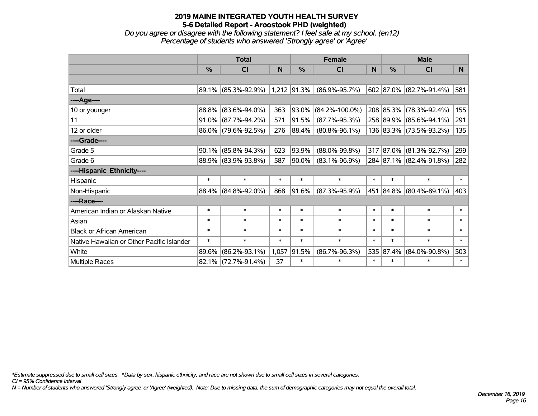*Do you agree or disagree with the following statement? I feel safe at my school. (en12) Percentage of students who answered 'Strongly agree' or 'Agree'*

|                                           | <b>Total</b> |                     |        | <b>Female</b> | <b>Male</b>          |        |           |                          |                |
|-------------------------------------------|--------------|---------------------|--------|---------------|----------------------|--------|-----------|--------------------------|----------------|
|                                           | %            | CI                  | N      | $\frac{0}{0}$ | CI                   | N      | $\%$      | <b>CI</b>                | N <sub>1</sub> |
|                                           |              |                     |        |               |                      |        |           |                          |                |
| Total                                     |              | 89.1% (85.3%-92.9%) |        | 1,212 91.3%   | $(86.9\% - 95.7\%)$  |        |           | 602 87.0% (82.7%-91.4%)  | 581            |
| ----Age----                               |              |                     |        |               |                      |        |           |                          |                |
| 10 or younger                             | 88.8%        | $(83.6\% - 94.0\%)$ | 363    | 93.0%         | $(84.2\% - 100.0\%)$ |        | 208 85.3% | $(78.3\% - 92.4\%)$      | 155            |
| 11                                        | 91.0%        | $(87.7\% - 94.2\%)$ | 571    | 91.5%         | $(87.7\% - 95.3\%)$  |        |           | 258 89.9% (85.6%-94.1%)  | 291            |
| 12 or older                               | 86.0%        | $(79.6\% - 92.5\%)$ | 276    | 88.4%         | $(80.8\% - 96.1\%)$  |        |           | 136 83.3% (73.5%-93.2%)  | 135            |
| ----Grade----                             |              |                     |        |               |                      |        |           |                          |                |
| Grade 5                                   | 90.1%        | $(85.8\% - 94.3\%)$ | 623    | 93.9%         | $(88.0\% - 99.8\%)$  |        |           | 317 87.0% (81.3%-92.7%)  | 299            |
| Grade 6                                   | 88.9%        | $(83.9\% - 93.8\%)$ | 587    | 90.0%         | $(83.1\% - 96.9\%)$  |        |           | 284 87.1% (82.4%-91.8%)  | 282            |
| ----Hispanic Ethnicity----                |              |                     |        |               |                      |        |           |                          |                |
| Hispanic                                  | $\ast$       | $\ast$              | $\ast$ | $\ast$        | $\ast$               | $\ast$ | $\ast$    | $\ast$                   | $\ast$         |
| Non-Hispanic                              | 88.4%        | $(84.8\% - 92.0\%)$ | 868    | 91.6%         | $(87.3\% - 95.9\%)$  | 451    |           | $ 84.8\% $ (80.4%-89.1%) | 403            |
| ----Race----                              |              |                     |        |               |                      |        |           |                          |                |
| American Indian or Alaskan Native         | $\ast$       | $\ast$              | $\ast$ | $\ast$        | $\ast$               | $\ast$ | $\ast$    | $\ast$                   | $\ast$         |
| Asian                                     | $\ast$       | $\ast$              | $\ast$ | $\ast$        | $\ast$               | $\ast$ | $\ast$    | $\ast$                   | $\ast$         |
| <b>Black or African American</b>          | $\ast$       | $\ast$              | $\ast$ | $\ast$        | $\ast$               | $\ast$ | $\ast$    | $\ast$                   | $\ast$         |
| Native Hawaiian or Other Pacific Islander | $\ast$       | $\ast$              | $\ast$ | $\ast$        | $\ast$               | $\ast$ | $\ast$    | $\ast$                   | $\ast$         |
| White                                     | 89.6%        | $(86.2\% - 93.1\%)$ | 1,057  | 91.5%         | $(86.7\% - 96.3\%)$  | 535    | 87.4%     | $(84.0\% - 90.8\%)$      | 503            |
| <b>Multiple Races</b>                     | 82.1%        | $(72.7\% - 91.4\%)$ | 37     | $\ast$        | $\ast$               | $\ast$ | $\ast$    | $\ast$                   | $\ast$         |

*\*Estimate suppressed due to small cell sizes. ^Data by sex, hispanic ethnicity, and race are not shown due to small cell sizes in several categories.*

*CI = 95% Confidence Interval*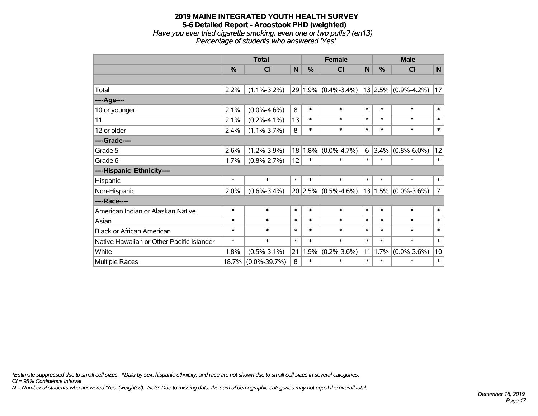# **2019 MAINE INTEGRATED YOUTH HEALTH SURVEY 5-6 Detailed Report - Aroostook PHD (weighted)** *Have you ever tried cigarette smoking, even one or two puffs? (en13) Percentage of students who answered 'Yes'*

|                                           | <b>Total</b> |                    |        |         | <b>Female</b>           |        | <b>Male</b>   |                         |                 |  |
|-------------------------------------------|--------------|--------------------|--------|---------|-------------------------|--------|---------------|-------------------------|-----------------|--|
|                                           | $\%$         | <b>CI</b>          | N      | %       | <b>CI</b>               | N      | $\frac{0}{0}$ | <b>CI</b>               | N               |  |
|                                           |              |                    |        |         |                         |        |               |                         |                 |  |
| Total                                     | 2.2%         | $(1.1\% - 3.2\%)$  |        |         | $29 1.9\% $ (0.4%-3.4%) |        |               | $13 2.5\% $ (0.9%-4.2%) | 17              |  |
| ---- Age----                              |              |                    |        |         |                         |        |               |                         |                 |  |
| 10 or younger                             | 2.1%         | $(0.0\% - 4.6\%)$  | 8      | $\ast$  | $\ast$                  | $\ast$ | $\ast$        | $\ast$                  | $\ast$          |  |
| 11                                        | 2.1%         | $(0.2\% - 4.1\%)$  | 13     | $\ast$  | $\ast$                  | $\ast$ | $\ast$        | $\ast$                  | $\ast$          |  |
| 12 or older                               | 2.4%         | $(1.1\% - 3.7\%)$  | 8      | $\ast$  | $\ast$                  | $\ast$ | $\ast$        | $\ast$                  | $\ast$          |  |
| ----Grade----                             |              |                    |        |         |                         |        |               |                         |                 |  |
| Grade 5                                   | 2.6%         | $(1.2\% - 3.9\%)$  |        | 18 1.8% | $(0.0\% - 4.7\%)$       | 6      | 3.4%          | $(0.8\% - 6.0\%)$       | 12              |  |
| Grade 6                                   | 1.7%         | $(0.8\% - 2.7\%)$  | 12     | $\ast$  | $\ast$                  | $\ast$ | $\ast$        | $\ast$                  | $\ast$          |  |
| ----Hispanic Ethnicity----                |              |                    |        |         |                         |        |               |                         |                 |  |
| Hispanic                                  | $\ast$       | $\ast$             | $\ast$ | $\ast$  | $\ast$                  | $\ast$ | $\ast$        | $\ast$                  | $\ast$          |  |
| Non-Hispanic                              | 2.0%         | $(0.6\% - 3.4\%)$  |        |         | $20 2.5\% $ (0.5%-4.6%) |        | 13 1.5%       | $(0.0\% - 3.6\%)$       | $\overline{7}$  |  |
| ----Race----                              |              |                    |        |         |                         |        |               |                         |                 |  |
| American Indian or Alaskan Native         | $\ast$       | $\ast$             | $\ast$ | $\ast$  | $\ast$                  | $\ast$ | $\ast$        | $\ast$                  | $\ast$          |  |
| Asian                                     | $\ast$       | $\ast$             | $\ast$ | $\ast$  | $\ast$                  | $\ast$ | $\ast$        | $\ast$                  | $\ast$          |  |
| <b>Black or African American</b>          | $\ast$       | $\ast$             | $\ast$ | $\ast$  | $\ast$                  | $\ast$ | $\ast$        | $\ast$                  | $\ast$          |  |
| Native Hawaiian or Other Pacific Islander | $\ast$       | $\ast$             | $\ast$ | $\ast$  | $\ast$                  | $\ast$ | $\ast$        | $\ast$                  | $\ast$          |  |
| White                                     | 1.8%         | $(0.5\% - 3.1\%)$  | 21     | 1.9%    | $(0.2\% - 3.6\%)$       | 11     | 1.7%          | $(0.0\% - 3.6\%)$       | 10 <sup>1</sup> |  |
| Multiple Races                            | 18.7%        | $(0.0\% - 39.7\%)$ | 8      | $\ast$  | $\ast$                  | $\ast$ | $\ast$        | $\ast$                  | $\ast$          |  |

*\*Estimate suppressed due to small cell sizes. ^Data by sex, hispanic ethnicity, and race are not shown due to small cell sizes in several categories.*

*CI = 95% Confidence Interval*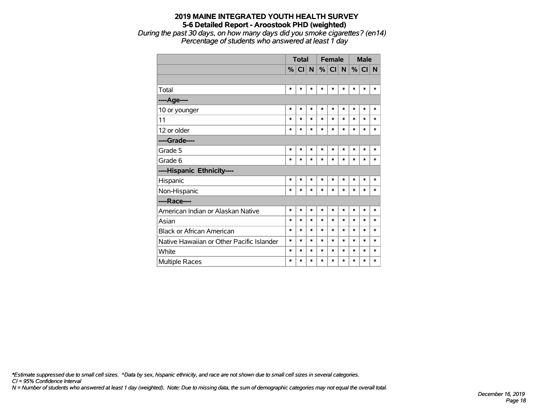*During the past 30 days, on how many days did you smoke cigarettes? (en14) Percentage of students who answered at least 1 day*

|                                           | <b>Total</b> |         |        |        | <b>Female</b> |        | <b>Male</b> |          |        |
|-------------------------------------------|--------------|---------|--------|--------|---------------|--------|-------------|----------|--------|
|                                           |              | $\%$ CI | N      | %      | <sub>C</sub>  | N      |             | $%$ CI N |        |
|                                           |              |         |        |        |               |        |             |          |        |
| Total                                     | $\ast$       | $\ast$  | $\ast$ | $\ast$ | $\ast$        | *      | *           | $\ast$   | *      |
| ----Age----                               |              |         |        |        |               |        |             |          |        |
| 10 or younger                             | $\ast$       | $\ast$  | $\ast$ | $\ast$ | $\ast$        | *      | *           | $\ast$   | $\ast$ |
| 11                                        | $\ast$       | $\ast$  | $\ast$ | $\ast$ | $\ast$        | $\ast$ | $\ast$      | $\ast$   | *      |
| 12 or older                               | $\ast$       | $\ast$  | $\ast$ | $\ast$ | $\ast$        | $\ast$ | $\ast$      | $\ast$   | $\ast$ |
| ----Grade----                             |              |         |        |        |               |        |             |          |        |
| Grade 5                                   | $\ast$       | $\ast$  | $\ast$ | $\ast$ | $\ast$        | $\ast$ | $\ast$      | $\ast$   | $\ast$ |
| Grade 6                                   | $\ast$       | $\ast$  | $\ast$ | $\ast$ | $\ast$        | $\ast$ | $\ast$      | $\ast$   | *      |
| ----Hispanic Ethnicity----                |              |         |        |        |               |        |             |          |        |
| Hispanic                                  | $\ast$       | $\ast$  | $\ast$ | $\ast$ | $\ast$        | $\ast$ | $\ast$      | $\ast$   | $\ast$ |
| Non-Hispanic                              | $\ast$       | $\ast$  | $\ast$ | $\ast$ | $\ast$        | $\ast$ | $\ast$      | $\ast$   | $\ast$ |
| ----Race----                              |              |         |        |        |               |        |             |          |        |
| American Indian or Alaskan Native         | $\ast$       | $\ast$  | $\ast$ | $\ast$ | $\ast$        | $\ast$ | $\ast$      | $\ast$   | $\ast$ |
| Asian                                     | $\ast$       | $\ast$  | $\ast$ | $\ast$ | $\ast$        | $\ast$ | $\ast$      | $\ast$   | $\ast$ |
| <b>Black or African American</b>          | $\ast$       | $\ast$  | $\ast$ | $\ast$ | $\ast$        | $\ast$ | $\ast$      | $\ast$   | $\ast$ |
| Native Hawaiian or Other Pacific Islander | $\ast$       | $\ast$  | $\ast$ | $\ast$ | $\ast$        | $\ast$ | $\ast$      | $\ast$   | $\ast$ |
| White                                     | $\ast$       | $\ast$  | $\ast$ | $\ast$ | $\ast$        | $\ast$ | $\ast$      | $\ast$   | $\ast$ |
| <b>Multiple Races</b>                     | $\ast$       | $\ast$  | $\ast$ | $\ast$ | $\ast$        | $\ast$ | $\ast$      | $\ast$   | $\ast$ |

*\*Estimate suppressed due to small cell sizes. ^Data by sex, hispanic ethnicity, and race are not shown due to small cell sizes in several categories.*

*CI = 95% Confidence Interval*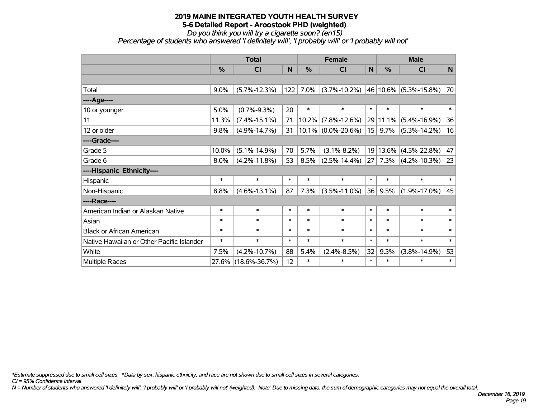*Do you think you will try a cigarette soon? (en15)*

*Percentage of students who answered 'I definitely will', 'I probably will' or 'I probably will not'*

|                                           | <b>Total</b> |                     |        |               | <b>Female</b>         |        | <b>Male</b>   |                           |              |  |
|-------------------------------------------|--------------|---------------------|--------|---------------|-----------------------|--------|---------------|---------------------------|--------------|--|
|                                           | %            | <b>CI</b>           | N      | $\frac{0}{0}$ | CI                    | N      | $\frac{9}{6}$ | <b>CI</b>                 | $\mathsf{N}$ |  |
|                                           |              |                     |        |               |                       |        |               |                           |              |  |
| Total                                     | 9.0%         | $(5.7\% - 12.3\%)$  | 122    | 7.0%          | $(3.7\% - 10.2\%)$    |        |               | 46   10.6%   (5.3%-15.8%) | 70           |  |
| ----Age----                               |              |                     |        |               |                       |        |               |                           |              |  |
| 10 or younger                             | 5.0%         | $(0.7\% - 9.3\%)$   | 20     | $\ast$        | $\ast$                | $\ast$ | $\ast$        | $\ast$                    | $\ast$       |  |
| 11                                        | 11.3%        | $(7.4\% - 15.1\%)$  | 71     | 10.2%         | $(7.8\% - 12.6\%)$    |        | 29 11.1%      | $(5.4\% - 16.9\%)$        | 36           |  |
| 12 or older                               | 9.8%         | $(4.9\% - 14.7\%)$  | 31     |               | $10.1\%$ (0.0%-20.6%) | 15     | 9.7%          | $(5.3\% - 14.2\%)$        | 16           |  |
| ----Grade----                             |              |                     |        |               |                       |        |               |                           |              |  |
| Grade 5                                   | 10.0%        | $(5.1\% - 14.9\%)$  | 70     | 5.7%          | $(3.1\% - 8.2\%)$     |        | 19 13.6%      | $(4.5\% - 22.8\%)$        | 47           |  |
| Grade 6                                   | 8.0%         | $(4.2\% - 11.8\%)$  | 53     | 8.5%          | $(2.5\% - 14.4\%)$    |        | 27 7.3%       | $(4.2\% - 10.3\%)$        | 23           |  |
| ----Hispanic Ethnicity----                |              |                     |        |               |                       |        |               |                           |              |  |
| Hispanic                                  | $\ast$       | $\ast$              | $\ast$ | $\ast$        | $\ast$                | $\ast$ | $\ast$        | $\ast$                    | $\ast$       |  |
| Non-Hispanic                              | 8.8%         | $(4.6\% - 13.1\%)$  | 87     | 7.3%          | $(3.5\% - 11.0\%)$    | 36     | 9.5%          | $(1.9\% - 17.0\%)$        | 45           |  |
| ----Race----                              |              |                     |        |               |                       |        |               |                           |              |  |
| American Indian or Alaskan Native         | $\ast$       | $\ast$              | $\ast$ | $\ast$        | $\ast$                | $\ast$ | $\ast$        | $\ast$                    | $\ast$       |  |
| Asian                                     | $\ast$       | $\ast$              | $\ast$ | $\ast$        | $\ast$                | $\ast$ | $\ast$        | $\ast$                    | $\ast$       |  |
| <b>Black or African American</b>          | $\ast$       | $\ast$              | $\ast$ | $\ast$        | $\ast$                | $\ast$ | $\ast$        | $\ast$                    | $\ast$       |  |
| Native Hawaiian or Other Pacific Islander | $\ast$       | $\ast$              | $\ast$ | $\ast$        | $\ast$                | $\ast$ | $\ast$        | $\ast$                    | $\ast$       |  |
| White                                     | 7.5%         | $(4.2\% - 10.7\%)$  | 88     | 5.4%          | $(2.4\% - 8.5\%)$     | 32     | 9.3%          | $(3.8\% - 14.9\%)$        | 53           |  |
| Multiple Races                            | 27.6%        | $(18.6\% - 36.7\%)$ | 12     | $\ast$        | *                     | $\ast$ | $\ast$        | $\ast$                    | $\ast$       |  |

*\*Estimate suppressed due to small cell sizes. ^Data by sex, hispanic ethnicity, and race are not shown due to small cell sizes in several categories.*

*CI = 95% Confidence Interval*

*N = Number of students who answered 'I definitely will', 'I probably will' or 'I probably will not' (weighted). Note: Due to missing data, the sum of demographic categories may not equal the overall total.*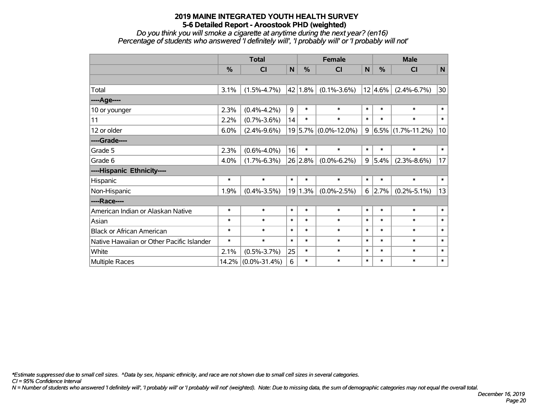*Do you think you will smoke a cigarette at anytime during the next year? (en16) Percentage of students who answered 'I definitely will', 'I probably will' or 'I probably will not'*

|                                           | <b>Total</b> |                    |        | <b>Female</b> |                      |        | <b>Male</b>    |                      |        |
|-------------------------------------------|--------------|--------------------|--------|---------------|----------------------|--------|----------------|----------------------|--------|
|                                           | $\%$         | <b>CI</b>          | N      | $\%$          | CI                   | N      | $\%$           | <b>CI</b>            | N      |
|                                           |              |                    |        |               |                      |        |                |                      |        |
| Total                                     | 3.1%         | $(1.5\% - 4.7\%)$  |        | $42$ 1.8%     | $(0.1\% - 3.6\%)$    |        | $12 4.6\% $    | $(2.4\% - 6.7\%)$    | 30     |
| ----Age----                               |              |                    |        |               |                      |        |                |                      |        |
| 10 or younger                             | 2.3%         | $(0.4\% - 4.2\%)$  | 9      | $\ast$        | $\ast$               | $\ast$ | $\ast$         | $\ast$               | $\ast$ |
| 11                                        | 2.2%         | $(0.7\% - 3.6\%)$  | 14     | $\ast$        | $\ast$               | $\ast$ | $\ast$         | $\ast$               | $\ast$ |
| 12 or older                               | 6.0%         | $(2.4\% - 9.6\%)$  |        |               | 19 5.7% (0.0%-12.0%) | 9      |                | $6.5\%$ (1.7%-11.2%) | 10     |
| ----Grade----                             |              |                    |        |               |                      |        |                |                      |        |
| Grade 5                                   | 2.3%         | $(0.6\% - 4.0\%)$  | 16     | $\ast$        | $\ast$               | $\ast$ | $\ast$         | $\ast$               | $\ast$ |
| Grade 6                                   | 4.0%         | $(1.7\% - 6.3\%)$  |        | 26 2.8%       | $(0.0\% - 6.2\%)$    |        | 9 5.4%         | $(2.3\% - 8.6\%)$    | 17     |
| ----Hispanic Ethnicity----                |              |                    |        |               |                      |        |                |                      |        |
| Hispanic                                  | $\ast$       | $\ast$             | $\ast$ | $\ast$        | $\ast$               | $\ast$ | $\ast$         | $\ast$               | $\ast$ |
| Non-Hispanic                              | 1.9%         | $(0.4\% - 3.5\%)$  |        | 19 1.3%       | $(0.0\% - 2.5\%)$    |        | $6 \mid 2.7\%$ | $(0.2\% - 5.1\%)$    | 13     |
| ----Race----                              |              |                    |        |               |                      |        |                |                      |        |
| American Indian or Alaskan Native         | $\ast$       | $\ast$             | $\ast$ | $\ast$        | $\ast$               | $\ast$ | $\ast$         | $\ast$               | $\ast$ |
| Asian                                     | $\ast$       | $\ast$             | $\ast$ | $\ast$        | $\ast$               | $\ast$ | $\ast$         | $\ast$               | $\ast$ |
| <b>Black or African American</b>          | $\ast$       | $\ast$             | $\ast$ | $\ast$        | $\ast$               | $\ast$ | $\ast$         | $\ast$               | $\ast$ |
| Native Hawaiian or Other Pacific Islander | $\ast$       | $\ast$             | $\ast$ | $\ast$        | $\ast$               | $\ast$ | $\ast$         | $\ast$               | $\ast$ |
| White                                     | 2.1%         | $(0.5\% - 3.7\%)$  | 25     | $\ast$        | $\ast$               | $\ast$ | $\ast$         | $\ast$               | $\ast$ |
| <b>Multiple Races</b>                     | 14.2%        | $(0.0\% - 31.4\%)$ | 6      | $\ast$        | $\ast$               | $\ast$ | $\ast$         | $\ast$               | $\ast$ |

*\*Estimate suppressed due to small cell sizes. ^Data by sex, hispanic ethnicity, and race are not shown due to small cell sizes in several categories.*

*CI = 95% Confidence Interval*

*N = Number of students who answered 'I definitely will', 'I probably will' or 'I probably will not' (weighted). Note: Due to missing data, the sum of demographic categories may not equal the overall total.*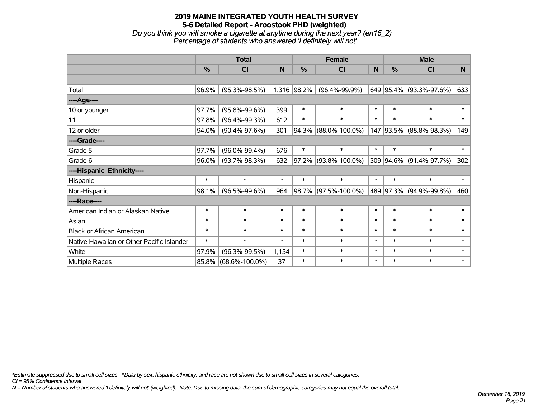#### **2019 MAINE INTEGRATED YOUTH HEALTH SURVEY 5-6 Detailed Report - Aroostook PHD (weighted)** *Do you think you will smoke a cigarette at anytime during the next year? (en16\_2) Percentage of students who answered 'I definitely will not'*

|                                           | <b>Total</b>  |                      |        | <b>Female</b> |                      | <b>Male</b> |               |                          |        |
|-------------------------------------------|---------------|----------------------|--------|---------------|----------------------|-------------|---------------|--------------------------|--------|
|                                           | $\frac{0}{0}$ | CI                   | N      | %             | <b>CI</b>            | N           | $\frac{0}{0}$ | <b>CI</b>                | N      |
|                                           |               |                      |        |               |                      |             |               |                          |        |
| Total                                     | 96.9%         | $(95.3\% - 98.5\%)$  |        | 1,316 98.2%   | $(96.4\% - 99.9\%)$  |             |               | 649 95.4% (93.3%-97.6%)  | 633    |
| ----Age----                               |               |                      |        |               |                      |             |               |                          |        |
| 10 or younger                             | 97.7%         | $(95.8\% - 99.6\%)$  | 399    | $\ast$        | $\ast$               | $\ast$      | $\ast$        | $\ast$                   | $\ast$ |
| 11                                        | 97.8%         | $(96.4\% - 99.3\%)$  | 612    | $\ast$        | $\ast$               | $\ast$      | $\ast$        | $\ast$                   | $\ast$ |
| 12 or older                               | 94.0%         | $(90.4\% - 97.6\%)$  | 301    | $ 94.3\% $    | $(88.0\% - 100.0\%)$ | 147         |               | $ 93.5\% $ (88.8%-98.3%) | 149    |
| ----Grade----                             |               |                      |        |               |                      |             |               |                          |        |
| Grade 5                                   | 97.7%         | $(96.0\% - 99.4\%)$  | 676    | $\ast$        | $\ast$               | $\ast$      | $\ast$        | $\ast$                   | $\ast$ |
| Grade 6                                   | 96.0%         | $(93.7\% - 98.3\%)$  | 632    | $ 97.2\% $    | $(93.8\% - 100.0\%)$ |             | 309 94.6%     | $(91.4\% - 97.7\%)$      | 302    |
| ----Hispanic Ethnicity----                |               |                      |        |               |                      |             |               |                          |        |
| Hispanic                                  | $\ast$        | $\ast$               | $\ast$ | $\ast$        | $\ast$               | $\ast$      | $\ast$        | $\ast$                   | $\ast$ |
| Non-Hispanic                              | 98.1%         | $(96.5\% - 99.6\%)$  | 964    |               | 98.7% (97.5%-100.0%) |             | 489 97.3%     | $(94.9\% - 99.8\%)$      | 460    |
| ----Race----                              |               |                      |        |               |                      |             |               |                          |        |
| American Indian or Alaskan Native         | $\ast$        | $\ast$               | $\ast$ | $\ast$        | $\ast$               | $\ast$      | $\ast$        | $\ast$                   | $\ast$ |
| Asian                                     | $\ast$        | $\ast$               | $\ast$ | $\ast$        | $\ast$               | $\ast$      | $\ast$        | $\ast$                   | $\ast$ |
| <b>Black or African American</b>          | $\ast$        | $\ast$               | $\ast$ | $\ast$        | $\ast$               | $\ast$      | $\ast$        | $\ast$                   | $\ast$ |
| Native Hawaiian or Other Pacific Islander | $\ast$        | $\ast$               | $\ast$ | $\ast$        | $\ast$               | $\ast$      | $\ast$        | $\ast$                   | $\ast$ |
| White                                     | 97.9%         | $(96.3\% - 99.5\%)$  | 1,154  | $\ast$        | $\ast$               | $\ast$      | $\ast$        | $\ast$                   | $\ast$ |
| Multiple Races                            | 85.8%         | $(68.6\% - 100.0\%)$ | 37     | $\ast$        | $\ast$               | $\ast$      | $\ast$        | $\ast$                   | $\ast$ |

*\*Estimate suppressed due to small cell sizes. ^Data by sex, hispanic ethnicity, and race are not shown due to small cell sizes in several categories.*

*CI = 95% Confidence Interval*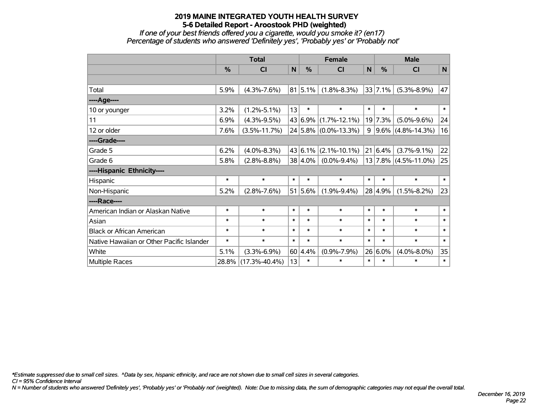*If one of your best friends offered you a cigarette, would you smoke it? (en17) Percentage of students who answered 'Definitely yes', 'Probably yes' or 'Probably not'*

|                                           | <b>Total</b>  |                     |        |         | <b>Female</b>        | <b>Male</b> |                 |                                |           |
|-------------------------------------------|---------------|---------------------|--------|---------|----------------------|-------------|-----------------|--------------------------------|-----------|
|                                           | $\frac{0}{0}$ | C <sub>l</sub>      | N      | $\%$    | <b>CI</b>            | N           | $\%$            | <b>CI</b>                      | ${\sf N}$ |
|                                           |               |                     |        |         |                      |             |                 |                                |           |
| Total                                     | 5.9%          | $(4.3\% - 7.6\%)$   |        | 81 5.1% | $(1.8\% - 8.3\%)$    |             | $33 \mid 7.1\%$ | $(5.3\% - 8.9\%)$              | 47        |
| ---- Age----                              |               |                     |        |         |                      |             |                 |                                |           |
| 10 or younger                             | 3.2%          | $(1.2\% - 5.1\%)$   | 13     | $\ast$  | $\ast$               | $\ast$      | $\ast$          | $\ast$                         | $\ast$    |
| 11                                        | 6.9%          | $(4.3\% - 9.5\%)$   |        | 43 6.9% | $(1.7\% - 12.1\%)$   |             | 19 7.3%         | $(5.0\% - 9.6\%)$              | 24        |
| 12 or older                               | 7.6%          | $(3.5\% - 11.7\%)$  |        |         | 24 5.8% (0.0%-13.3%) |             |                 | $9   9.6\%   (4.8\% - 14.3\%)$ | 16        |
| ----Grade----                             |               |                     |        |         |                      |             |                 |                                |           |
| Grade 5                                   | 6.2%          | $(4.0\% - 8.3\%)$   |        | 43 6.1% | $(2.1\% - 10.1\%)$   |             | 21 6.4%         | $(3.7\% - 9.1\%)$              | 22        |
| Grade 6                                   | 5.8%          | $(2.8\% - 8.8\%)$   |        | 38 4.0% | $(0.0\% - 9.4\%)$    |             |                 | $13$ 7.8% (4.5%-11.0%)         | 25        |
| ----Hispanic Ethnicity----                |               |                     |        |         |                      |             |                 |                                |           |
| Hispanic                                  | $\ast$        | $\ast$              | $\ast$ | $\ast$  | $\ast$               | $\ast$      | $\ast$          | $\ast$                         | $\ast$    |
| Non-Hispanic                              | 5.2%          | $(2.8\% - 7.6\%)$   |        | 51 5.6% | $(1.9\% - 9.4\%)$    |             | 28 4.9%         | $(1.5\% - 8.2\%)$              | 23        |
| ----Race----                              |               |                     |        |         |                      |             |                 |                                |           |
| American Indian or Alaskan Native         | $\ast$        | $\ast$              | $\ast$ | $\ast$  | $\ast$               | $\ast$      | $\ast$          | $\ast$                         | $\ast$    |
| Asian                                     | $\ast$        | $\ast$              | $\ast$ | $\ast$  | $\ast$               | $\ast$      | $\ast$          | $\ast$                         | $\ast$    |
| <b>Black or African American</b>          | $\ast$        | $\ast$              | $\ast$ | $\ast$  | $\ast$               | $\ast$      | $\ast$          | $\ast$                         | $\ast$    |
| Native Hawaiian or Other Pacific Islander | $\ast$        | $\ast$              | $\ast$ | $\ast$  | $\ast$               | $\ast$      | $\ast$          | $\ast$                         | $\ast$    |
| White                                     | 5.1%          | $(3.3\% - 6.9\%)$   |        | 60 4.4% | $(0.9\% - 7.9\%)$    |             | 26 6.0%         | $(4.0\% - 8.0\%)$              | 35        |
| Multiple Races                            | 28.8%         | $(17.3\% - 40.4\%)$ | 13     | $\ast$  | $\ast$               | $\ast$      | $\ast$          | $\ast$                         | $\ast$    |

*\*Estimate suppressed due to small cell sizes. ^Data by sex, hispanic ethnicity, and race are not shown due to small cell sizes in several categories.*

*CI = 95% Confidence Interval*

*N = Number of students who answered 'Definitely yes', 'Probably yes' or 'Probably not' (weighted). Note: Due to missing data, the sum of demographic categories may not equal the overall total.*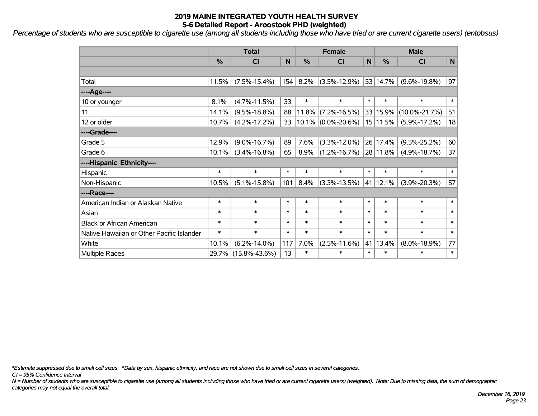*Percentage of students who are susceptible to cigarette use (among all students including those who have tried or are current cigarette users) (entobsus)*

|                                           | <b>Total</b> |                     |        |         | <b>Female</b>         |              | <b>Male</b>      |                     |              |  |
|-------------------------------------------|--------------|---------------------|--------|---------|-----------------------|--------------|------------------|---------------------|--------------|--|
|                                           | %            | C <sub>1</sub>      | N      | %       | CI                    | $\mathsf{N}$ | $\frac{0}{0}$    | <b>CI</b>           | $\mathsf{N}$ |  |
|                                           |              |                     |        |         |                       |              |                  |                     |              |  |
| Total                                     | 11.5%        | $(7.5\% - 15.4\%)$  | 154    | 8.2%    | $(3.5\% - 12.9\%)$    |              | 53 14.7%         | $(9.6\% - 19.8\%)$  | 97           |  |
| ---- Age----                              |              |                     |        |         |                       |              |                  |                     |              |  |
| 10 or younger                             | 8.1%         | $(4.7\% - 11.5\%)$  | 33     | $\ast$  | $\ast$                | $\ast$       | $\ast$           | $\ast$              | $\ast$       |  |
| 11                                        | 14.1%        | $(9.5\% - 18.8\%)$  | 88     | 11.8%   | $(7.2\% - 16.5\%)$    |              | 33 15.9%         | $(10.0\% - 21.7\%)$ | 51           |  |
| 12 or older                               | 10.7%        | $(4.2\% - 17.2\%)$  | 33     |         | $10.1\%$ (0.0%-20.6%) |              | 15 11.5%         | $(5.9\% - 17.2\%)$  | 18           |  |
| ----Grade----                             |              |                     |        |         |                       |              |                  |                     |              |  |
| Grade 5                                   | 12.9%        | $(9.0\% - 16.7\%)$  | 89     | 7.6%    | $(3.3\% - 12.0\%)$    |              | 26 17.4%         | $(9.5\% - 25.2\%)$  | 60           |  |
| Grade 6                                   | 10.1%        | $(3.4\% - 16.8\%)$  | 65     | $8.9\%$ | $(1.2\% - 16.7\%)$    |              | 28 11.8%         | $(4.9\% - 18.7\%)$  | 37           |  |
| ----Hispanic Ethnicity----                |              |                     |        |         |                       |              |                  |                     |              |  |
| Hispanic                                  | $\ast$       | $\ast$              | $\ast$ | *       | $\ast$                | $\ast$       | $\ast$           | $\ast$              | $\ast$       |  |
| Non-Hispanic                              | 10.5%        | $(5.1\% - 15.8\%)$  | 101    | 8.4%    | $(3.3\% - 13.5\%)$    |              | $41 \mid 12.1\%$ | $(3.9\% - 20.3\%)$  | 57           |  |
| ----Race----                              |              |                     |        |         |                       |              |                  |                     |              |  |
| American Indian or Alaskan Native         | $\ast$       | $\ast$              | $\ast$ | $\ast$  | $\ast$                | $\ast$       | $\ast$           | $\ast$              | $\ast$       |  |
| Asian                                     | $\ast$       | $\ast$              | $\ast$ | $\ast$  | $\ast$                | $\ast$       | $\ast$           | $\ast$              | $\ast$       |  |
| <b>Black or African American</b>          | $\ast$       | $\ast$              | $\ast$ | $\ast$  | $\ast$                | $\ast$       | $\ast$           | $\ast$              | $\ast$       |  |
| Native Hawaiian or Other Pacific Islander | $\ast$       | $\ast$              | $\ast$ | $\ast$  | $\ast$                | $\ast$       | $\ast$           | $\ast$              | $\ast$       |  |
| White                                     | 10.1%        | $(6.2\% - 14.0\%)$  | 117    | 7.0%    | $(2.5\% - 11.6\%)$    | 41           | 13.4%            | $(8.0\% - 18.9\%)$  | 77           |  |
| <b>Multiple Races</b>                     |              | 29.7% (15.8%-43.6%) | 13     | *       | $\ast$                | $\ast$       | $\ast$           | $\ast$              | $\ast$       |  |

*\*Estimate suppressed due to small cell sizes. ^Data by sex, hispanic ethnicity, and race are not shown due to small cell sizes in several categories.*

*CI = 95% Confidence Interval*

*N = Number of students who are susceptible to cigarette use (among all students including those who have tried or are current cigarette users) (weighted). Note: Due to missing data, the sum of demographic categories may not equal the overall total.*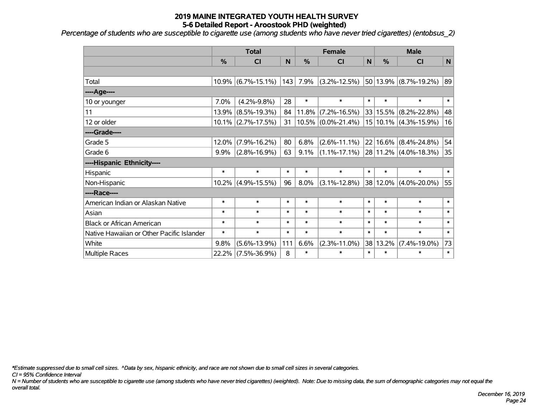*Percentage of students who are susceptible to cigarette use (among students who have never tried cigarettes) (entobsus\_2)*

|                                           | <b>Total</b> |                       |        |               | <b>Female</b>                                |              | <b>Male</b>   |                       |        |  |
|-------------------------------------------|--------------|-----------------------|--------|---------------|----------------------------------------------|--------------|---------------|-----------------------|--------|--|
|                                           | %            | <b>CI</b>             | N      | $\frac{0}{2}$ | CI                                           | $\mathsf{N}$ | $\frac{0}{0}$ | <b>CI</b>             | N      |  |
|                                           |              |                       |        |               |                                              |              |               |                       |        |  |
| Total                                     |              | $10.9\%$ (6.7%-15.1%) |        | $143$ 7.9%    | $(3.2\% - 12.5\%)$                           |              |               | 50 13.9% (8.7%-19.2%) | 89     |  |
| ---- Age----                              |              |                       |        |               |                                              |              |               |                       |        |  |
| 10 or younger                             | 7.0%         | $(4.2\% - 9.8\%)$     | 28     | $\ast$        | $\ast$                                       | $\ast$       | $\ast$        | $\ast$                | $\ast$ |  |
| 11                                        | 13.9%        | $(8.5\% - 19.3\%)$    | 84     | 11.8%         | $(7.2\% - 16.5\%)$                           |              | 33 15.5%      | $(8.2\% - 22.8\%)$    | 48     |  |
| 12 or older                               |              | $10.1\%$ (2.7%-17.5%) | 31     |               | $10.5\%$ $(0.0\%$ -21.4%)                    |              |               | 15 10.1% (4.3%-15.9%) | 16     |  |
| ----Grade----                             |              |                       |        |               |                                              |              |               |                       |        |  |
| Grade 5                                   | 12.0%        | $(7.9\% - 16.2\%)$    | 80     | 6.8%          | $(2.6\% - 11.1\%)$                           |              | $22 16.6\% $  | $(8.4\% - 24.8\%)$    | 54     |  |
| Grade 6                                   | $9.9\%$      | $(2.8\% - 16.9\%)$    | 63     | 9.1%          | $(1.1\% -17.1\%)$ 28 11.2% $(4.0\% -18.3\%)$ |              |               |                       | 35     |  |
| ----Hispanic Ethnicity----                |              |                       |        |               |                                              |              |               |                       |        |  |
| Hispanic                                  | $\ast$       | $\ast$                | $\ast$ | $\ast$        | $\ast$                                       | $\ast$       | $\ast$        | $\ast$                | $\ast$ |  |
| Non-Hispanic                              |              | $10.2\%$ (4.9%-15.5%) | 96     | 8.0%          | $(3.1\% - 12.8\%)$                           |              | 38 12.0%      | $(4.0\% - 20.0\%)$    | 55     |  |
| ----Race----                              |              |                       |        |               |                                              |              |               |                       |        |  |
| American Indian or Alaskan Native         | $\ast$       | $\ast$                | $\ast$ | $\ast$        | $\ast$                                       | $\ast$       | $\ast$        | $\ast$                | $\ast$ |  |
| Asian                                     | $\ast$       | $\ast$                | $\ast$ | $\ast$        | $\ast$                                       | $\ast$       | $\ast$        | $\ast$                | $\ast$ |  |
| <b>Black or African American</b>          | $\ast$       | $\ast$                | $\ast$ | $\ast$        | $\ast$                                       | $\ast$       | $\ast$        | $\ast$                | $\ast$ |  |
| Native Hawaiian or Other Pacific Islander | $\ast$       | $\ast$                | $\ast$ | $\ast$        | $\ast$                                       | $\ast$       | $\ast$        | $\ast$                | $\ast$ |  |
| White                                     | 9.8%         | $(5.6\% - 13.9\%)$    | 111    | 6.6%          | $(2.3\% - 11.0\%)$                           |              | 38 13.2%      | $(7.4\% - 19.0\%)$    | 73     |  |
| Multiple Races                            | 22.2%        | $(7.5\% - 36.9\%)$    | 8      | $\ast$        | $\ast$                                       | $\ast$       | $\ast$        | $\ast$                | $\ast$ |  |

*\*Estimate suppressed due to small cell sizes. ^Data by sex, hispanic ethnicity, and race are not shown due to small cell sizes in several categories.*

*CI = 95% Confidence Interval*

*N = Number of students who are susceptible to cigarette use (among students who have never tried cigarettes) (weighted). Note: Due to missing data, the sum of demographic categories may not equal the overall total.*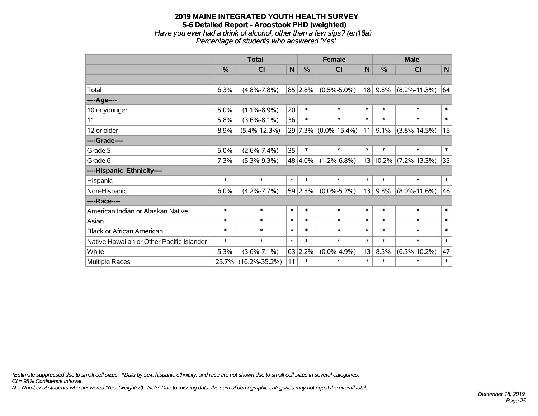#### **2019 MAINE INTEGRATED YOUTH HEALTH SURVEY 5-6 Detailed Report - Aroostook PHD (weighted)** *Have you ever had a drink of alcohol, other than a few sips? (en18a) Percentage of students who answered 'Yes'*

|                                           | <b>Total</b> |                     |        |               | <b>Female</b>        |        | <b>Male</b> |                    |        |  |
|-------------------------------------------|--------------|---------------------|--------|---------------|----------------------|--------|-------------|--------------------|--------|--|
|                                           | %            | C <sub>1</sub>      | N      | $\frac{0}{0}$ | <b>CI</b>            | N      | %           | <b>CI</b>          | N      |  |
|                                           |              |                     |        |               |                      |        |             |                    |        |  |
| Total                                     | 6.3%         | $(4.8\% - 7.8\%)$   |        | 85 2.8%       | $(0.5\% - 5.0\%)$    | 18     | 9.8%        | $(8.2\% - 11.3\%)$ | 64     |  |
| ----Age----                               |              |                     |        |               |                      |        |             |                    |        |  |
| 10 or younger                             | 5.0%         | $(1.1\% - 8.9\%)$   | 20     | $\ast$        | $\ast$               | $\ast$ | $\ast$      | $\ast$             | $\ast$ |  |
| 11                                        | 5.8%         | $(3.6\% - 8.1\%)$   | 36     | *             | $\ast$               | $\ast$ | $\ast$      | $\ast$             | $\ast$ |  |
| 12 or older                               | 8.9%         | $(5.4\% - 12.3\%)$  |        |               | 29 7.3% (0.0%-15.4%) | 11     | 9.1%        | $(3.8\% - 14.5\%)$ | 15     |  |
| ----Grade----                             |              |                     |        |               |                      |        |             |                    |        |  |
| Grade 5                                   | 5.0%         | $(2.6\% - 7.4\%)$   | 35     | $\ast$        | $\ast$               | $\ast$ | $\ast$      | $\ast$             | $\ast$ |  |
| Grade 6                                   | 7.3%         | $(5.3\% - 9.3\%)$   |        | 48 4.0%       | $(1.2\% - 6.8\%)$    | 13     | 10.2%       | $(7.2\% - 13.3\%)$ | 33     |  |
| ----Hispanic Ethnicity----                |              |                     |        |               |                      |        |             |                    |        |  |
| Hispanic                                  | $\ast$       | $\ast$              | $\ast$ | *             | $\ast$               | $\ast$ | $\ast$      | $\ast$             | $\ast$ |  |
| Non-Hispanic                              | 6.0%         | $(4.2\% - 7.7\%)$   |        | 59 2.5%       | $(0.0\% - 5.2\%)$    | 13     | 9.8%        | $(8.0\% - 11.6\%)$ | 46     |  |
| ----Race----                              |              |                     |        |               |                      |        |             |                    |        |  |
| American Indian or Alaskan Native         | $\ast$       | $\ast$              | $\ast$ | $\ast$        | $\ast$               | $\ast$ | $\ast$      | $\ast$             | $\ast$ |  |
| Asian                                     | $\ast$       | $\ast$              | $\ast$ | *             | $\ast$               | $\ast$ | $\ast$      | $\ast$             | $\ast$ |  |
| <b>Black or African American</b>          | $\ast$       | $\ast$              | $\ast$ | $\ast$        | $\ast$               | $\ast$ | $\ast$      | $\ast$             | $\ast$ |  |
| Native Hawaiian or Other Pacific Islander | $\ast$       | $\ast$              | $\ast$ | *             | $\ast$               | $\ast$ | $\ast$      | $\ast$             | $\ast$ |  |
| White                                     | 5.3%         | $(3.6\% - 7.1\%)$   |        | $63$ 2.2%     | $(0.0\% - 4.9\%)$    | 13     | 8.3%        | $(6.3\% - 10.2\%)$ | 47     |  |
| Multiple Races                            | 25.7%        | $(16.2\% - 35.2\%)$ | 11     | $\ast$        | $\ast$               | $\ast$ | $\ast$      | $\ast$             | $\ast$ |  |

*\*Estimate suppressed due to small cell sizes. ^Data by sex, hispanic ethnicity, and race are not shown due to small cell sizes in several categories.*

*CI = 95% Confidence Interval*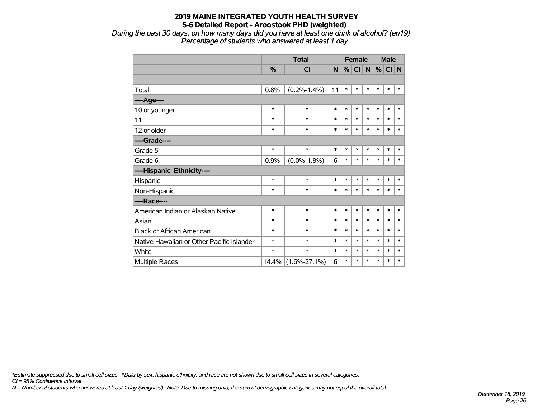*During the past 30 days, on how many days did you have at least one drink of alcohol? (en19) Percentage of students who answered at least 1 day*

|                                           |        | <b>Total</b>       |        |        |        | <b>Female</b> |        | <b>Male</b> |        |
|-------------------------------------------|--------|--------------------|--------|--------|--------|---------------|--------|-------------|--------|
|                                           | %      | CI                 | N      | %      | CI N   |               | %      | CI N        |        |
|                                           |        |                    |        |        |        |               |        |             |        |
| Total                                     | 0.8%   | $(0.2\% - 1.4\%)$  | 11     | $\ast$ | $\ast$ | $\ast$        | $\ast$ | $\ast$      | $\ast$ |
| ----Age----                               |        |                    |        |        |        |               |        |             |        |
| 10 or younger                             | $\ast$ | $\ast$             | $\ast$ | $\ast$ | $\ast$ | $\ast$        | $\ast$ | $\ast$      | $\ast$ |
| 11                                        | $\ast$ | $\ast$             | $\ast$ | $\ast$ | $\ast$ | $\ast$        | $\ast$ | $\ast$      | $\ast$ |
| 12 or older                               | $\ast$ | $\ast$             | $\ast$ | $\ast$ | $\ast$ | $\ast$        | $\ast$ | $\ast$      | $\ast$ |
| ----Grade----                             |        |                    |        |        |        |               |        |             |        |
| Grade 5                                   | $\ast$ | $\ast$             | $\ast$ | $\ast$ | $\ast$ | $\ast$        | $\ast$ | $\ast$      | $\ast$ |
| Grade 6                                   | 0.9%   | $(0.0\% - 1.8\%)$  | 6      | $\ast$ | $\ast$ | $\ast$        | $\ast$ | $\ast$      | $\ast$ |
| ----Hispanic Ethnicity----                |        |                    |        |        |        |               |        |             |        |
| Hispanic                                  | $\ast$ | $\ast$             | $\ast$ | $\ast$ | $\ast$ | $\ast$        | $\ast$ | $\ast$      | $\ast$ |
| Non-Hispanic                              | $\ast$ | $\ast$             | $\ast$ | $\ast$ | $\ast$ | $\ast$        | $\ast$ | $\ast$      | $\ast$ |
| ----Race----                              |        |                    |        |        |        |               |        |             |        |
| American Indian or Alaskan Native         | $\ast$ | $\ast$             | *      | $\ast$ | $\ast$ | $\ast$        | $\ast$ | $\ast$      | $\ast$ |
| Asian                                     | $\ast$ | $\ast$             | $\ast$ | $\ast$ | $\ast$ | $\ast$        | $\ast$ | $\ast$      | $\ast$ |
| <b>Black or African American</b>          | $\ast$ | $\ast$             | $\ast$ | $\ast$ | $\ast$ | $\ast$        | $\ast$ | $\ast$      | $\ast$ |
| Native Hawaiian or Other Pacific Islander | $\ast$ | $\ast$             | $\ast$ | $\ast$ | $\ast$ | $\ast$        | $\ast$ | $\ast$      | $\ast$ |
| White                                     | $\ast$ | $\ast$             | $\ast$ | $\ast$ | $\ast$ | $\ast$        | $\ast$ | $\ast$      | $\ast$ |
| <b>Multiple Races</b>                     | 14.4%  | $(1.6\% - 27.1\%)$ | 6      | $\ast$ | $\ast$ | $\ast$        | $\ast$ | $\ast$      | $\ast$ |

*\*Estimate suppressed due to small cell sizes. ^Data by sex, hispanic ethnicity, and race are not shown due to small cell sizes in several categories.*

*CI = 95% Confidence Interval*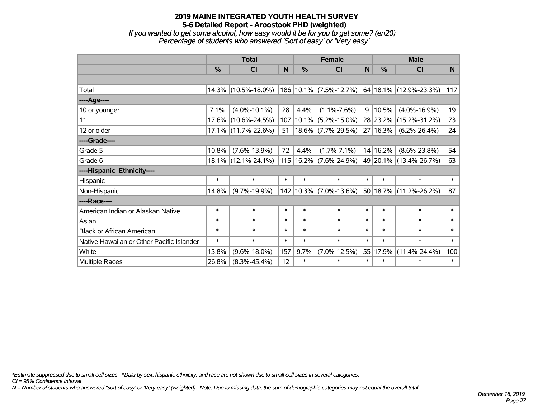*If you wanted to get some alcohol, how easy would it be for you to get some? (en20) Percentage of students who answered 'Sort of easy' or 'Very easy'*

|                                           |        | <b>Total</b>           |        |               | <b>Female</b>              |        | <b>Male</b>   |                            |        |
|-------------------------------------------|--------|------------------------|--------|---------------|----------------------------|--------|---------------|----------------------------|--------|
|                                           | %      | <b>CI</b>              | N      | $\frac{0}{0}$ | <b>CI</b>                  | N      | $\frac{0}{0}$ | <b>CI</b>                  | N.     |
|                                           |        |                        |        |               |                            |        |               |                            |        |
| Total                                     |        | 14.3% (10.5%-18.0%)    |        |               | 186 10.1% (7.5%-12.7%)     |        |               | 64 18.1% (12.9%-23.3%)     | 117    |
| ----Age----                               |        |                        |        |               |                            |        |               |                            |        |
| 10 or younger                             | 7.1%   | $(4.0\% - 10.1\%)$     | 28     | 4.4%          | $(1.1\% - 7.6\%)$          | 9      | 10.5%         | $(4.0\% - 16.9\%)$         | 19     |
| 11                                        | 17.6%  | $(10.6\% - 24.5\%)$    | 107    | $10.1\%$      | $(5.2\% - 15.0\%)$         |        | 28 23.2%      | $(15.2\% - 31.2\%)$        | 73     |
| 12 or older                               |        | $17.1\%$ (11.7%-22.6%) | 51     |               | $18.6\%$ (7.7%-29.5%)      |        | 27 16.3%      | $(6.2\% - 26.4\%)$         | 24     |
| ----Grade----                             |        |                        |        |               |                            |        |               |                            |        |
| Grade 5                                   | 10.8%  | $(7.6\% - 13.9\%)$     | 72     | 4.4%          | $(1.7\% - 7.1\%)$          |        | 14 16.2%      | $(8.6\% - 23.8\%)$         | 54     |
| Grade 6                                   |        | $18.1\%$ (12.1%-24.1%) |        |               | 115   16.2%   (7.6%-24.9%) |        |               | 49 20.1% (13.4%-26.7%)     | 63     |
| ----Hispanic Ethnicity----                |        |                        |        |               |                            |        |               |                            |        |
| Hispanic                                  | $\ast$ | $\ast$                 | $\ast$ | $\ast$        | $\ast$                     | $\ast$ | $\ast$        | $\ast$                     | $\ast$ |
| Non-Hispanic                              | 14.8%  | $(9.7\% - 19.9\%)$     |        |               | 142 10.3% (7.0%-13.6%)     |        |               | $50 18.7\% $ (11.2%-26.2%) | 87     |
| ----Race----                              |        |                        |        |               |                            |        |               |                            |        |
| American Indian or Alaskan Native         | $\ast$ | $\ast$                 | $\ast$ | $\ast$        | $\ast$                     | $\ast$ | $\ast$        | $\ast$                     | $\ast$ |
| Asian                                     | $\ast$ | $\ast$                 | $\ast$ | $\ast$        | $\ast$                     | $\ast$ | $\ast$        | $\ast$                     | $\ast$ |
| <b>Black or African American</b>          | $\ast$ | $\ast$                 | $\ast$ | $\ast$        | $\ast$                     | $\ast$ | $\ast$        | $\ast$                     | $\ast$ |
| Native Hawaiian or Other Pacific Islander | $\ast$ | $\ast$                 | $\ast$ | $\ast$        | $\ast$                     | $\ast$ | $\ast$        | $\ast$                     | $\ast$ |
| White                                     | 13.8%  | $(9.6\% - 18.0\%)$     | 157    | 9.7%          | $(7.0\% - 12.5\%)$         | 55     | 17.9%         | $(11.4\% - 24.4\%)$        | 100    |
| Multiple Races                            | 26.8%  | $(8.3\% - 45.4\%)$     | 12     | $\ast$        | $\ast$                     | $\ast$ | $\ast$        | $\ast$                     | $\ast$ |

*\*Estimate suppressed due to small cell sizes. ^Data by sex, hispanic ethnicity, and race are not shown due to small cell sizes in several categories.*

*CI = 95% Confidence Interval*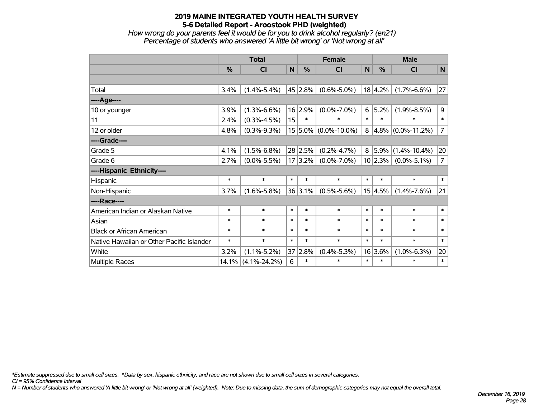*How wrong do your parents feel it would be for you to drink alcohol regularly? (en21) Percentage of students who answered 'A little bit wrong' or 'Not wrong at all'*

|                                           | <b>Total</b> |                    |                 | <b>Female</b> |                      |        | <b>Male</b>   |                        |                |  |
|-------------------------------------------|--------------|--------------------|-----------------|---------------|----------------------|--------|---------------|------------------------|----------------|--|
|                                           | %            | CI                 | $\mathbf N$     | %             | <b>CI</b>            | N      | $\frac{0}{0}$ | <b>CI</b>              | $\mathsf{N}$   |  |
|                                           |              |                    |                 |               |                      |        |               |                        |                |  |
| Total                                     | 3.4%         | $(1.4\% - 5.4\%)$  |                 | 45 2.8%       | $(0.6\% - 5.0\%)$    |        | 18 4.2%       | $(1.7\% - 6.6\%)$      | 27             |  |
| ---- Age----                              |              |                    |                 |               |                      |        |               |                        |                |  |
| 10 or younger                             | 3.9%         | $(1.3\% - 6.6\%)$  |                 | 16 2.9%       | $(0.0\% - 7.0\%)$    | 6      | 5.2%          | $(1.9\% - 8.5\%)$      | 9              |  |
| 11                                        | 2.4%         | $(0.3\% - 4.5\%)$  | 15 <sub>1</sub> | $\ast$        | $\ast$               | $\ast$ | $\ast$        | $\ast$                 | $\ast$         |  |
| 12 or older                               | 4.8%         | $(0.3\% - 9.3\%)$  |                 |               | 15 5.0% (0.0%-10.0%) | 8      |               | $ 4.8\% $ (0.0%-11.2%) | $\overline{7}$ |  |
| ----Grade----                             |              |                    |                 |               |                      |        |               |                        |                |  |
| Grade 5                                   | 4.1%         | $(1.5\% - 6.8\%)$  |                 | 28 2.5%       | $(0.2\% - 4.7\%)$    |        | 8 5.9%        | $(1.4\% - 10.4\%)$     | 20             |  |
| Grade 6                                   | 2.7%         | $(0.0\% - 5.5\%)$  |                 | 17 3.2%       | $(0.0\% - 7.0\%)$    |        | 10 2.3%       | $(0.0\% - 5.1\%)$      | $\overline{7}$ |  |
| ----Hispanic Ethnicity----                |              |                    |                 |               |                      |        |               |                        |                |  |
| Hispanic                                  | $\ast$       | $\ast$             | $\ast$          | $\ast$        | $\ast$               | $\ast$ | $\ast$        | $\ast$                 | $\ast$         |  |
| Non-Hispanic                              | 3.7%         | $(1.6\% - 5.8\%)$  |                 | 36 3.1%       | $(0.5\% - 5.6\%)$    |        | 15 4.5%       | $(1.4\% - 7.6\%)$      | 21             |  |
| ----Race----                              |              |                    |                 |               |                      |        |               |                        |                |  |
| American Indian or Alaskan Native         | $\ast$       | $\ast$             | $\ast$          | $\ast$        | $\ast$               | $\ast$ | $\ast$        | $\ast$                 | $\ast$         |  |
| Asian                                     | $\ast$       | $\ast$             | $\ast$          | $\ast$        | $\ast$               | $\ast$ | $\ast$        | $\ast$                 | $\ast$         |  |
| <b>Black or African American</b>          | $\ast$       | $\ast$             | $\ast$          | $\ast$        | $\ast$               | $\ast$ | $\ast$        | $\ast$                 | $\ast$         |  |
| Native Hawaiian or Other Pacific Islander | $\ast$       | $\ast$             | $\ast$          | $\ast$        | $\ast$               | $\ast$ | $\ast$        | $\ast$                 | $\ast$         |  |
| White                                     | 3.2%         | $(1.1\% - 5.2\%)$  |                 | 37 2.8%       | $(0.4\% - 5.3\%)$    |        | 16 3.6%       | $(1.0\% - 6.3\%)$      | 20             |  |
| Multiple Races                            | 14.1%        | $(4.1\% - 24.2\%)$ | 6               | $\ast$        | $\ast$               | $\ast$ | $\ast$        | $\ast$                 | $\ast$         |  |

*\*Estimate suppressed due to small cell sizes. ^Data by sex, hispanic ethnicity, and race are not shown due to small cell sizes in several categories.*

*CI = 95% Confidence Interval*

*N = Number of students who answered 'A little bit wrong' or 'Not wrong at all' (weighted). Note: Due to missing data, the sum of demographic categories may not equal the overall total.*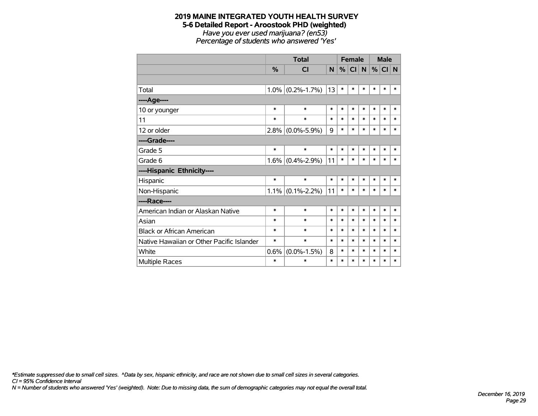#### **2019 MAINE INTEGRATED YOUTH HEALTH SURVEY 5-6 Detailed Report - Aroostook PHD (weighted)** *Have you ever used marijuana? (en53) Percentage of students who answered 'Yes'*

|                                           |               | <b>Total</b>            |        | <b>Female</b> |           |              | <b>Male</b> |        |        |
|-------------------------------------------|---------------|-------------------------|--------|---------------|-----------|--------------|-------------|--------|--------|
|                                           | $\frac{9}{6}$ | $\overline{\mathsf{C}}$ | N      | %             | <b>CI</b> | $\mathsf{N}$ | $\%$        | CI N   |        |
|                                           |               |                         |        |               |           |              |             |        |        |
| Total                                     | 1.0%          | $(0.2\% - 1.7\%)$       | 13     | $\ast$        | $\ast$    | $\ast$       | $\ast$      | $\ast$ | $\ast$ |
| ----Age----                               |               |                         |        |               |           |              |             |        |        |
| 10 or younger                             | $\ast$        | $\ast$                  | $\ast$ | $\ast$        | $\ast$    | $\ast$       | $\ast$      | $\ast$ | $\ast$ |
| 11                                        | $\ast$        | $\ast$                  | $\ast$ | $\ast$        | $\ast$    | $\ast$       | *           | $\ast$ | $\ast$ |
| 12 or older                               | 2.8%          | $(0.0\% - 5.9\%)$       | 9      | $\ast$        | $\ast$    | $\ast$       | $\ast$      | $\ast$ | $\ast$ |
| ----Grade----                             |               |                         |        |               |           |              |             |        |        |
| Grade 5                                   | $\ast$        | $\ast$                  | $\ast$ | $\ast$        | $\ast$    | $\ast$       | $\ast$      | $\ast$ | $\ast$ |
| Grade 6                                   | 1.6%          | $(0.4\% - 2.9\%)$       | 11     | $\ast$        | $\ast$    | $\ast$       | $\ast$      | $\ast$ | $\ast$ |
| ----Hispanic Ethnicity----                |               |                         |        |               |           |              |             |        |        |
| Hispanic                                  | $\ast$        | $\ast$                  | $\ast$ | $\ast$        | $\ast$    | $\ast$       | $\ast$      | $\ast$ | ∗      |
| Non-Hispanic                              | $1.1\%$       | $(0.1\% - 2.2\%)$       | 11     | $\ast$        | $\ast$    | $\ast$       | $\ast$      | $\ast$ | $\ast$ |
| ----Race----                              |               |                         |        |               |           |              |             |        |        |
| American Indian or Alaskan Native         | $\ast$        | $\ast$                  | $\ast$ | $\ast$        | $\ast$    | $\ast$       | $\ast$      | $\ast$ | $\ast$ |
| Asian                                     | $\ast$        | $\ast$                  | $\ast$ | $\ast$        | $\ast$    | $\ast$       | $\ast$      | $\ast$ | $\ast$ |
| <b>Black or African American</b>          | $\ast$        | $\ast$                  | $\ast$ | *             | $\ast$    | $\ast$       | $\ast$      | $\ast$ | $\ast$ |
| Native Hawaiian or Other Pacific Islander | $\ast$        | $\ast$                  | $\ast$ | $\ast$        | $\ast$    | $\ast$       | $\ast$      | $\ast$ | $\ast$ |
| White                                     | 0.6%          | $(0.0\% - 1.5\%)$       | 8      | *             | $\ast$    | $\ast$       | $\ast$      | $\ast$ | $\ast$ |
| <b>Multiple Races</b>                     | $\ast$        | $\ast$                  | $\ast$ | $\ast$        | $\ast$    | $\ast$       | *           | *      | *      |

*CI = 95% Confidence Interval \*Estimate suppressed due to small cell sizes. ^Data by sex, hispanic ethnicity, and race are not shown due to small cell sizes in several categories.*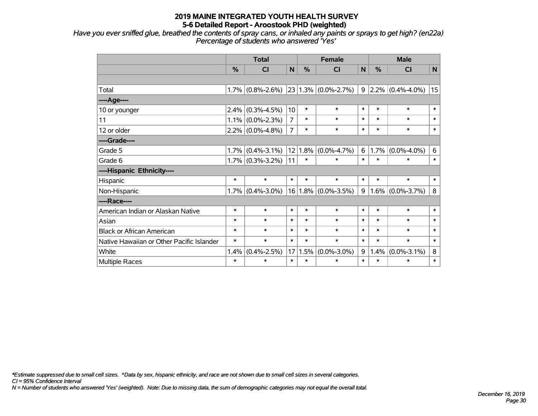*Have you ever sniffed glue, breathed the contents of spray cans, or inhaled any paints or sprays to get high? (en22a) Percentage of students who answered 'Yes'*

|                                           | <b>Total</b> |                     | <b>Female</b>  |         |                         | <b>Male</b> |         |                           |              |
|-------------------------------------------|--------------|---------------------|----------------|---------|-------------------------|-------------|---------|---------------------------|--------------|
|                                           | %            | CI                  | $\mathsf{N}$   | %       | <b>CI</b>               | <b>N</b>    | %       | <b>CI</b>                 | $\mathsf{N}$ |
|                                           |              |                     |                |         |                         |             |         |                           |              |
| Total                                     | 1.7%         | $(0.8\% - 2.6\%)$   |                |         | $23 1.3\% $ (0.0%-2.7%) |             |         | $9 2.2\% (0.4\% - 4.0\%)$ | 15           |
| ----Age----                               |              |                     |                |         |                         |             |         |                           |              |
| 10 or younger                             | 2.4%         | $(0.3\% - 4.5\%)$   | 10             | $\ast$  | $\ast$                  | $\ast$      | $\ast$  | $\ast$                    | $\ast$       |
| 11                                        | $1.1\%$      | $(0.0\% - 2.3\%)$   | $\overline{7}$ | $\ast$  | $\ast$                  | $\ast$      | $\ast$  | $\ast$                    | $\ast$       |
| 12 or older                               | $2.2\%$      | $(0.0\% - 4.8\%)$   | $\overline{7}$ | $\ast$  | $\ast$                  | $\ast$      | $\ast$  | $\ast$                    | $\ast$       |
| ----Grade----                             |              |                     |                |         |                         |             |         |                           |              |
| Grade 5                                   | 1.7%         | $(0.4\% - 3.1\%)$   |                | 12 1.8% | $(0.0\% - 4.7\%)$       | 6           | 1.7%    | $(0.0\% - 4.0\%)$         | 6            |
| Grade 6                                   |              | $1.7\%$ (0.3%-3.2%) | 11             | $\ast$  | $\ast$                  | $\ast$      | $\ast$  | $\ast$                    | $\ast$       |
| ----Hispanic Ethnicity----                |              |                     |                |         |                         |             |         |                           |              |
| Hispanic                                  | $\ast$       | $\ast$              | $\ast$         | $\ast$  | $\ast$                  | $\ast$      | $\ast$  | $\ast$                    | $\ast$       |
| Non-Hispanic                              | $1.7\%$      | $(0.4\% - 3.0\%)$   |                |         | 16 1.8% (0.0%-3.5%)     | 9           | $1.6\%$ | $(0.0\% - 3.7\%)$         | 8            |
| ----Race----                              |              |                     |                |         |                         |             |         |                           |              |
| American Indian or Alaskan Native         | $\ast$       | $\ast$              | $\ast$         | $\ast$  | $\ast$                  | $\ast$      | $\ast$  | $\ast$                    | $\ast$       |
| Asian                                     | $\ast$       | $\ast$              | $\ast$         | $\ast$  | $\ast$                  | $\ast$      | $\ast$  | $\ast$                    | $\ast$       |
| <b>Black or African American</b>          | $\ast$       | $\ast$              | $\ast$         | $\ast$  | $\ast$                  | $\ast$      | $\ast$  | $\ast$                    | $\ast$       |
| Native Hawaiian or Other Pacific Islander | $\ast$       | $\ast$              | $\ast$         | $\ast$  | $\ast$                  | $\ast$      | $\ast$  | $\ast$                    | $\ast$       |
| White                                     | 1.4%         | $(0.4\% - 2.5\%)$   | 17             | 1.5%    | $(0.0\% - 3.0\%)$       | 9           | 1.4%    | $(0.0\% - 3.1\%)$         | $\bf 8$      |
| Multiple Races                            | $\ast$       | $\ast$              | $\ast$         | $\ast$  | $\ast$                  | $\ast$      | $\ast$  | $\ast$                    | $\ast$       |

*\*Estimate suppressed due to small cell sizes. ^Data by sex, hispanic ethnicity, and race are not shown due to small cell sizes in several categories.*

*CI = 95% Confidence Interval*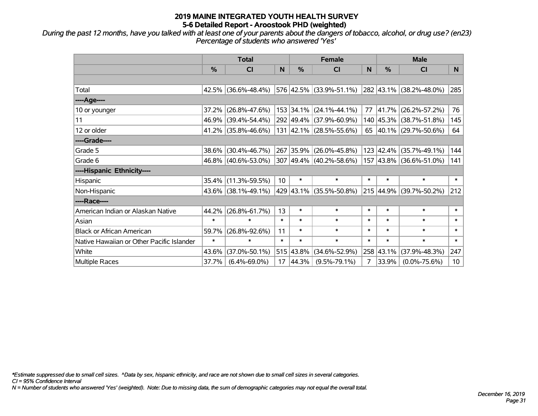*During the past 12 months, have you talked with at least one of your parents about the dangers of tobacco, alcohol, or drug use? (en23) Percentage of students who answered 'Yes'*

|                                           | <b>Total</b>  |                        |                 | <b>Female</b> | <b>Male</b>             |        |           |                             |                 |
|-------------------------------------------|---------------|------------------------|-----------------|---------------|-------------------------|--------|-----------|-----------------------------|-----------------|
|                                           | $\frac{0}{0}$ | CI                     | N               | $\frac{9}{6}$ | <b>CI</b>               | N      | %         | <b>CI</b>                   | N.              |
|                                           |               |                        |                 |               |                         |        |           |                             |                 |
| Total                                     |               | $42.5\%$ (36.6%-48.4%) |                 |               | 576 42.5% (33.9%-51.1%) |        |           | 282 43.1% (38.2%-48.0%)     | 285             |
| ----Age----                               |               |                        |                 |               |                         |        |           |                             |                 |
| 10 or younger                             | 37.2%         | $(26.8\% - 47.6\%)$    |                 |               | 153 34.1% (24.1%-44.1%) | 77     | 41.7%     | $(26.2\% - 57.2\%)$         | 76              |
| 11                                        | 46.9%         | $(39.4\% - 54.4\%)$    |                 |               | 292 49.4% (37.9%-60.9%) |        |           | 140 45.3% (38.7%-51.8%)     | 145             |
| 12 or older                               |               | 41.2% (35.8%-46.6%)    |                 |               | 131 42.1% (28.5%-55.6%) |        |           | 65 $ 40.1\% $ (29.7%-50.6%) | 64              |
| ----Grade----                             |               |                        |                 |               |                         |        |           |                             |                 |
| Grade 5                                   | 38.6%         | $(30.4\% - 46.7\%)$    |                 |               | 267 35.9% (26.0%-45.8%) |        | 123 42.4% | $(35.7\% - 49.1\%)$         | 144             |
| Grade 6                                   |               | 46.8% (40.6%-53.0%)    |                 |               | 307 49.4% (40.2%-58.6%) |        |           | 157 43.8% (36.6%-51.0%)     | 141             |
| ----Hispanic Ethnicity----                |               |                        |                 |               |                         |        |           |                             |                 |
| Hispanic                                  | 35.4%         | $(11.3\% - 59.5\%)$    | 10 <sup>1</sup> | $\ast$        | $\ast$                  | $\ast$ | $\ast$    | $\ast$                      | $\ast$          |
| Non-Hispanic                              |               | 43.6% (38.1%-49.1%)    |                 |               | 429 43.1% (35.5%-50.8%) |        | 215 44.9% | $(39.7\% - 50.2\%)$         | 212             |
| ----Race----                              |               |                        |                 |               |                         |        |           |                             |                 |
| American Indian or Alaskan Native         | 44.2%         | $(26.8\% - 61.7\%)$    | 13              | $\ast$        | $\ast$                  | $\ast$ | $\ast$    | $\ast$                      | $\ast$          |
| Asian                                     | $\ast$        | $\ast$                 | $\ast$          | $\ast$        | $\ast$                  | $\ast$ | $\ast$    | $\ast$                      | $\ast$          |
| <b>Black or African American</b>          | 59.7%         | $(26.8\% - 92.6\%)$    | 11              | $\ast$        | $\ast$                  | $\ast$ | $\ast$    | $\ast$                      | $\ast$          |
| Native Hawaiian or Other Pacific Islander | $\ast$        | $\ast$                 | $\ast$          | $\ast$        | $\ast$                  | $\ast$ | $\ast$    | $\ast$                      | $\pmb{\ast}$    |
| White                                     | 43.6%         | $(37.0\% - 50.1\%)$    |                 | 515 43.8%     | $(34.6\% - 52.9\%)$     |        | 258 43.1% | $(37.9\% - 48.3\%)$         | 247             |
| Multiple Races                            | 37.7%         | $(6.4\% - 69.0\%)$     | 17              | 44.3%         | $(9.5\% - 79.1\%)$      | 7      | 33.9%     | $(0.0\% - 75.6\%)$          | 10 <sup>1</sup> |

*\*Estimate suppressed due to small cell sizes. ^Data by sex, hispanic ethnicity, and race are not shown due to small cell sizes in several categories.*

*CI = 95% Confidence Interval*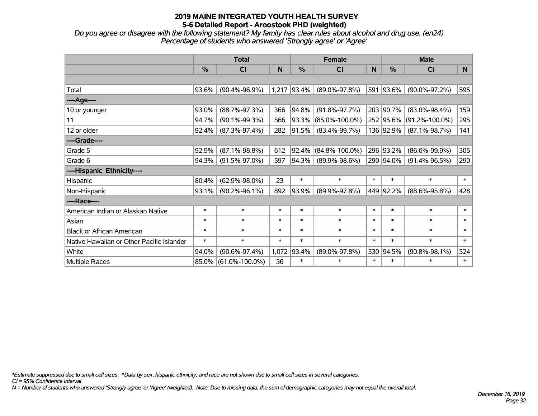*Do you agree or disagree with the following statement? My family has clear rules about alcohol and drug use. (en24) Percentage of students who answered 'Strongly agree' or 'Agree'*

|                                           |        | <b>Total</b>         |        |            | <b>Female</b>        |        | <b>Male</b>   |                      |        |  |
|-------------------------------------------|--------|----------------------|--------|------------|----------------------|--------|---------------|----------------------|--------|--|
|                                           | $\%$   | <b>CI</b>            | N      | %          | C <sub>l</sub>       | N      | $\frac{0}{0}$ | <b>CI</b>            | N      |  |
|                                           |        |                      |        |            |                      |        |               |                      |        |  |
| Total                                     | 93.6%  | $(90.4\% - 96.9\%)$  | 1,217  | $ 93.4\% $ | $(89.0\% - 97.8\%)$  |        | 591 93.6%     | $(90.0\% - 97.2\%)$  | 595    |  |
| ----Age----                               |        |                      |        |            |                      |        |               |                      |        |  |
| 10 or younger                             | 93.0%  | $(88.7\% - 97.3\%)$  | 366    | 94.8%      | $(91.8\% - 97.7\%)$  | 203    | 90.7%         | $(83.0\% - 98.4\%)$  | 159    |  |
| 11                                        | 94.7%  | $(90.1\% - 99.3\%)$  | 566    | 93.3%      | $(85.0\% - 100.0\%)$ |        | 252 95.6%     | $(91.2\% - 100.0\%)$ | 295    |  |
| 12 or older                               | 92.4%  | $(87.3\% - 97.4\%)$  | 282    | 91.5%      | $(83.4\% - 99.7\%)$  |        | 136 92.9%     | $(87.1\% - 98.7\%)$  | 141    |  |
| ----Grade----                             |        |                      |        |            |                      |        |               |                      |        |  |
| Grade 5                                   | 92.9%  | $(87.1\% - 98.8\%)$  | 612    | 92.4%      | $(84.8\% - 100.0\%)$ |        | 296 93.2%     | $(86.6\% - 99.9\%)$  | 305    |  |
| Grade 6                                   | 94.3%  | $(91.5\% - 97.0\%)$  | 597    | 94.3%      | $(89.9\% - 98.6\%)$  |        | 290 94.0%     | $(91.4\% - 96.5\%)$  | 290    |  |
| ----Hispanic Ethnicity----                |        |                      |        |            |                      |        |               |                      |        |  |
| Hispanic                                  | 80.4%  | $(62.9\% - 98.0\%)$  | 23     | $\ast$     | $\ast$               | $\ast$ | $\ast$        | $\ast$               | $\ast$ |  |
| Non-Hispanic                              | 93.1%  | $(90.2\% - 96.1\%)$  | 892    | 93.9%      | $(89.9\% - 97.8\%)$  |        | 449 92.2%     | $(88.6\% - 95.8\%)$  | 428    |  |
| ----Race----                              |        |                      |        |            |                      |        |               |                      |        |  |
| American Indian or Alaskan Native         | $\ast$ | $\ast$               | $\ast$ | $\ast$     | $\ast$               | $\ast$ | $\ast$        | $\ast$               | $\ast$ |  |
| Asian                                     | $\ast$ | $\ast$               | $\ast$ | $\ast$     | $\ast$               | $\ast$ | $\ast$        | $\ast$               | $\ast$ |  |
| <b>Black or African American</b>          | $\ast$ | $\ast$               | $\ast$ | $\ast$     | $\ast$               | $\ast$ | $\ast$        | $\ast$               | $\ast$ |  |
| Native Hawaiian or Other Pacific Islander | $\ast$ | $\ast$               | $\ast$ | $\ast$     | $\ast$               | $\ast$ | $\ast$        | $\ast$               | $\ast$ |  |
| White                                     | 94.0%  | $(90.6\% - 97.4\%)$  | 1,072  | 93.4%      | $(89.0\% - 97.8\%)$  | 530    | 94.5%         | $(90.8\% - 98.1\%)$  | 524    |  |
| Multiple Races                            | 85.0%  | $(61.0\% - 100.0\%)$ | 36     | $\ast$     | $\ast$               | $\ast$ | $\ast$        | $\ast$               | $\ast$ |  |

*\*Estimate suppressed due to small cell sizes. ^Data by sex, hispanic ethnicity, and race are not shown due to small cell sizes in several categories.*

*CI = 95% Confidence Interval*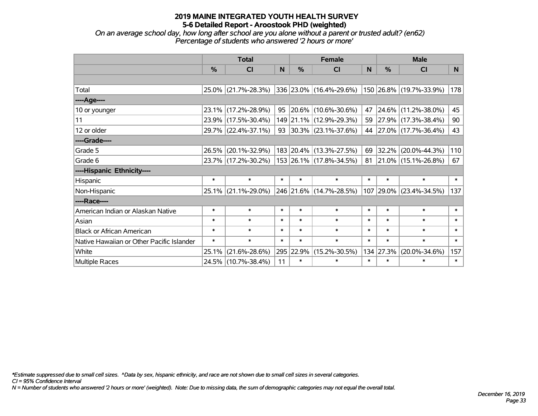*On an average school day, how long after school are you alone without a parent or trusted adult? (en62) Percentage of students who answered '2 hours or more'*

|                                           | <b>Total</b>  |                     |        | <b>Female</b> | <b>Male</b>                  |        |           |                          |        |
|-------------------------------------------|---------------|---------------------|--------|---------------|------------------------------|--------|-----------|--------------------------|--------|
|                                           | $\frac{0}{0}$ | <b>CI</b>           | N      | $\frac{9}{6}$ | <b>CI</b>                    | N      | %         | <b>CI</b>                | N.     |
|                                           |               |                     |        |               |                              |        |           |                          |        |
| Total                                     |               | 25.0% (21.7%-28.3%) |        |               | $ 336 23.0\% $ (16.4%-29.6%) |        |           | 150 26.8% (19.7%-33.9%)  | 178    |
| ----Age----                               |               |                     |        |               |                              |        |           |                          |        |
| 10 or younger                             | 23.1%         | $(17.2\% - 28.9\%)$ | 95     |               | 20.6% (10.6%-30.6%)          | 47     | 24.6%     | $(11.2\% - 38.0\%)$      | 45     |
| 11                                        | 23.9%         | $(17.5\% - 30.4\%)$ |        |               | 149 21.1% (12.9%-29.3%)      |        |           | 59 27.9% (17.3%-38.4%)   | 90     |
| 12 or older                               |               | 29.7% (22.4%-37.1%) |        |               | 93 30.3% (23.1%-37.6%)       |        |           | 44 27.0% (17.7%-36.4%)   | 43     |
| ----Grade----                             |               |                     |        |               |                              |        |           |                          |        |
| Grade 5                                   | 26.5%         | $(20.1\% - 32.9\%)$ |        |               | 183 20.4% (13.3%-27.5%)      | 69     | 32.2%     | $(20.0\% - 44.3\%)$      | 110    |
| Grade 6                                   |               | 23.7% (17.2%-30.2%) |        |               | 153 26.1% (17.8%-34.5%)      | 81     |           | $ 21.0\% $ (15.1%-26.8%) | 67     |
| ----Hispanic Ethnicity----                |               |                     |        |               |                              |        |           |                          |        |
| Hispanic                                  | $\ast$        | $\ast$              | $\ast$ | $\ast$        | $\ast$                       | $\ast$ | $\ast$    | $\ast$                   | $\ast$ |
| Non-Hispanic                              | $25.1\%$      | $(21.1\% - 29.0\%)$ |        |               | 246 21.6% (14.7%-28.5%)      |        | 107 29.0% | $(23.4\% - 34.5\%)$      | 137    |
| ----Race----                              |               |                     |        |               |                              |        |           |                          |        |
| American Indian or Alaskan Native         | $\ast$        | $\ast$              | $\ast$ | $\ast$        | $\ast$                       | $\ast$ | $\ast$    | $\ast$                   | $\ast$ |
| Asian                                     | $\ast$        | $\ast$              | $\ast$ | $\ast$        | $\ast$                       | $\ast$ | $\ast$    | $\ast$                   | $\ast$ |
| <b>Black or African American</b>          | $\ast$        | $\ast$              | $\ast$ | $\ast$        | $\ast$                       | $\ast$ | $\ast$    | $\ast$                   | $\ast$ |
| Native Hawaiian or Other Pacific Islander | $\ast$        | $\ast$              | $\ast$ | $\ast$        | $\ast$                       | $\ast$ | $\ast$    | $\ast$                   | $\ast$ |
| White                                     | 25.1%         | $(21.6\% - 28.6\%)$ |        | 295 22.9%     | $(15.2\% - 30.5\%)$          |        | 134 27.3% | $(20.0\% - 34.6\%)$      | 157    |
| Multiple Races                            |               | 24.5% (10.7%-38.4%) | 11     | $\ast$        | $\ast$                       | $\ast$ | $\ast$    | $\ast$                   | $\ast$ |

*\*Estimate suppressed due to small cell sizes. ^Data by sex, hispanic ethnicity, and race are not shown due to small cell sizes in several categories.*

*CI = 95% Confidence Interval*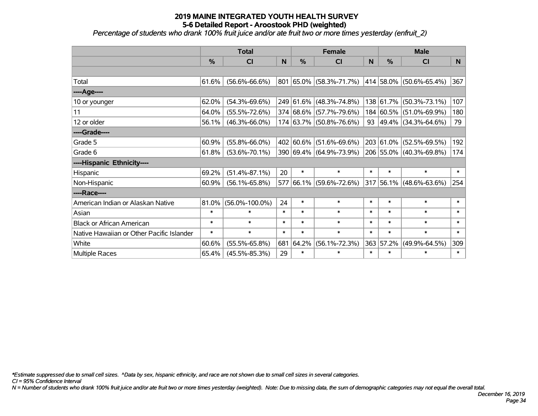*Percentage of students who drank 100% fruit juice and/or ate fruit two or more times yesterday (enfruit\_2)*

|                                           | <b>Total</b> |                      |        | <b>Female</b> | <b>Male</b>                  |        |               |                         |        |
|-------------------------------------------|--------------|----------------------|--------|---------------|------------------------------|--------|---------------|-------------------------|--------|
|                                           | %            | <b>CI</b>            | N      | $\frac{0}{0}$ | <b>CI</b>                    | N      | $\frac{0}{0}$ | <b>CI</b>               | N.     |
|                                           |              |                      |        |               |                              |        |               |                         |        |
| Total                                     | 61.6%        | $(56.6\% - 66.6\%)$  | 801    |               | $ 65.0\%  (58.3\% - 71.7\%)$ |        |               | 414 58.0% (50.6%-65.4%) | 367    |
| ----Age----                               |              |                      |        |               |                              |        |               |                         |        |
| 10 or younger                             | 62.0%        | $(54.3\% - 69.6\%)$  |        |               | 249 61.6% (48.3%-74.8%)      |        | 138 61.7%     | $(50.3\% - 73.1\%)$     | 107    |
| 11                                        | 64.0%        | $(55.5\% - 72.6\%)$  |        |               | 374 68.6% (57.7%-79.6%)      |        |               | 184 60.5% (51.0%-69.9%) | 180    |
| 12 or older                               | 56.1%        | $(46.3\% - 66.0\%)$  |        |               | 174 63.7% (50.8%-76.6%)      |        |               | 93 49.4% (34.3%-64.6%)  | 79     |
| ----Grade----                             |              |                      |        |               |                              |        |               |                         |        |
| Grade 5                                   | 60.9%        | $(55.8\% - 66.0\%)$  |        | 402 60.6%     | $(51.6\% - 69.6\%)$          |        | 203 61.0%     | $(52.5\% - 69.5\%)$     | 192    |
| Grade 6                                   | 61.8%        | $(53.6\% - 70.1\%)$  |        |               | 390 69.4% (64.9%-73.9%)      |        |               | 206 55.0% (40.3%-69.8%) | 174    |
| ----Hispanic Ethnicity----                |              |                      |        |               |                              |        |               |                         |        |
| Hispanic                                  | 69.2%        | $(51.4\% - 87.1\%)$  | 20     | $\ast$        | $\ast$                       | $\ast$ | $\ast$        | $\ast$                  | $\ast$ |
| Non-Hispanic                              | 60.9%        | $(56.1\% - 65.8\%)$  |        |               | 577 66.1% (59.6%-72.6%)      |        |               | 317 56.1% (48.6%-63.6%) | 254    |
| ----Race----                              |              |                      |        |               |                              |        |               |                         |        |
| American Indian or Alaskan Native         | 81.0%        | $(56.0\% - 100.0\%)$ | 24     | $\ast$        | $\ast$                       | $\ast$ | $\ast$        | $\ast$                  | $\ast$ |
| Asian                                     | $\ast$       | $\ast$               | $\ast$ | $\ast$        | $\ast$                       | $\ast$ | $\ast$        | $\ast$                  | $\ast$ |
| <b>Black or African American</b>          | $\ast$       | $\ast$               | $\ast$ | $\ast$        | $\ast$                       | $\ast$ | $\ast$        | $\ast$                  | $\ast$ |
| Native Hawaiian or Other Pacific Islander | $\ast$       | $\ast$               | $\ast$ | $\ast$        | $\ast$                       | $\ast$ | $\ast$        | $\ast$                  | $\ast$ |
| White                                     | 60.6%        | $(55.5\% - 65.8\%)$  | 681    | 64.2%         | $(56.1\% - 72.3\%)$          | 363    | 57.2%         | $(49.9\% - 64.5\%)$     | 309    |
| Multiple Races                            | 65.4%        | $(45.5\% - 85.3\%)$  | 29     | $\ast$        | $\ast$                       | $\ast$ | $\ast$        | $\ast$                  | $\ast$ |

*\*Estimate suppressed due to small cell sizes. ^Data by sex, hispanic ethnicity, and race are not shown due to small cell sizes in several categories.*

*CI = 95% Confidence Interval*

*N = Number of students who drank 100% fruit juice and/or ate fruit two or more times yesterday (weighted). Note: Due to missing data, the sum of demographic categories may not equal the overall total.*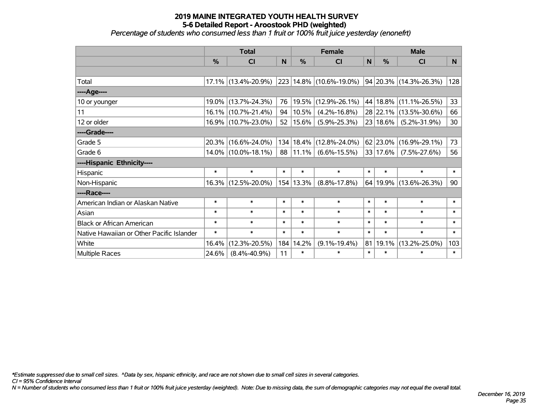#### **2019 MAINE INTEGRATED YOUTH HEALTH SURVEY 5-6 Detailed Report - Aroostook PHD (weighted)** *Percentage of students who consumed less than 1 fruit or 100% fruit juice yesterday (enonefrt)*

|                                           |        | <b>Total</b>           |        |               | <b>Female</b>             | <b>Male</b> |               |                             |        |
|-------------------------------------------|--------|------------------------|--------|---------------|---------------------------|-------------|---------------|-----------------------------|--------|
|                                           | %      | CI                     | N      | $\frac{0}{0}$ | CI                        | N           | $\frac{0}{0}$ | <b>CI</b>                   | N      |
|                                           |        |                        |        |               |                           |             |               |                             |        |
| Total                                     |        | 17.1% (13.4%-20.9%)    |        |               | 223 14.8% (10.6%-19.0%)   |             |               | $ 94 20.3\% $ (14.3%-26.3%) | 128    |
| ----Age----                               |        |                        |        |               |                           |             |               |                             |        |
| 10 or younger                             | 19.0%  | $(13.7\% - 24.3\%)$    | 76     | 19.5%         | $(12.9\% - 26.1\%)$       |             | 44 18.8%      | $(11.1\% - 26.5\%)$         | 33     |
| 11                                        | 16.1%  | $(10.7\% - 21.4\%)$    | 94     | 10.5%         | $(4.2\% - 16.8\%)$        |             | 28 22.1%      | $(13.5\% - 30.6\%)$         | 66     |
| 12 or older                               |        | 16.9% (10.7%-23.0%)    | 52     | $ 15.6\% $    | $(5.9\% - 25.3\%)$        |             | 23 18.6%      | $(5.2\% - 31.9\%)$          | 30     |
| ----Grade----                             |        |                        |        |               |                           |             |               |                             |        |
| Grade 5                                   | 20.3%  | $(16.6\% - 24.0\%)$    |        | 134 18.4%     | $(12.8\% - 24.0\%)$       |             | 62 23.0%      | $(16.9\% - 29.1\%)$         | 73     |
| Grade 6                                   |        | $14.0\%$ (10.0%-18.1%) |        |               | $88 11.1\% $ (6.6%-15.5%) |             | 33 17.6%      | $(7.5\% - 27.6\%)$          | 56     |
| ----Hispanic Ethnicity----                |        |                        |        |               |                           |             |               |                             |        |
| Hispanic                                  | $\ast$ | $\ast$                 | $\ast$ | $\ast$        | $\ast$                    | $\ast$      | $\ast$        | $\ast$                      | $\ast$ |
| Non-Hispanic                              |        | 16.3% (12.5%-20.0%)    | 154    | 13.3%         | $(8.8\% - 17.8\%)$        | 64          | 19.9%         | $(13.6\% - 26.3\%)$         | 90     |
| ----Race----                              |        |                        |        |               |                           |             |               |                             |        |
| American Indian or Alaskan Native         | $\ast$ | $\ast$                 | $\ast$ | $\ast$        | $\ast$                    | $\ast$      | $\ast$        | $\ast$                      | $\ast$ |
| Asian                                     | $\ast$ | $\ast$                 | $\ast$ | $\ast$        | $\ast$                    | $\ast$      | $\ast$        | $\ast$                      | $\ast$ |
| <b>Black or African American</b>          | $\ast$ | $\ast$                 | $\ast$ | $\ast$        | $\ast$                    | $\ast$      | $\ast$        | $\ast$                      | $\ast$ |
| Native Hawaiian or Other Pacific Islander | $\ast$ | $\ast$                 | $\ast$ | $\ast$        | $\ast$                    | $\ast$      | $\ast$        | $\ast$                      | $\ast$ |
| White                                     | 16.4%  | $(12.3\% - 20.5\%)$    | 184    | 14.2%         | $(9.1\% - 19.4\%)$        | 81          | 19.1%         | $(13.2\% - 25.0\%)$         | 103    |
| <b>Multiple Races</b>                     | 24.6%  | $(8.4\% - 40.9\%)$     | 11     | $\ast$        | $\ast$                    | $\ast$      | $\ast$        | $\ast$                      | $\ast$ |

*\*Estimate suppressed due to small cell sizes. ^Data by sex, hispanic ethnicity, and race are not shown due to small cell sizes in several categories.*

*CI = 95% Confidence Interval*

*N = Number of students who consumed less than 1 fruit or 100% fruit juice yesterday (weighted). Note: Due to missing data, the sum of demographic categories may not equal the overall total.*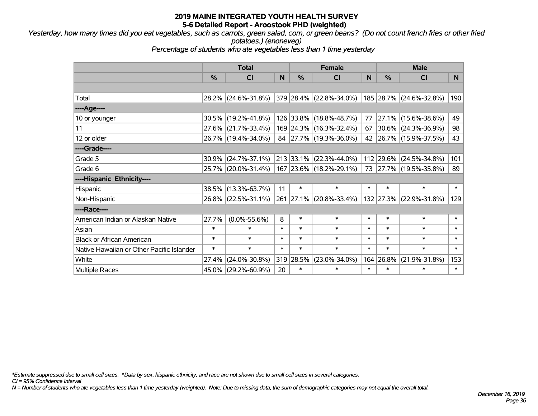*Yesterday, how many times did you eat vegetables, such as carrots, green salad, corn, or green beans? (Do not count french fries or other fried potatoes.) (enoneveg)*

*Percentage of students who ate vegetables less than 1 time yesterday*

|                                           |               | <b>Total</b>        |        |           | <b>Female</b>           | <b>Male</b> |           |                         |        |
|-------------------------------------------|---------------|---------------------|--------|-----------|-------------------------|-------------|-----------|-------------------------|--------|
|                                           | $\frac{0}{0}$ | <b>CI</b>           | N      | %         | <b>CI</b>               | N           | %         | <b>CI</b>               | N.     |
|                                           |               |                     |        |           |                         |             |           |                         |        |
| Total                                     |               | 28.2% (24.6%-31.8%) |        |           | 379 28.4% (22.8%-34.0%) |             |           | 185 28.7% (24.6%-32.8%) | 190    |
| ----Age----                               |               |                     |        |           |                         |             |           |                         |        |
| 10 or younger                             | $30.5\%$      | $(19.2\% - 41.8\%)$ |        |           | 126 33.8% (18.8%-48.7%) | 77          | $27.1\%$  | $(15.6\% - 38.6\%)$     | 49     |
| 11                                        |               | 27.6% (21.7%-33.4%) |        |           | 169 24.3% (16.3%-32.4%) | 67          |           | $30.6\%$ (24.3%-36.9%)  | 98     |
| 12 or older                               |               | 26.7% (19.4%-34.0%) |        |           | 84 27.7% (19.3%-36.0%)  |             |           | 42 26.7% (15.9%-37.5%)  | 43     |
| ----Grade----                             |               |                     |        |           |                         |             |           |                         |        |
| Grade 5                                   | 30.9%         | $(24.7\% - 37.1\%)$ |        | 213 33.1% | $(22.3\% - 44.0\%)$     |             | 112 29.6% | $(24.5\% - 34.8\%)$     | 101    |
| Grade 6                                   |               | 25.7% (20.0%-31.4%) |        |           | 167 23.6% (18.2%-29.1%) |             |           | 73 27.7% (19.5%-35.8%)  | 89     |
| ----Hispanic Ethnicity----                |               |                     |        |           |                         |             |           |                         |        |
| Hispanic                                  | 38.5%         | $(13.3\% - 63.7\%)$ | 11     | $\ast$    | $\ast$                  | $\ast$      | $\ast$    | $\ast$                  | $\ast$ |
| Non-Hispanic                              |               | 26.8% (22.5%-31.1%) |        |           | 261 27.1% (20.8%-33.4%) |             | 132 27.3% | $(22.9\% - 31.8\%)$     | 129    |
| ----Race----                              |               |                     |        |           |                         |             |           |                         |        |
| American Indian or Alaskan Native         | 27.7%         | $(0.0\% - 55.6\%)$  | 8      | $\ast$    | $\ast$                  | $\ast$      | $\ast$    | $\ast$                  | $\ast$ |
| Asian                                     | $\ast$        | $\ast$              | $\ast$ | $\ast$    | $\ast$                  | $\ast$      | $\ast$    | $\ast$                  | $\ast$ |
| <b>Black or African American</b>          | $\ast$        | $\ast$              | $\ast$ | $\ast$    | $\ast$                  | $\ast$      | $\ast$    | $\ast$                  | $\ast$ |
| Native Hawaiian or Other Pacific Islander | $\ast$        | $\ast$              | $\ast$ | $\ast$    | $\ast$                  | $\ast$      | $\ast$    | $\ast$                  | $\ast$ |
| White                                     | 27.4%         | $(24.0\% - 30.8\%)$ | 319    | 28.5%     | $(23.0\% - 34.0\%)$     | 164         | 26.8%     | $(21.9\% - 31.8\%)$     | 153    |
| <b>Multiple Races</b>                     | 45.0%         | $(29.2\% - 60.9\%)$ | 20     | $\ast$    | $\ast$                  | $\ast$      | $\ast$    | $\ast$                  | $\ast$ |

*\*Estimate suppressed due to small cell sizes. ^Data by sex, hispanic ethnicity, and race are not shown due to small cell sizes in several categories.*

*CI = 95% Confidence Interval*

*N = Number of students who ate vegetables less than 1 time yesterday (weighted). Note: Due to missing data, the sum of demographic categories may not equal the overall total.*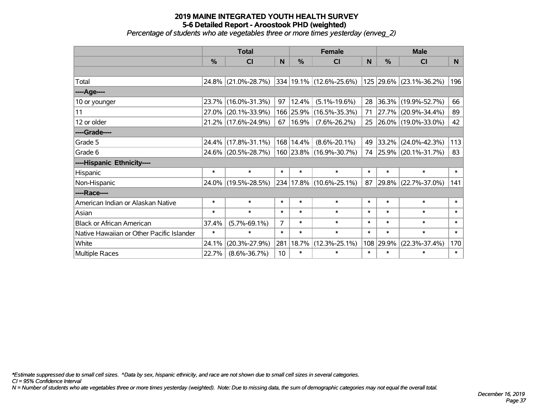*Percentage of students who ate vegetables three or more times yesterday (enveg\_2)*

|                                           |               | <b>Total</b>        |        |             | <b>Female</b>           | <b>Male</b> |        |                         |        |
|-------------------------------------------|---------------|---------------------|--------|-------------|-------------------------|-------------|--------|-------------------------|--------|
|                                           | $\frac{0}{0}$ | C <sub>l</sub>      | N      | %           | CI                      | N           | %      | <b>CI</b>               | N      |
|                                           |               |                     |        |             |                         |             |        |                         |        |
| Total                                     |               | 24.8% (21.0%-28.7%) |        |             | 334 19.1% (12.6%-25.6%) |             |        | 125 29.6% (23.1%-36.2%) | 196    |
| ----Age----                               |               |                     |        |             |                         |             |        |                         |        |
| 10 or younger                             | 23.7%         | $(16.0\% - 31.3\%)$ | 97     | 12.4%       | $(5.1\% - 19.6\%)$      | 28          | 36.3%  | $(19.9\% - 52.7\%)$     | 66     |
| 11                                        | 27.0%         | $(20.1\% - 33.9\%)$ |        | 166 25.9%   | $(16.5\% - 35.3\%)$     | 71          |        | 27.7% (20.9%-34.4%)     | 89     |
| 12 or older                               |               | 21.2% (17.6%-24.9%) | 67     | 16.9%       | $(7.6\% - 26.2\%)$      | 25          |        | 26.0% (19.0%-33.0%)     | 42     |
| ----Grade----                             |               |                     |        |             |                         |             |        |                         |        |
| Grade 5                                   | 24.4%         | $(17.8\% - 31.1\%)$ |        | 168   14.4% | $(8.6\% - 20.1\%)$      | 49          | 33.2%  | $(24.0\% - 42.3\%)$     | 113    |
| Grade 6                                   |               | 24.6% (20.5%-28.7%) |        |             | 160 23.8% (16.9%-30.7%) |             |        | 74 25.9% (20.1%-31.7%)  | 83     |
| ----Hispanic Ethnicity----                |               |                     |        |             |                         |             |        |                         |        |
| Hispanic                                  | $\ast$        | $\ast$              | $\ast$ | $\ast$      | $\ast$                  | $\ast$      | $\ast$ | $\ast$                  | $\ast$ |
| Non-Hispanic                              |               | 24.0% (19.5%-28.5%) |        |             | 234 17.8% (10.6%-25.1%) | 87          |        | 29.8% (22.7%-37.0%)     | 141    |
| ----Race----                              |               |                     |        |             |                         |             |        |                         |        |
| American Indian or Alaskan Native         | $\ast$        | $\ast$              | $\ast$ | $\ast$      | $\ast$                  | $\ast$      | $\ast$ | $\ast$                  | $\ast$ |
| Asian                                     | $\ast$        | $\ast$              | $\ast$ | $\ast$      | $\ast$                  | $\ast$      | $\ast$ | $\ast$                  | $\ast$ |
| <b>Black or African American</b>          | 37.4%         | $(5.7\% - 69.1\%)$  | 7      | $\ast$      | $\ast$                  | $\ast$      | $\ast$ | $\ast$                  | $\ast$ |
| Native Hawaiian or Other Pacific Islander | $\ast$        | $\ast$              | $\ast$ | $\ast$      | $\ast$                  | $\ast$      | $\ast$ | $\ast$                  | $\ast$ |
| White                                     | 24.1%         | $(20.3\% - 27.9\%)$ | 281    | 18.7%       | $(12.3\% - 25.1\%)$     | 108         | 29.9%  | $(22.3\% - 37.4\%)$     | 170    |
| <b>Multiple Races</b>                     | 22.7%         | $(8.6\% - 36.7\%)$  | 10     | $\ast$      | $\ast$                  | $\ast$      | $\ast$ | $\ast$                  | $\ast$ |

*\*Estimate suppressed due to small cell sizes. ^Data by sex, hispanic ethnicity, and race are not shown due to small cell sizes in several categories.*

*CI = 95% Confidence Interval*

*N = Number of students who ate vegetables three or more times yesterday (weighted). Note: Due to missing data, the sum of demographic categories may not equal the overall total.*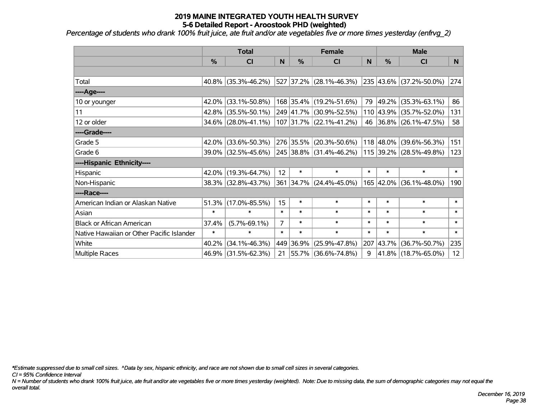*Percentage of students who drank 100% fruit juice, ate fruit and/or ate vegetables five or more times yesterday (enfrvg\_2)*

|                                           | <b>Total</b> |                        |                | <b>Female</b> | <b>Male</b>               |        |           |                         |                 |
|-------------------------------------------|--------------|------------------------|----------------|---------------|---------------------------|--------|-----------|-------------------------|-----------------|
|                                           | %            | CI                     | N              | $\frac{0}{0}$ | CI                        | N      | %         | CI                      | N               |
|                                           |              |                        |                |               |                           |        |           |                         |                 |
| Total                                     |              | 40.8% (35.3%-46.2%)    |                |               | 527 37.2% (28.1%-46.3%)   |        |           | 235 43.6% (37.2%-50.0%) | 274             |
| ----Age----                               |              |                        |                |               |                           |        |           |                         |                 |
| 10 or younger                             | 42.0%        | $(33.1\% - 50.8\%)$    |                |               | 168 35.4% (19.2%-51.6%)   | 79     | 49.2%     | $(35.3\% - 63.1\%)$     | 86              |
| 11                                        | 42.8%        | $(35.5\% - 50.1\%)$    |                |               | 249 41.7% (30.9%-52.5%)   |        | 110 43.9% | $(35.7\% - 52.0\%)$     | 131             |
| 12 or older                               |              | $34.6\%$ (28.0%-41.1%) |                |               | $107$ 31.7% (22.1%-41.2%) |        |           | 46 36.8% (26.1%-47.5%)  | 58              |
| ----Grade----                             |              |                        |                |               |                           |        |           |                         |                 |
| Grade 5                                   | 42.0%        | $(33.6\% - 50.3\%)$    |                | 276 35.5%     | $(20.3\% - 50.6\%)$       |        | 118 48.0% | $(39.6\% - 56.3\%)$     | 151             |
| Grade 6                                   |              | 39.0% (32.5%-45.6%)    |                |               | 245 38.8% (31.4%-46.2%)   |        |           | 115 39.2% (28.5%-49.8%) | 123             |
| ----Hispanic Ethnicity----                |              |                        |                |               |                           |        |           |                         |                 |
| Hispanic                                  |              | 42.0% (19.3%-64.7%)    | 12             | $\ast$        | $\ast$                    | $\ast$ | $\ast$    | $\ast$                  | $\ast$          |
| Non-Hispanic                              |              | 38.3% (32.8%-43.7%)    |                |               | 361 34.7% (24.4%-45.0%)   |        | 165 42.0% | $(36.1\% - 48.0\%)$     | 190             |
| ----Race----                              |              |                        |                |               |                           |        |           |                         |                 |
| American Indian or Alaskan Native         | 51.3%        | $(17.0\% - 85.5\%)$    | 15             | $\ast$        | $\ast$                    | $\ast$ | $\ast$    | $\ast$                  | $\ast$          |
| Asian                                     | $\ast$       | $\ast$                 | $\ast$         | $\ast$        | $\ast$                    | $\ast$ | $\ast$    | $\ast$                  | $\ast$          |
| <b>Black or African American</b>          | 37.4%        | $(5.7\% - 69.1\%)$     | $\overline{7}$ | $\ast$        | $\ast$                    | $\ast$ | $\ast$    | $\ast$                  | $\ast$          |
| Native Hawaiian or Other Pacific Islander | $\ast$       | $\ast$                 | $\ast$         | $\ast$        | $\ast$                    | $\ast$ | $\ast$    | $\ast$                  | $\ast$          |
| White                                     | 40.2%        | $(34.1\% - 46.3\%)$    |                | 449 36.9%     | $(25.9\% - 47.8\%)$       | 207    | 43.7%     | $(36.7\% - 50.7\%)$     | 235             |
| Multiple Races                            |              | 46.9% (31.5%-62.3%)    | 21             |               | $ 55.7\% $ (36.6%-74.8%)  | 9      |           | 41.8% (18.7%-65.0%)     | 12 <sub>2</sub> |

*\*Estimate suppressed due to small cell sizes. ^Data by sex, hispanic ethnicity, and race are not shown due to small cell sizes in several categories.*

*CI = 95% Confidence Interval*

*N = Number of students who drank 100% fruit juice, ate fruit and/or ate vegetables five or more times yesterday (weighted). Note: Due to missing data, the sum of demographic categories may not equal the overall total.*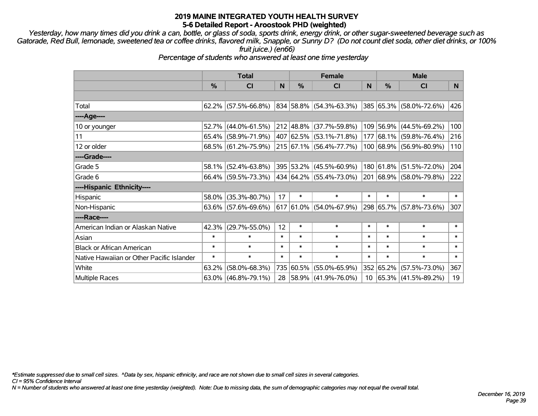*Yesterday, how many times did you drink a can, bottle, or glass of soda, sports drink, energy drink, or other sugar-sweetened beverage such as Gatorade, Red Bull, lemonade, sweetened tea or coffee drinks, flavored milk, Snapple, or Sunny D? (Do not count diet soda, other diet drinks, or 100% fruit juice.) (en66)*

*Percentage of students who answered at least one time yesterday*

|                                           | <b>Total</b>  |                        |        | <b>Female</b> | <b>Male</b>                        |        |           |                              |        |
|-------------------------------------------|---------------|------------------------|--------|---------------|------------------------------------|--------|-----------|------------------------------|--------|
|                                           | $\frac{0}{0}$ | <b>CI</b>              | N      | %             | CI                                 | N      | %         | <b>CI</b>                    | N      |
|                                           |               |                        |        |               |                                    |        |           |                              |        |
| Total                                     |               | $62.2\%$ (57.5%-66.8%) |        |               | 834 58.8% (54.3%-63.3%)            |        |           | 385 65.3% (58.0%-72.6%)      | 426    |
| ----Age----                               |               |                        |        |               |                                    |        |           |                              |        |
| 10 or younger                             | 52.7%         | $(44.0\% - 61.5\%)$    |        |               | $212   48.8\%   (37.7\% - 59.8\%)$ |        | 109 56.9% | $(44.5\% - 69.2\%)$          | 100    |
| 11                                        |               | $65.4\%$ (58.9%-71.9%) |        |               | 407   62.5%   (53.1%-71.8%)        |        | 177 68.1% | $(59.8\% - 76.4\%)$          | 216    |
| 12 or older                               |               | 68.5% (61.2%-75.9%)    |        |               | 215 67.1% (56.4%-77.7%)            |        |           | 100 68.9% (56.9%-80.9%)      | 110    |
| ----Grade----                             |               |                        |        |               |                                    |        |           |                              |        |
| Grade 5                                   |               | 58.1% (52.4%-63.8%)    |        |               | 395 53.2% (45.5%-60.9%)            |        | 180 61.8% | $(51.5\% - 72.0\%)$          | 204    |
| Grade 6                                   |               | $66.4\%$ (59.5%-73.3%) |        |               | 434 64.2% (55.4%-73.0%)            |        |           | 201 68.9% (58.0%-79.8%)      | 222    |
| ----Hispanic Ethnicity----                |               |                        |        |               |                                    |        |           |                              |        |
| Hispanic                                  | 58.0%         | $(35.3\% - 80.7\%)$    | 17     | $\ast$        | $\ast$                             | $\ast$ | $\ast$    | $\ast$                       | $\ast$ |
| Non-Hispanic                              |               | $63.6\%$ (57.6%-69.6%) |        |               | $617$ 61.0% (54.0%-67.9%)          |        |           | 298 65.7% (57.8%-73.6%)      | 307    |
| ----Race----                              |               |                        |        |               |                                    |        |           |                              |        |
| American Indian or Alaskan Native         | 42.3%         | $(29.7\% - 55.0\%)$    | 12     | $\ast$        | $\ast$                             | $\ast$ | $\ast$    | $\ast$                       | $\ast$ |
| Asian                                     | $\ast$        | $\ast$                 | $\ast$ | $\ast$        | $\ast$                             | $\ast$ | $\ast$    | $\ast$                       | $\ast$ |
| <b>Black or African American</b>          | $\ast$        | $\ast$                 | $\ast$ | $\ast$        | $\ast$                             | $\ast$ | $\ast$    | $\ast$                       | $\ast$ |
| Native Hawaiian or Other Pacific Islander | $\ast$        | $\ast$                 | $\ast$ | $\ast$        | $\ast$                             | $\ast$ | $\ast$    | $\ast$                       | $\ast$ |
| White                                     | 63.2%         | $(58.0\% - 68.3\%)$    | 735    | 60.5%         | $(55.0\% - 65.9\%)$                |        | 352 65.2% | $(57.5\% - 73.0\%)$          | 367    |
| <b>Multiple Races</b>                     | $63.0\%$      | $(46.8\% - 79.1\%)$    | 28     |               | $ 58.9\% $ (41.9%-76.0%)           |        |           | $10$   65.3%   (41.5%-89.2%) | 19     |

*\*Estimate suppressed due to small cell sizes. ^Data by sex, hispanic ethnicity, and race are not shown due to small cell sizes in several categories.*

*CI = 95% Confidence Interval*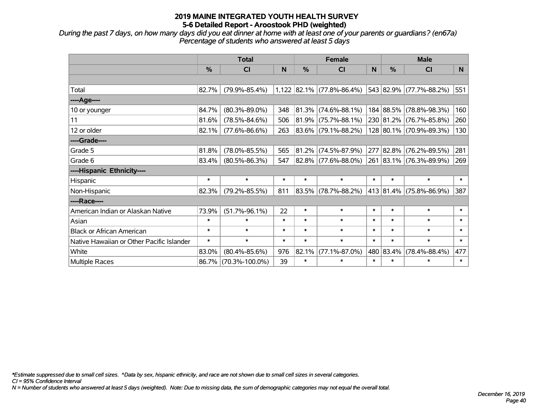*During the past 7 days, on how many days did you eat dinner at home with at least one of your parents or guardians? (en67a) Percentage of students who answered at least 5 days*

|                                           | <b>Total</b>  |                      | <b>Female</b> |               |                           | <b>Male</b> |           |                         |        |
|-------------------------------------------|---------------|----------------------|---------------|---------------|---------------------------|-------------|-----------|-------------------------|--------|
|                                           | $\frac{0}{0}$ | <b>CI</b>            | N             | $\frac{0}{0}$ | <b>CI</b>                 | N           | $\%$      | <b>CI</b>               | N      |
|                                           |               |                      |               |               |                           |             |           |                         |        |
| Total                                     | 82.7%         | $(79.9\% - 85.4\%)$  |               |               | 1,122 82.1% (77.8%-86.4%) |             |           | 543 82.9% (77.7%-88.2%) | 551    |
| ----Age----                               |               |                      |               |               |                           |             |           |                         |        |
| 10 or younger                             | 84.7%         | $(80.3\% - 89.0\%)$  | 348           |               | 81.3% (74.6%-88.1%)       |             |           | 184 88.5% (78.8%-98.3%) | 160    |
| 11                                        | 81.6%         | $(78.5\% - 84.6\%)$  | 506           |               | $81.9\%$ (75.7%-88.1%)    |             |           | 230 81.2% (76.7%-85.8%) | 260    |
| 12 or older                               | 82.1%         | $(77.6\% - 86.6\%)$  | 263           |               | 83.6% (79.1%-88.2%)       |             |           | 128 80.1% (70.9%-89.3%) | 130    |
| ----Grade----                             |               |                      |               |               |                           |             |           |                         |        |
| Grade 5                                   | 81.8%         | $(78.0\% - 85.5\%)$  | 565           |               | 81.2% (74.5%-87.9%)       | 277         | 82.8%     | $(76.2\% - 89.5\%)$     | 281    |
| Grade 6                                   | 83.4%         | $(80.5\% - 86.3\%)$  | 547           |               | 82.8% (77.6%-88.0%)       |             |           | 261 83.1% (76.3%-89.9%) | 269    |
| ----Hispanic Ethnicity----                |               |                      |               |               |                           |             |           |                         |        |
| Hispanic                                  | $\ast$        | $\ast$               | $\ast$        | $\ast$        | $\ast$                    | $\ast$      | $\ast$    | $\ast$                  | $\ast$ |
| Non-Hispanic                              | 82.3%         | $(79.2\% - 85.5\%)$  | 811           |               | 83.5% (78.7%-88.2%)       |             |           | 413 81.4% (75.8%-86.9%) | 387    |
| ----Race----                              |               |                      |               |               |                           |             |           |                         |        |
| American Indian or Alaskan Native         | 73.9%         | $(51.7\% - 96.1\%)$  | 22            | $\ast$        | $\ast$                    | $\ast$      | $\ast$    | $\ast$                  | $\ast$ |
| Asian                                     | $\ast$        | $\ast$               | $\ast$        | $\ast$        | $\ast$                    | $\ast$      | $\ast$    | $\ast$                  | $\ast$ |
| <b>Black or African American</b>          | $\ast$        | $\ast$               | $\ast$        | $\ast$        | $\ast$                    | $\ast$      | $\ast$    | $\ast$                  | $\ast$ |
| Native Hawaiian or Other Pacific Islander | $\ast$        | $\ast$               | $\ast$        | $\ast$        | $\ast$                    | $\ast$      | $\ast$    | $\ast$                  | $\ast$ |
| White                                     | 83.0%         | $(80.4\% - 85.6\%)$  | 976           | 82.1%         | $(77.1\% - 87.0\%)$       |             | 480 83.4% | $(78.4\% - 88.4\%)$     | 477    |
| <b>Multiple Races</b>                     | 86.7%         | $(70.3\% - 100.0\%)$ | 39            | $\ast$        | *                         | $\ast$      | $\ast$    | $\ast$                  | $\ast$ |

*\*Estimate suppressed due to small cell sizes. ^Data by sex, hispanic ethnicity, and race are not shown due to small cell sizes in several categories.*

*CI = 95% Confidence Interval*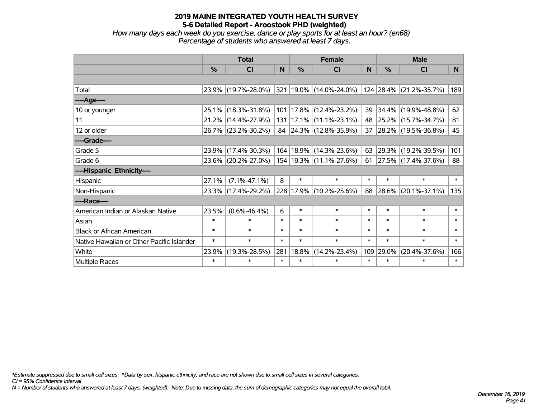*How many days each week do you exercise, dance or play sports for at least an hour? (en68) Percentage of students who answered at least 7 days.*

|                                           | <b>Total</b>  |                     | <b>Female</b> |               |                             | <b>Male</b>     |        |                         |                |
|-------------------------------------------|---------------|---------------------|---------------|---------------|-----------------------------|-----------------|--------|-------------------------|----------------|
|                                           | $\frac{0}{0}$ | CI                  | N.            | $\frac{0}{0}$ | CI                          | <b>N</b>        | %      | <b>CI</b>               | N <sub>1</sub> |
|                                           |               |                     |               |               |                             |                 |        |                         |                |
| Total                                     |               | 23.9% (19.7%-28.0%) |               |               | 321 19.0% (14.0%-24.0%)     |                 |        | 124 28.4% (21.2%-35.7%) | 189            |
| ----Age----                               |               |                     |               |               |                             |                 |        |                         |                |
| 10 or younger                             | $25.1\%$      | $(18.3\% - 31.8\%)$ |               |               | 101   17.8%   (12.4%-23.2%) | 39              | 34.4%  | $(19.9\% - 48.8\%)$     | 62             |
| 11                                        |               | 21.2% (14.4%-27.9%) |               |               | 131   17.1%   (11.1%-23.1%) | 48              |        | 25.2% (15.7%-34.7%)     | 81             |
| 12 or older                               |               | 26.7% (23.2%-30.2%) |               |               | 84 24.3% (12.8%-35.9%)      | 37 <sup>1</sup> |        | 28.2% (19.5%-36.8%)     | 45             |
| ----Grade----                             |               |                     |               |               |                             |                 |        |                         |                |
| Grade 5                                   | 23.9%         | $(17.4\% - 30.3\%)$ |               |               | 164 18.9% (14.3%-23.6%)     | 63              | 29.3%  | $(19.2\% - 39.5\%)$     | 101            |
| Grade 6                                   |               | 23.6% (20.2%-27.0%) |               |               | 154 19.3% (11.1%-27.6%)     | 61              |        | 27.5% (17.4%-37.6%)     | 88             |
| ----Hispanic Ethnicity----                |               |                     |               |               |                             |                 |        |                         |                |
| Hispanic                                  | 27.1%         | $(7.1\% - 47.1\%)$  | 8             | $\ast$        | $\ast$                      | $\ast$          | $\ast$ | $\ast$                  | $\ast$         |
| Non-Hispanic                              |               | 23.3% (17.4%-29.2%) |               |               | 228 17.9% (10.2%-25.6%)     | 88              | 28.6%  | $(20.1\% - 37.1\%)$     | 135            |
| ----Race----                              |               |                     |               |               |                             |                 |        |                         |                |
| American Indian or Alaskan Native         | 23.5%         | $(0.6\% - 46.4\%)$  | 6             | $\ast$        | $\ast$                      | $\ast$          | $\ast$ | $\ast$                  | $\ast$         |
| Asian                                     | $\ast$        | $\ast$              | $\ast$        | $\ast$        | $\ast$                      | $\ast$          | $\ast$ | $\ast$                  | $\ast$         |
| <b>Black or African American</b>          | $\ast$        | $\ast$              | $\ast$        | $\ast$        | $\ast$                      | $\ast$          | $\ast$ | $\ast$                  | $\ast$         |
| Native Hawaiian or Other Pacific Islander | $\ast$        | $\ast$              | $\ast$        | $\ast$        | $\ast$                      | $\ast$          | $\ast$ | $\ast$                  | $\ast$         |
| White                                     | 23.9%         | $(19.3\% - 28.5\%)$ | 281           | 18.8%         | $(14.2\% - 23.4\%)$         | 109             | 29.0%  | $(20.4\% - 37.6\%)$     | 166            |
| Multiple Races                            | $\ast$        | $\ast$              | $\ast$        | $\ast$        | $\ast$                      | $\ast$          | $\ast$ | $\ast$                  | $\ast$         |

*\*Estimate suppressed due to small cell sizes. ^Data by sex, hispanic ethnicity, and race are not shown due to small cell sizes in several categories.*

*CI = 95% Confidence Interval*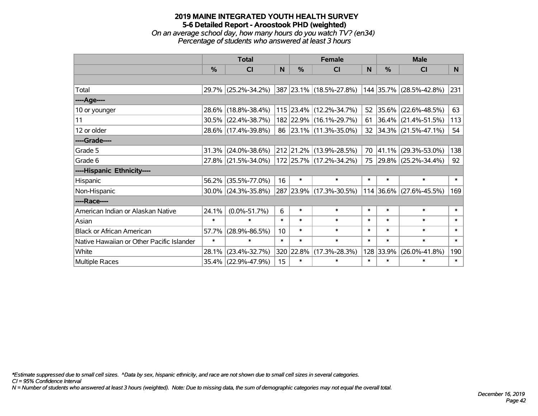*On an average school day, how many hours do you watch TV? (en34) Percentage of students who answered at least 3 hours*

|                                           | <b>Total</b>  |                        |        | <b>Female</b> | <b>Male</b>             |              |        |                          |        |
|-------------------------------------------|---------------|------------------------|--------|---------------|-------------------------|--------------|--------|--------------------------|--------|
|                                           | $\frac{0}{0}$ | <b>CI</b>              | N      | $\%$          | <b>CI</b>               | <sub>N</sub> | $\%$   | <b>CI</b>                | N      |
|                                           |               |                        |        |               |                         |              |        |                          |        |
| Total                                     |               | 29.7% (25.2%-34.2%)    |        |               | 387 23.1% (18.5%-27.8%) |              |        | 144 35.7% (28.5%-42.8%)  | 231    |
| ----Age----                               |               |                        |        |               |                         |              |        |                          |        |
| 10 or younger                             |               | 28.6% (18.8%-38.4%)    |        |               | 115 23.4% (12.2%-34.7%) | 52           | 35.6%  | $(22.6\% - 48.5\%)$      | 63     |
| 11                                        |               | $30.5\%$ (22.4%-38.7%) |        |               | 182 22.9% (16.1%-29.7%) | 61           |        | $ 36.4\% $ (21.4%-51.5%) | 113    |
| 12 or older                               |               | 28.6% (17.4%-39.8%)    |        |               | 86 23.1% (11.3%-35.0%)  |              |        | 32 34.3% (21.5%-47.1%)   | 54     |
| ----Grade----                             |               |                        |        |               |                         |              |        |                          |        |
| Grade 5                                   | 31.3%         | $(24.0\% - 38.6\%)$    |        |               | 212 21.2% (13.9%-28.5%) | 70           | 41.1%  | $(29.3\% - 53.0\%)$      | 138    |
| Grade 6                                   |               | 27.8% (21.5%-34.0%)    |        |               | 172 25.7% (17.2%-34.2%) |              |        | 75 29.8% (25.2%-34.4%)   | 92     |
| ----Hispanic Ethnicity----                |               |                        |        |               |                         |              |        |                          |        |
| Hispanic                                  |               | 56.2% (35.5%-77.0%)    | 16     | $\ast$        | $\ast$                  | $\ast$       | $\ast$ | $\ast$                   | $\ast$ |
| Non-Hispanic                              |               | $30.0\%$ (24.3%-35.8%) |        |               | 287 23.9% (17.3%-30.5%) |              |        | 114 36.6% (27.6%-45.5%)  | 169    |
| ----Race----                              |               |                        |        |               |                         |              |        |                          |        |
| American Indian or Alaskan Native         | 24.1%         | $(0.0\% - 51.7\%)$     | 6      | $\ast$        | $\ast$                  | $\ast$       | $\ast$ | $\ast$                   | $\ast$ |
| Asian                                     | $\ast$        | $\ast$                 | $\ast$ | $\ast$        | $\ast$                  | $\ast$       | $\ast$ | $\ast$                   | $\ast$ |
| <b>Black or African American</b>          | 57.7%         | $(28.9\% - 86.5\%)$    | 10     | $\ast$        | $\ast$                  | $\ast$       | $\ast$ | $\ast$                   | $\ast$ |
| Native Hawaiian or Other Pacific Islander | $\ast$        | $\ast$                 | $\ast$ | $\ast$        | $\ast$                  | $\ast$       | $\ast$ | $\ast$                   | $\ast$ |
| White                                     | 28.1%         | $(23.4\% - 32.7\%)$    |        | 320 22.8%     | $(17.3\% - 28.3\%)$     | 128          | 33.9%  | $(26.0\% - 41.8\%)$      | 190    |
| <b>Multiple Races</b>                     |               | 35.4% (22.9%-47.9%)    | 15     | $\ast$        | $\ast$                  | $\ast$       | $\ast$ | $\ast$                   | $\ast$ |

*\*Estimate suppressed due to small cell sizes. ^Data by sex, hispanic ethnicity, and race are not shown due to small cell sizes in several categories.*

*CI = 95% Confidence Interval*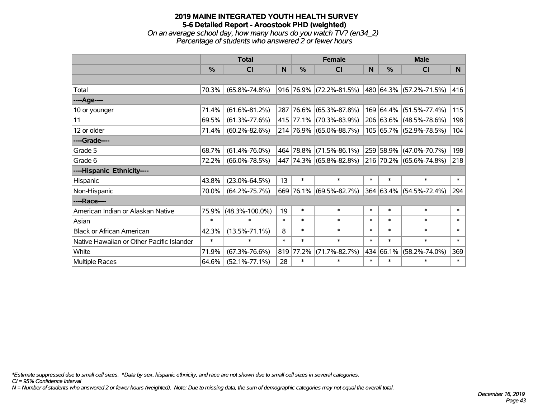# **2019 MAINE INTEGRATED YOUTH HEALTH SURVEY 5-6 Detailed Report - Aroostook PHD (weighted)** *On an average school day, how many hours do you watch TV? (en34\_2)*

*Percentage of students who answered 2 or fewer hours*

|                                           | <b>Total</b>  |                      | <b>Female</b> |               |                           | <b>Male</b> |               |                         |        |
|-------------------------------------------|---------------|----------------------|---------------|---------------|---------------------------|-------------|---------------|-------------------------|--------|
|                                           | $\frac{0}{0}$ | <b>CI</b>            | N             | $\frac{0}{0}$ | <b>CI</b>                 | N           | $\frac{0}{0}$ | <b>CI</b>               | N      |
|                                           |               |                      |               |               |                           |             |               |                         |        |
| Total                                     | 70.3%         | $(65.8\% - 74.8\%)$  |               |               | $916$ 76.9% (72.2%-81.5%) |             |               | 480 64.3% (57.2%-71.5%) | 416    |
| ----Age----                               |               |                      |               |               |                           |             |               |                         |        |
| 10 or younger                             | 71.4%         | $(61.6\% - 81.2\%)$  |               | 287 76.6%     | $(65.3\% - 87.8\%)$       |             |               | 169 64.4% (51.5%-77.4%) | 115    |
| 11                                        | 69.5%         | $(61.3\% - 77.6\%)$  |               |               | 415 77.1% (70.3%-83.9%)   |             |               | 206 63.6% (48.5%-78.6%) | 198    |
| 12 or older                               | 71.4%         | $(60.2\% - 82.6\%)$  |               |               | 214 76.9% (65.0%-88.7%)   |             |               | 105 65.7% (52.9%-78.5%) | 104    |
| ----Grade----                             |               |                      |               |               |                           |             |               |                         |        |
| Grade 5                                   | 68.7%         | $(61.4\% - 76.0\%)$  |               |               | 464 78.8% (71.5%-86.1%)   |             |               | 259 58.9% (47.0%-70.7%) | 198    |
| Grade 6                                   | 72.2%         | $(66.0\% - 78.5\%)$  |               |               | 447 74.3% (65.8%-82.8%)   |             |               | 216 70.2% (65.6%-74.8%) | 218    |
| ----Hispanic Ethnicity----                |               |                      |               |               |                           |             |               |                         |        |
| Hispanic                                  | 43.8%         | $(23.0\% - 64.5\%)$  | 13            | $\ast$        | $\ast$                    | $\ast$      | $\ast$        | $\ast$                  | $\ast$ |
| Non-Hispanic                              | 70.0%         | $(64.2\% - 75.7\%)$  |               | 669 76.1%     | $(69.5\% - 82.7\%)$       |             |               | 364 63.4% (54.5%-72.4%) | 294    |
| ----Race----                              |               |                      |               |               |                           |             |               |                         |        |
| American Indian or Alaskan Native         | 75.9%         | $(48.3\% - 100.0\%)$ | 19            | $\ast$        | $\ast$                    | $\ast$      | $\ast$        | $\ast$                  | $\ast$ |
| Asian                                     | $\ast$        | $\ast$               | $\ast$        | $\ast$        | $\ast$                    | $\ast$      | $\ast$        | $\ast$                  | $\ast$ |
| <b>Black or African American</b>          | 42.3%         | $(13.5\% - 71.1\%)$  | 8             | $\ast$        | $\ast$                    | $\ast$      | $\ast$        | $\ast$                  | $\ast$ |
| Native Hawaiian or Other Pacific Islander | $\ast$        | $\ast$               | $\ast$        | $\ast$        | $\ast$                    | $\ast$      | $\ast$        | $\ast$                  | $\ast$ |
| White                                     | 71.9%         | $(67.3\% - 76.6\%)$  | 819           | 77.2%         | $(71.7\% - 82.7\%)$       |             | 434 66.1%     | $(58.2\% - 74.0\%)$     | 369    |
| Multiple Races                            | 64.6%         | $(52.1\% - 77.1\%)$  | 28            | $\ast$        | $\ast$                    | $\ast$      | $\ast$        | $\ast$                  | $\ast$ |

*\*Estimate suppressed due to small cell sizes. ^Data by sex, hispanic ethnicity, and race are not shown due to small cell sizes in several categories.*

*CI = 95% Confidence Interval*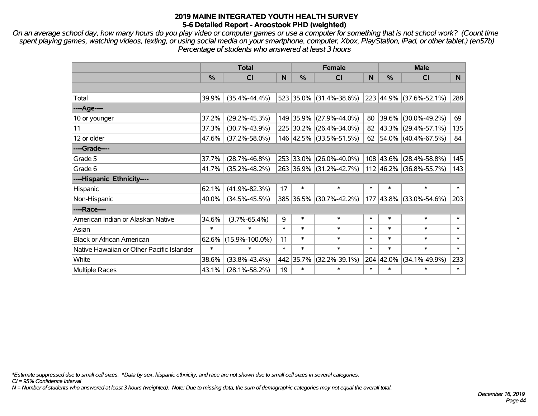*On an average school day, how many hours do you play video or computer games or use a computer for something that is not school work? (Count time spent playing games, watching videos, texting, or using social media on your smartphone, computer, Xbox, PlayStation, iPad, or other tablet.) (en57b) Percentage of students who answered at least 3 hours*

|                                           | <b>Total</b>  |                      | <b>Female</b> |           |                         | <b>Male</b> |           |                                  |        |
|-------------------------------------------|---------------|----------------------|---------------|-----------|-------------------------|-------------|-----------|----------------------------------|--------|
|                                           | $\frac{0}{0}$ | <b>CI</b>            | N             | $\%$      | <b>CI</b>               | N           | %         | <b>CI</b>                        | N      |
|                                           |               |                      |               |           |                         |             |           |                                  |        |
| Total                                     | 39.9%         | $(35.4\% - 44.4\%)$  |               |           | 523 35.0% (31.4%-38.6%) |             |           | $ 223 44.9\%  (37.6\% - 52.1\%)$ | 288    |
| ----Age----                               |               |                      |               |           |                         |             |           |                                  |        |
| 10 or younger                             | 37.2%         | $(29.2\% - 45.3\%)$  |               |           | 149 35.9% (27.9%-44.0%) | 80          |           | 39.6% (30.0%-49.2%)              | 69     |
| 11                                        | 37.3%         | $(30.7\% - 43.9\%)$  |               |           | 225 30.2% (26.4%-34.0%) | 82          |           | 43.3% (29.4%-57.1%)              | 135    |
| 12 or older                               | 47.6%         | $(37.2\% - 58.0\%)$  |               |           | 146 42.5% (33.5%-51.5%) | 62          |           | 54.0% (40.4%-67.5%)              | 84     |
| ----Grade----                             |               |                      |               |           |                         |             |           |                                  |        |
| Grade 5                                   | 37.7%         | $(28.7\% - 46.8\%)$  |               | 253 33.0% | $(26.0\% - 40.0\%)$     |             |           | 108 43.6% (28.4%-58.8%)          | 145    |
| Grade 6                                   | 41.7%         | $(35.2\% - 48.2\%)$  |               |           | 263 36.9% (31.2%-42.7%) |             |           | $112$ 46.2% (36.8%-55.7%)        | 143    |
| ----Hispanic Ethnicity----                |               |                      |               |           |                         |             |           |                                  |        |
| Hispanic                                  | 62.1%         | $(41.9\% - 82.3\%)$  | 17            | $\ast$    | $\ast$                  | $\ast$      | $\ast$    | $\ast$                           | $\ast$ |
| Non-Hispanic                              | 40.0%         | $(34.5\% - 45.5\%)$  |               |           | 385 36.5% (30.7%-42.2%) | 177         |           | $ 43.8\% $ (33.0%-54.6%)         | 203    |
| ----Race----                              |               |                      |               |           |                         |             |           |                                  |        |
| American Indian or Alaskan Native         | 34.6%         | $(3.7\% - 65.4\%)$   | 9             | *         | $\ast$                  | $\ast$      | $\ast$    | $\ast$                           | $\ast$ |
| Asian                                     | $\ast$        | $\ast$               | $\ast$        | $\ast$    | $\ast$                  | $\ast$      | $\ast$    | $\ast$                           | $\ast$ |
| <b>Black or African American</b>          | 62.6%         | $(15.9\% - 100.0\%)$ | 11            | $\ast$    | $\ast$                  | $\ast$      | $\ast$    | $\ast$                           | $\ast$ |
| Native Hawaiian or Other Pacific Islander | $\ast$        | $\ast$               | $\ast$        | $\ast$    | $\ast$                  | $\ast$      | $\ast$    | $\ast$                           | $\ast$ |
| White                                     | 38.6%         | $(33.8\% - 43.4\%)$  | 442           | 35.7%     | $(32.2\% - 39.1\%)$     |             | 204 42.0% | $(34.1\% - 49.9\%)$              | 233    |
| <b>Multiple Races</b>                     | 43.1%         | $(28.1\% - 58.2\%)$  | 19            | $\ast$    | $\ast$                  | $\ast$      | $\ast$    | $\ast$                           | $\ast$ |

*\*Estimate suppressed due to small cell sizes. ^Data by sex, hispanic ethnicity, and race are not shown due to small cell sizes in several categories.*

*CI = 95% Confidence Interval*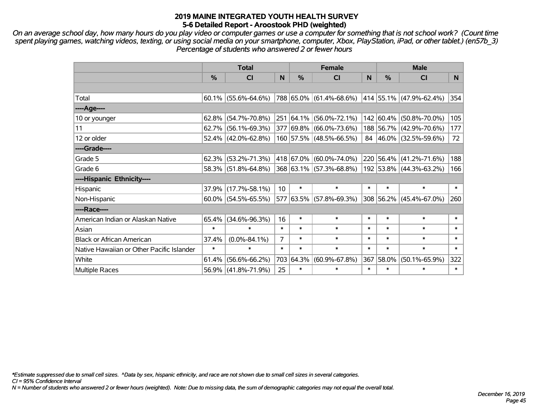*On an average school day, how many hours do you play video or computer games or use a computer for something that is not school work? (Count time spent playing games, watching videos, texting, or using social media on your smartphone, computer, Xbox, PlayStation, iPad, or other tablet.) (en57b\_3) Percentage of students who answered 2 or fewer hours*

|                                           | <b>Total</b> |                        |                 | <b>Female</b> | <b>Male</b>             |        |               |                             |        |
|-------------------------------------------|--------------|------------------------|-----------------|---------------|-------------------------|--------|---------------|-----------------------------|--------|
|                                           | %            | <b>CI</b>              | N               | $\frac{0}{0}$ | <b>CI</b>               | N      | $\frac{0}{0}$ | <b>CI</b>                   | N.     |
|                                           |              |                        |                 |               |                         |        |               |                             |        |
| Total                                     |              | $60.1\%$ (55.6%-64.6%) |                 |               | 788 65.0% (61.4%-68.6%) |        |               | 414   55.1%   (47.9%-62.4%) | 354    |
| $---Age---$                               |              |                        |                 |               |                         |        |               |                             |        |
| 10 or younger                             |              | $62.8\%$ (54.7%-70.8%) |                 | 251 64.1%     | $(56.0\% - 72.1\%)$     |        | 142 60.4%     | $(50.8\% - 70.0\%)$         | 105    |
| 11                                        |              | $62.7\%$ (56.1%-69.3%) |                 |               | 377 69.8% (66.0%-73.6%) |        |               | 188 56.7% (42.9%-70.6%)     | 177    |
| 12 or older                               |              | $52.4\%$ (42.0%-62.8%) |                 |               | 160 57.5% (48.5%-66.5%) |        |               | 84 46.0% (32.5%-59.6%)      | 72     |
| ----Grade----                             |              |                        |                 |               |                         |        |               |                             |        |
| Grade 5                                   | 62.3%        | $(53.2\% - 71.3\%)$    |                 |               | 418 67.0% (60.0%-74.0%) |        | 220 56.4%     | $(41.2\% - 71.6\%)$         | 188    |
| Grade 6                                   |              | 58.3% (51.8%-64.8%)    |                 |               | 368 63.1% (57.3%-68.8%) |        |               | 192 53.8% (44.3%-63.2%)     | 166    |
| ----Hispanic Ethnicity----                |              |                        |                 |               |                         |        |               |                             |        |
| Hispanic                                  |              | 37.9% (17.7%-58.1%)    | 10 <sup>°</sup> | $\ast$        | $\ast$                  | $\ast$ | $\ast$        | $\ast$                      | $\ast$ |
| Non-Hispanic                              |              | $60.0\%$ (54.5%-65.5%) |                 |               | 577 63.5% (57.8%-69.3%) |        | 308 56.2%     | $(45.4\% - 67.0\%)$         | 260    |
| ----Race----                              |              |                        |                 |               |                         |        |               |                             |        |
| American Indian or Alaskan Native         |              | 65.4% (34.6%-96.3%)    | 16              | $\ast$        | $\ast$                  | $\ast$ | $\ast$        | $\ast$                      | $\ast$ |
| Asian                                     | $\ast$       | $\ast$                 | $\ast$          | $\ast$        | $\ast$                  | $\ast$ | $\ast$        | $\ast$                      | $\ast$ |
| <b>Black or African American</b>          | 37.4%        | $(0.0\% - 84.1\%)$     | $\overline{7}$  | $\ast$        | $\ast$                  | $\ast$ | $\ast$        | $\ast$                      | $\ast$ |
| Native Hawaiian or Other Pacific Islander | $\ast$       | $\ast$                 | $\ast$          | $\ast$        | $\ast$                  | $\ast$ | $\ast$        | $\ast$                      | $\ast$ |
| White                                     | 61.4%        | $(56.6\% - 66.2\%)$    | 703             | 64.3%         | $(60.9\% - 67.8\%)$     | 367    | 58.0%         | $(50.1\% - 65.9\%)$         | 322    |
| Multiple Races                            |              | 56.9% (41.8%-71.9%)    | 25              | $\ast$        | $\ast$                  | $\ast$ | $\ast$        | $\ast$                      | $\ast$ |

*\*Estimate suppressed due to small cell sizes. ^Data by sex, hispanic ethnicity, and race are not shown due to small cell sizes in several categories.*

*CI = 95% Confidence Interval*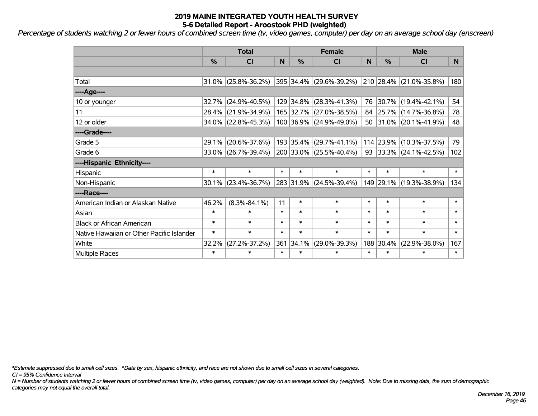*Percentage of students watching 2 or fewer hours of combined screen time (tv, video games, computer) per day on an average school day (enscreen)*

|                                           | <b>Total</b>  |                        |        |           | <b>Female</b>           | <b>Male</b> |           |                          |        |
|-------------------------------------------|---------------|------------------------|--------|-----------|-------------------------|-------------|-----------|--------------------------|--------|
|                                           | $\frac{0}{0}$ | CI                     | N      | %         | <b>CI</b>               | N           | %         | <b>CI</b>                | N.     |
|                                           |               |                        |        |           |                         |             |           |                          |        |
| Total                                     |               | $31.0\%$ (25.8%-36.2%) |        |           | 395 34.4% (29.6%-39.2%) |             |           | 210 28.4% (21.0%-35.8%)  | 180    |
| ----Age----                               |               |                        |        |           |                         |             |           |                          |        |
| 10 or younger                             |               | $32.7\%$ (24.9%-40.5%) |        | 129 34.8% | $(28.3\% - 41.3\%)$     | 76          | 30.7%     | $(19.4\% - 42.1\%)$      | 54     |
| 11                                        |               | 28.4% (21.9%-34.9%)    |        |           | 165 32.7% (27.0%-38.5%) |             |           | 84 25.7% (14.7%-36.8%)   | 78     |
| 12 or older                               |               | 34.0% (22.8%-45.3%)    |        |           | 100 36.9% (24.9%-49.0%) |             |           | 50 31.0% (20.1%-41.9%)   | 48     |
| ----Grade----                             |               |                        |        |           |                         |             |           |                          |        |
| Grade 5                                   | 29.1%         | $(20.6\% - 37.6\%)$    |        | 193 35.4% | $(29.7\% - 41.1\%)$     |             | 114 23.9% | $(10.3\% - 37.5\%)$      | 79     |
| Grade 6                                   |               | $33.0\%$ (26.7%-39.4%) |        |           | 200 33.0% (25.5%-40.4%) | 93          |           | $ 33.3\% $ (24.1%-42.5%) | 102    |
| ----Hispanic Ethnicity----                |               |                        |        |           |                         |             |           |                          |        |
| Hispanic                                  | $\ast$        | $\ast$                 | $\ast$ | $\ast$    | $\ast$                  | $\ast$      | $\ast$    | $\ast$                   | $\ast$ |
| Non-Hispanic                              |               | $30.1\%$ (23.4%-36.7%) |        |           | 283 31.9% (24.5%-39.4%) |             |           | 149 29.1% (19.3%-38.9%)  | 134    |
| ----Race----                              |               |                        |        |           |                         |             |           |                          |        |
| American Indian or Alaskan Native         | 46.2%         | $(8.3\% - 84.1\%)$     | 11     | $\ast$    | $\ast$                  | $\ast$      | $\ast$    | $\ast$                   | $\ast$ |
| Asian                                     | $\ast$        | $\ast$                 | $\ast$ | $\ast$    | $\ast$                  | $\ast$      | $\ast$    | $\ast$                   | $\ast$ |
| <b>Black or African American</b>          | $\ast$        | $\ast$                 | $\ast$ | $\ast$    | $\ast$                  | $\ast$      | $\ast$    | $\ast$                   | $\ast$ |
| Native Hawaiian or Other Pacific Islander | $\ast$        | $\ast$                 | $\ast$ | $\ast$    | $\ast$                  | $\ast$      | $\ast$    | $\ast$                   | $\ast$ |
| White                                     | 32.2%         | $(27.2\% - 37.2\%)$    | 361    | 34.1%     | $(29.0\% - 39.3\%)$     | 188         | 30.4%     | $(22.9\% - 38.0\%)$      | 167    |
| <b>Multiple Races</b>                     | $\ast$        | $\ast$                 | $\ast$ | $\ast$    | $\ast$                  | $\ast$      | $\ast$    | $\ast$                   | $\ast$ |

*\*Estimate suppressed due to small cell sizes. ^Data by sex, hispanic ethnicity, and race are not shown due to small cell sizes in several categories.*

*CI = 95% Confidence Interval*

*N = Number of students watching 2 or fewer hours of combined screen time (tv, video games, computer) per day on an average school day (weighted). Note: Due to missing data, the sum of demographic categories may not equal the overall total.*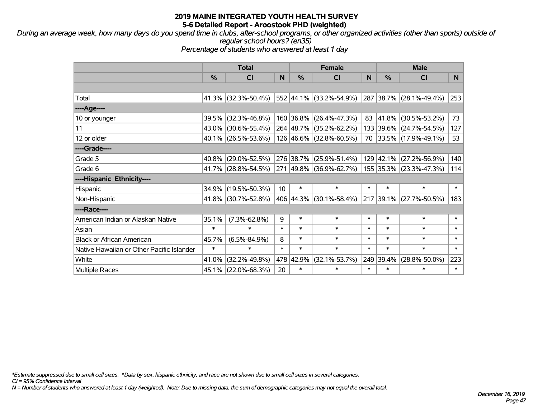*During an average week, how many days do you spend time in clubs, after-school programs, or other organized activities (other than sports) outside of regular school hours? (en35)*

*Percentage of students who answered at least 1 day*

|                                           | <b>Total</b> |                        | <b>Female</b> |               |                         | <b>Male</b> |                |                         |        |
|-------------------------------------------|--------------|------------------------|---------------|---------------|-------------------------|-------------|----------------|-------------------------|--------|
|                                           | $\%$         | <b>CI</b>              | N             | $\frac{9}{6}$ | <b>CI</b>               | N           | $\frac{0}{0}$  | <b>CI</b>               | N.     |
|                                           |              |                        |               |               |                         |             |                |                         |        |
| Total                                     |              | 41.3% (32.3%-50.4%)    |               |               | 552 44.1% (33.2%-54.9%) |             |                | 287 38.7% (28.1%-49.4%) | 253    |
| ----Age----                               |              |                        |               |               |                         |             |                |                         |        |
| 10 or younger                             |              | 39.5% (32.3%-46.8%)    |               | 160 36.8%     | $(26.4\% - 47.3\%)$     | 83          | ∣41.8%         | $(30.5\% - 53.2\%)$     | 73     |
| 11                                        |              | 43.0% (30.6%-55.4%)    |               |               | 264 48.7% (35.2%-62.2%) |             | 133 39.6%      | $(24.7\% - 54.5\%)$     | 127    |
| 12 or older                               |              | $40.1\%$ (26.5%-53.6%) |               |               | 126 46.6% (32.8%-60.5%) |             |                | 70 33.5% (17.9%-49.1%)  | 53     |
| ----Grade----                             |              |                        |               |               |                         |             |                |                         |        |
| Grade 5                                   |              | 40.8% (29.0%-52.5%)    |               | 276 38.7%     | $(25.9\% - 51.4\%)$     |             | 129 42.1%      | $(27.2\% - 56.9\%)$     | 140    |
| Grade 6                                   |              | 41.7% (28.8%-54.5%)    |               |               | 271 49.8% (36.9%-62.7%) |             |                | 155 35.3% (23.3%-47.3%) | 114    |
| ----Hispanic Ethnicity----                |              |                        |               |               |                         |             |                |                         |        |
| Hispanic                                  |              | 34.9% (19.5%-50.3%)    | 10            | $\ast$        | $\ast$                  | $\ast$      | $\ast$         | $\ast$                  | $\ast$ |
| Non-Hispanic                              |              | 41.8% (30.7%-52.8%)    |               |               | 406 44.3% (30.1%-58.4%) |             | $ 217 39.1\% $ | $(27.7\% - 50.5\%)$     | 183    |
| ----Race----                              |              |                        |               |               |                         |             |                |                         |        |
| American Indian or Alaskan Native         | 35.1%        | $(7.3\% - 62.8\%)$     | 9             | $\ast$        | $\ast$                  | $\ast$      | $\ast$         | $\ast$                  | $\ast$ |
| Asian                                     | $\ast$       | $\ast$                 | $\ast$        | $\ast$        | $\ast$                  | $\ast$      | $\ast$         | $\ast$                  | $\ast$ |
| <b>Black or African American</b>          | 45.7%        | $(6.5\% - 84.9\%)$     | 8             | $\ast$        | $\ast$                  | $\ast$      | $\ast$         | $\ast$                  | $\ast$ |
| Native Hawaiian or Other Pacific Islander | $\ast$       | $\ast$                 | $\ast$        | $\ast$        | $\ast$                  | $\ast$      | $\ast$         | $\ast$                  | $\ast$ |
| White                                     | 41.0%        | $(32.2\% - 49.8\%)$    | 478           | 42.9%         | $(32.1\% - 53.7\%)$     | 249         | 39.4%          | $(28.8\% - 50.0\%)$     | 223    |
| <b>Multiple Races</b>                     |              | 45.1% (22.0%-68.3%)    | 20            | $\ast$        | $\ast$                  | $\ast$      | $\ast$         | $\ast$                  | $\ast$ |

*\*Estimate suppressed due to small cell sizes. ^Data by sex, hispanic ethnicity, and race are not shown due to small cell sizes in several categories.*

*CI = 95% Confidence Interval*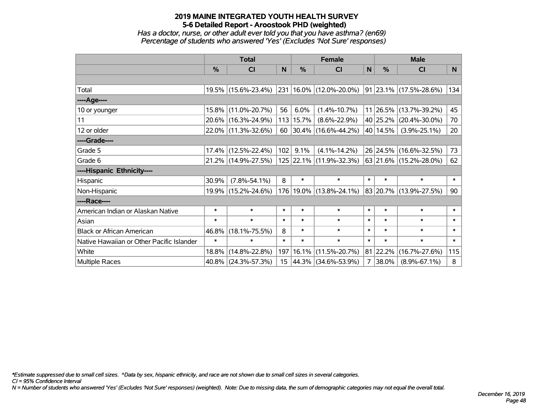*Has a doctor, nurse, or other adult ever told you that you have asthma? (en69) Percentage of students who answered 'Yes' (Excludes 'Not Sure' responses)*

|                                           | <b>Total</b> |                     |                 |           | <b>Female</b>               | <b>Male</b>  |               |                             |        |
|-------------------------------------------|--------------|---------------------|-----------------|-----------|-----------------------------|--------------|---------------|-----------------------------|--------|
|                                           | %            | <b>CI</b>           | N               | %         | <b>CI</b>                   | $\mathsf{N}$ | $\frac{0}{0}$ | <b>CI</b>                   | N      |
|                                           |              |                     |                 |           |                             |              |               |                             |        |
| Total                                     |              | 19.5% (15.6%-23.4%) |                 |           | 231 16.0% (12.0%-20.0%)     |              |               | $ 91 23.1\% $ (17.5%-28.6%) | 134    |
| ----Age----                               |              |                     |                 |           |                             |              |               |                             |        |
| 10 or younger                             | 15.8%        | $(11.0\% - 20.7\%)$ | 56              | 6.0%      | $(1.4\% - 10.7\%)$          |              | 11 26.5%      | $(13.7\% - 39.2\%)$         | 45     |
| 11                                        | 20.6%        | $(16.3\% - 24.9\%)$ |                 | 113 15.7% | $(8.6\% - 22.9\%)$          |              | 40 25.2%      | $(20.4\% - 30.0\%)$         | 70     |
| 12 or older                               |              | 22.0% (11.3%-32.6%) | 60              |           | $ 30.4\% $ (16.6%-44.2%)    |              | 40 14.5%      | $(3.9\% - 25.1\%)$          | 20     |
| ----Grade----                             |              |                     |                 |           |                             |              |               |                             |        |
| Grade 5                                   | 17.4%        | $(12.5\% - 22.4\%)$ | 102             | 9.1%      | $(4.1\% - 14.2\%)$          |              | 26 24.5%      | $(16.6\% - 32.5\%)$         | 73     |
| Grade 6                                   |              | 21.2% (14.9%-27.5%) |                 |           | 125 22.1% (11.9%-32.3%)     |              |               | 63 21.6% (15.2%-28.0%)      | 62     |
| ----Hispanic Ethnicity----                |              |                     |                 |           |                             |              |               |                             |        |
| Hispanic                                  | 30.9%        | $(7.8\% - 54.1\%)$  | 8               | $\ast$    | $\ast$                      | $\ast$       | $\ast$        | $\ast$                      | $\ast$ |
| Non-Hispanic                              |              | 19.9% (15.2%-24.6%) |                 |           | 176   19.0%   (13.8%-24.1%) |              | 83 20.7%      | $(13.9\% - 27.5\%)$         | 90     |
| ----Race----                              |              |                     |                 |           |                             |              |               |                             |        |
| American Indian or Alaskan Native         | $\ast$       | $\ast$              | $\ast$          | $\ast$    | $\ast$                      | $\ast$       | $\ast$        | $\ast$                      | $\ast$ |
| Asian                                     | $\ast$       | $\ast$              | $\ast$          | $\ast$    | $\ast$                      | $\ast$       | $\ast$        | $\ast$                      | $\ast$ |
| <b>Black or African American</b>          | 46.8%        | $(18.1\% - 75.5\%)$ | 8               | $\ast$    | $\ast$                      | $\ast$       | $\ast$        | $\ast$                      | $\ast$ |
| Native Hawaiian or Other Pacific Islander | $\ast$       | $\ast$              | $\ast$          | $\ast$    | $\ast$                      | $\ast$       | $\ast$        | $\ast$                      | $\ast$ |
| White                                     | 18.8%        | $(14.8\% - 22.8\%)$ |                 | 197 16.1% | $(11.5\% - 20.7\%)$         |              | 81 22.2%      | $(16.7\% - 27.6\%)$         | 115    |
| Multiple Races                            |              | 40.8% (24.3%-57.3%) | 15 <sub>1</sub> |           | $ 44.3\% $ (34.6%-53.9%)    |              | $7 38.0\%$    | $(8.9\% - 67.1\%)$          | 8      |

*\*Estimate suppressed due to small cell sizes. ^Data by sex, hispanic ethnicity, and race are not shown due to small cell sizes in several categories.*

*CI = 95% Confidence Interval*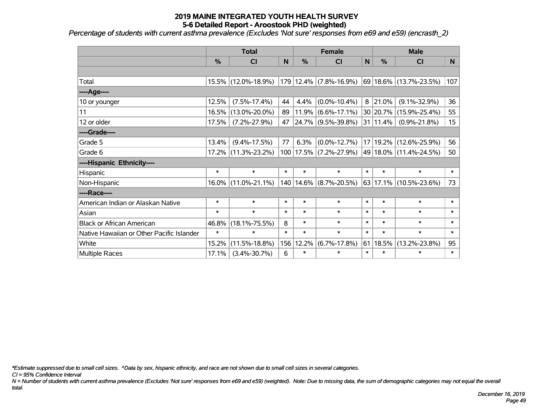*Percentage of students with current asthma prevalence (Excludes 'Not sure' responses from e69 and e59) (encrasth\_2)*

|                                           | <b>Total</b> |                     |        | <b>Female</b> |                            |        | <b>Male</b> |                            |        |
|-------------------------------------------|--------------|---------------------|--------|---------------|----------------------------|--------|-------------|----------------------------|--------|
|                                           | %            | <b>CI</b>           | N      | %             | <b>CI</b>                  | N      | %           | <b>CI</b>                  | N.     |
|                                           |              |                     |        |               |                            |        |             |                            |        |
| Total                                     |              | 15.5% (12.0%-18.9%) |        |               | 179 12.4% (7.8%-16.9%)     |        |             | 69 18.6% (13.7%-23.5%)     | 107    |
| ----Age----                               |              |                     |        |               |                            |        |             |                            |        |
| 10 or younger                             | 12.5%        | $(7.5\% - 17.4\%)$  | 44     | 4.4%          | $(0.0\% - 10.4\%)$         | 8      | 21.0%       | $(9.1\% - 32.9\%)$         | 36     |
| 11                                        | 16.5%        | $(13.0\% - 20.0\%)$ | 89     | 11.9%         | $(6.6\% - 17.1\%)$         |        | 30 20.7%    | $(15.9\% - 25.4\%)$        | 55     |
| 12 or older                               | 17.5%        | $(7.2\% - 27.9\%)$  | 47     |               | 24.7% (9.5%-39.8%)         |        | 31 11.4%    | $(0.9\% - 21.8\%)$         | 15     |
| ----Grade----                             |              |                     |        |               |                            |        |             |                            |        |
| Grade 5                                   | 13.4%        | $(9.4\% - 17.5\%)$  | 77     | 6.3%          | $(0.0\% - 12.7\%)$         |        |             | 17 19.2% (12.6%-25.9%)     | 56     |
| Grade 6                                   |              | 17.2% (11.3%-23.2%) |        |               | 100   17.5%   (7.2%-27.9%) |        |             | 49 18.0% (11.4%-24.5%)     | 50     |
| ----Hispanic Ethnicity----                |              |                     |        |               |                            |        |             |                            |        |
| Hispanic                                  | $\ast$       | $\ast$              | $\ast$ | $\ast$        | $\ast$                     | $\ast$ | $\ast$      | $\ast$                     | $\ast$ |
| Non-Hispanic                              |              | 16.0% (11.0%-21.1%) |        |               | 140   14.6%   (8.7%-20.5%) |        |             | $63 17.1\% $ (10.5%-23.6%) | 73     |
| ----Race----                              |              |                     |        |               |                            |        |             |                            |        |
| American Indian or Alaskan Native         | $\ast$       | $\ast$              | $\ast$ | $\ast$        | $\ast$                     | $\ast$ | $\ast$      | $\ast$                     | $\ast$ |
| Asian                                     | $\ast$       | $\ast$              | $\ast$ | $\ast$        | $\ast$                     | $\ast$ | $\ast$      | $\ast$                     | $\ast$ |
| <b>Black or African American</b>          | 46.8%        | $(18.1\% - 75.5\%)$ | 8      | $\ast$        | $\ast$                     | $\ast$ | $\ast$      | $\ast$                     | $\ast$ |
| Native Hawaiian or Other Pacific Islander | $\ast$       | $\ast$              | $\ast$ | $\ast$        | $\ast$                     | $\ast$ | $\ast$      | $\ast$                     | $\ast$ |
| White                                     | 15.2%        | $(11.5\% - 18.8\%)$ | 156    | 12.2%         | $(6.7\% - 17.8\%)$         | 61     | 18.5%       | $(13.2\% - 23.8\%)$        | 95     |
| Multiple Races                            | 17.1%        | $(3.4\% - 30.7\%)$  | 6      | $\ast$        | $\ast$                     | $\ast$ | $\ast$      | $\ast$                     | $\ast$ |

*\*Estimate suppressed due to small cell sizes. ^Data by sex, hispanic ethnicity, and race are not shown due to small cell sizes in several categories.*

*CI = 95% Confidence Interval*

*N = Number of students with current asthma prevalence (Excludes 'Not sure' responses from e69 and e59) (weighted). Note: Due to missing data, the sum of demographic categories may not equal the overall total.*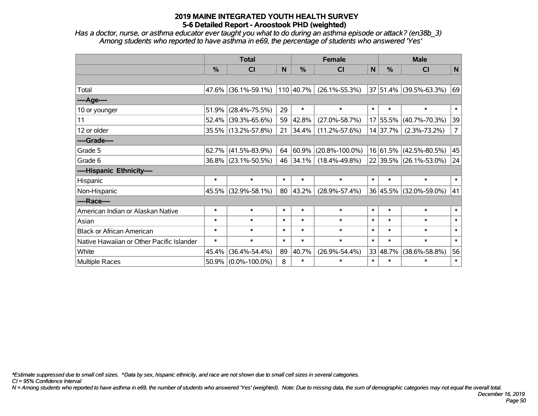*Has a doctor, nurse, or asthma educator ever taught you what to do during an asthma episode or attack? (en38b\_3) Among students who reported to have asthma in e69, the percentage of students who answered 'Yes'*

|                                           | <b>Total</b>  |                     |        |           | <b>Female</b>        | <b>Male</b> |              |                        |                |
|-------------------------------------------|---------------|---------------------|--------|-----------|----------------------|-------------|--------------|------------------------|----------------|
|                                           | $\frac{0}{0}$ | CI                  | N      | $\%$      | <b>CI</b>            | $\mathbf N$ | %            | <b>CI</b>              | N              |
|                                           |               |                     |        |           |                      |             |              |                        |                |
| Total                                     |               | 47.6% (36.1%-59.1%) |        | 110 40.7% | $(26.1\% - 55.3\%)$  |             |              | 37 51.4% (39.5%-63.3%) | 69             |
| ----Age----                               |               |                     |        |           |                      |             |              |                        |                |
| 10 or younger                             | 51.9%         | $(28.4\% - 75.5\%)$ | 29     | $\ast$    | $\ast$               | $\ast$      | $\ast$       | $\ast$                 | $\ast$         |
| 11                                        | 52.4%         | $(39.3\% - 65.6\%)$ | 59     | 42.8%     | $(27.0\% - 58.7\%)$  |             | 17 55.5%     | $(40.7\% - 70.3\%)$    | 39             |
| 12 or older                               |               | 35.5% (13.2%-57.8%) | 21     | 34.4%     | $(11.2\% - 57.6\%)$  |             | 14 37.7%     | $(2.3\% - 73.2\%)$     | 7 <sup>1</sup> |
| ----Grade----                             |               |                     |        |           |                      |             |              |                        |                |
| Grade 5                                   | 62.7%         | $(41.5\% - 83.9\%)$ | 64     | 60.9%     | $(20.8\% - 100.0\%)$ |             | $16 61.5\% $ | $(42.5\% - 80.5\%)$    | 45             |
| Grade 6                                   |               | 36.8% (23.1%-50.5%) | 46     | 34.1%     | $(18.4\% - 49.8\%)$  |             |              | 22 39.5% (26.1%-53.0%) | 24             |
| ----Hispanic Ethnicity----                |               |                     |        |           |                      |             |              |                        |                |
| Hispanic                                  | $\ast$        | $\ast$              | $\ast$ | $\ast$    | $\ast$               | $\ast$      | $\ast$       | $\ast$                 | $\ast$         |
| Non-Hispanic                              | 45.5%         | $(32.9\% - 58.1\%)$ | 80     | 43.2%     | $(28.9\% - 57.4\%)$  |             | 36 45.5%     | $(32.0\% - 59.0\%)$    | 41             |
| ----Race----                              |               |                     |        |           |                      |             |              |                        |                |
| American Indian or Alaskan Native         | $\ast$        | $\ast$              | $\ast$ | $\ast$    | $\ast$               | $\ast$      | $\ast$       | $\ast$                 | $\ast$         |
| Asian                                     | $\ast$        | $\ast$              | $\ast$ | $\ast$    | $\ast$               | $\ast$      | $\ast$       | $\ast$                 | $\ast$         |
| <b>Black or African American</b>          | $\ast$        | $\ast$              | $\ast$ | $\ast$    | $\ast$               | $\ast$      | $\ast$       | $\ast$                 | $\ast$         |
| Native Hawaiian or Other Pacific Islander | $\ast$        | $\ast$              | $\ast$ | $\ast$    | $\ast$               | $\ast$      | $\ast$       | $\ast$                 | $\ast$         |
| White                                     | 45.4%         | $(36.4\% - 54.4\%)$ | 89     | 40.7%     | $(26.9\% - 54.4\%)$  |             | 33 48.7%     | $(38.6\% - 58.8\%)$    | 56             |
| <b>Multiple Races</b>                     | 50.9%         | $(0.0\% - 100.0\%)$ | 8      | $\ast$    | $\ast$               | $\ast$      | $\ast$       | $\ast$                 | $\ast$         |

*\*Estimate suppressed due to small cell sizes. ^Data by sex, hispanic ethnicity, and race are not shown due to small cell sizes in several categories.*

*CI = 95% Confidence Interval*

*N = Among students who reported to have asthma in e69, the number of students who answered 'Yes' (weighted). Note: Due to missing data, the sum of demographic categories may not equal the overall total.*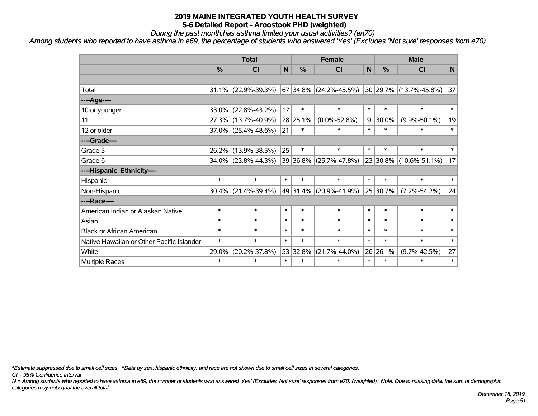*During the past month,has asthma limited your usual activities? (en70)*

*Among students who reported to have asthma in e69, the percentage of students who answered 'Yes' (Excludes 'Not sure' responses from e70)*

|                                           | <b>Total</b> |                     |        |               | <b>Female</b>                                                         | <b>Male</b> |          |                    |        |
|-------------------------------------------|--------------|---------------------|--------|---------------|-----------------------------------------------------------------------|-------------|----------|--------------------|--------|
|                                           | %            | <b>CI</b>           | N      | $\frac{0}{0}$ | <b>CI</b>                                                             | N           | %        | <b>CI</b>          | N      |
|                                           |              |                     |        |               |                                                                       |             |          |                    |        |
| Total                                     |              | 31.1% (22.9%-39.3%) |        |               | $\vert$ 67 34.8% $\vert$ (24.2%-45.5%) 30 29.7% $\vert$ (13.7%-45.8%) |             |          |                    | 37     |
| ----Age----                               |              |                     |        |               |                                                                       |             |          |                    |        |
| 10 or younger                             | 33.0%        | $(22.8\% - 43.2\%)$ | 17     | $\ast$        | $\ast$                                                                | $\ast$      | $\ast$   | $\ast$             | $\ast$ |
| 11                                        |              | 27.3% (13.7%-40.9%) |        | 28 25.1%      | $(0.0\% - 52.8\%)$                                                    | 9           | 30.0%    | $(9.9\% - 50.1\%)$ | 19     |
| 12 or older                               |              | 37.0% (25.4%-48.6%) | 21     | $\ast$        | $\ast$                                                                | $\ast$      | $\ast$   | $\ast$             | $\ast$ |
| ----Grade----                             |              |                     |        |               |                                                                       |             |          |                    |        |
| Grade 5                                   | 26.2%        | $(13.9\% - 38.5\%)$ | 25     | $\ast$        | $\ast$                                                                | $\ast$      | $\ast$   | $\ast$             | $\ast$ |
| Grade 6                                   |              | 34.0% (23.8%-44.3%) |        |               | $ 39 36.8\% $ (25.7%-47.8%) $ 23 30.8\% $ (10.6%-51.1%)               |             |          |                    | 17     |
| ----Hispanic Ethnicity----                |              |                     |        |               |                                                                       |             |          |                    |        |
| Hispanic                                  | $\ast$       | $\ast$              | $\ast$ | $\ast$        | $\ast$                                                                | $\ast$      | $\ast$   | $\ast$             | $\ast$ |
| Non-Hispanic                              | $30.4\%$     | $(21.4\% - 39.4\%)$ |        | 49 31.4%      | $(20.9\% - 41.9\%)$                                                   |             | 25 30.7% | $(7.2\% - 54.2\%)$ | 24     |
| ----Race----                              |              |                     |        |               |                                                                       |             |          |                    |        |
| American Indian or Alaskan Native         | $\ast$       | $\ast$              | $\ast$ | $\ast$        | $\ast$                                                                | $\ast$      | $\ast$   | $\ast$             | $\ast$ |
| Asian                                     | $\ast$       | $\ast$              | $\ast$ | $\ast$        | $\ast$                                                                | $\ast$      | $\ast$   | $\ast$             | $\ast$ |
| <b>Black or African American</b>          | $\ast$       | $\ast$              | $\ast$ | $\ast$        | $\ast$                                                                | $\ast$      | $\ast$   | $\ast$             | $\ast$ |
| Native Hawaiian or Other Pacific Islander | $\ast$       | $\ast$              | $\ast$ | $\ast$        | $\ast$                                                                | $\ast$      | $\ast$   | $\ast$             | $\ast$ |
| White                                     | 29.0%        | $(20.2\% - 37.8\%)$ |        | 53 32.8%      | $(21.7\% - 44.0\%)$                                                   |             | 26 26.1% | $(9.7\% - 42.5\%)$ | 27     |
| Multiple Races                            | $\ast$       | $\ast$              | $\ast$ | $\ast$        | $\ast$                                                                | $\ast$      | $\ast$   | $\ast$             | $\ast$ |

*\*Estimate suppressed due to small cell sizes. ^Data by sex, hispanic ethnicity, and race are not shown due to small cell sizes in several categories.*

*CI = 95% Confidence Interval*

*N = Among students who reported to have asthma in e69, the number of students who answered 'Yes' (Excludes 'Not sure' responses from e70) (weighted). Note: Due to missing data, the sum of demographic categories may not equal the overall total.*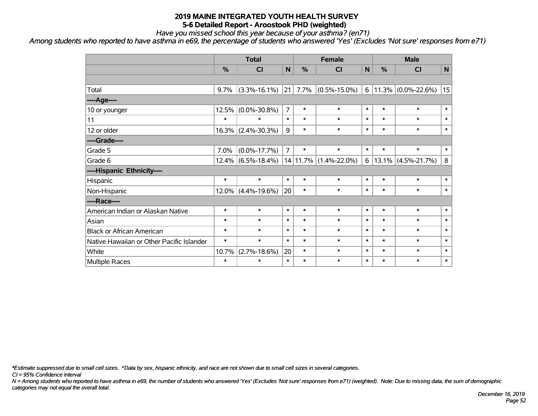*Have you missed school this year because of your asthma? (en71)*

*Among students who reported to have asthma in e69, the percentage of students who answered 'Yes' (Excludes 'Not sure' responses from e71)*

|                                           | <b>Total</b> |                       |                |               | <b>Female</b>             |             | <b>Male</b> |                       |              |  |
|-------------------------------------------|--------------|-----------------------|----------------|---------------|---------------------------|-------------|-------------|-----------------------|--------------|--|
|                                           | %            | CI                    | $\mathsf{N}$   | $\frac{0}{0}$ | CI                        | $\mathbf N$ | %           | C <sub>l</sub>        | $\mathsf{N}$ |  |
|                                           |              |                       |                |               |                           |             |             |                       |              |  |
| Total                                     | 9.7%         | $(3.3\% - 16.1\%)$    | $ 21\rangle$   | 7.7%          | $(0.5\% - 15.0\%)$        | 6           |             | $11.3\%$ (0.0%-22.6%) | 15           |  |
| ----Age----                               |              |                       |                |               |                           |             |             |                       |              |  |
| 10 or younger                             | 12.5%        | $(0.0\% - 30.8\%)$    | $\overline{7}$ | $\ast$        | $\ast$                    | $\ast$      | $\ast$      | $\ast$                | $\pmb{\ast}$ |  |
| 11                                        | $\ast$       | $\ast$                | $\ast$         | $\ast$        | $\ast$                    | $\ast$      | $\ast$      | $\ast$                | $\ast$       |  |
| 12 or older                               | 16.3%        | $(2.4\% - 30.3\%)$    | 9              | $\ast$        | $\ast$                    | $\ast$      | $\ast$      | $\ast$                | $\ast$       |  |
| ----Grade----                             |              |                       |                |               |                           |             |             |                       |              |  |
| Grade 5                                   | 7.0%         | $(0.0\% - 17.7\%)$    | $\overline{7}$ | $\ast$        | $\ast$                    | $\ast$      | $\ast$      | $\ast$                | $\ast$       |  |
| Grade 6                                   |              | $12.4\%$ (6.5%-18.4%) |                |               | $14 11.7\% $ (1.4%-22.0%) | 6           |             | $13.1\%$ (4.5%-21.7%) | 8            |  |
| ----Hispanic Ethnicity----                |              |                       |                |               |                           |             |             |                       |              |  |
| Hispanic                                  | $\ast$       | $\ast$                | $\ast$         | $\ast$        | $\ast$                    | $\ast$      | $\ast$      | $\ast$                | $\ast$       |  |
| Non-Hispanic                              | $12.0\%$     | $(4.4\% - 19.6\%)$    | 20             | $\ast$        | $\ast$                    | $\ast$      | $\ast$      | $\ast$                | $\ast$       |  |
| ----Race----                              |              |                       |                |               |                           |             |             |                       |              |  |
| American Indian or Alaskan Native         | $\ast$       | $\ast$                | $\ast$         | $\ast$        | $\ast$                    | $\ast$      | $\ast$      | $\ast$                | $\ast$       |  |
| Asian                                     | $\ast$       | $\ast$                | $\ast$         | $\ast$        | $\ast$                    | $\ast$      | $\ast$      | $\ast$                | $\ast$       |  |
| <b>Black or African American</b>          | $\ast$       | $\ast$                | $\ast$         | $\ast$        | $\ast$                    | $\ast$      | $\ast$      | $\ast$                | $\ast$       |  |
| Native Hawaiian or Other Pacific Islander | $\ast$       | $\ast$                | $\ast$         | $\ast$        | $\ast$                    | $\ast$      | $\ast$      | $\ast$                | $\ast$       |  |
| White                                     | 10.7%        | $(2.7\% - 18.6\%)$    | 20             | $\ast$        | $\ast$                    | $\ast$      | $\ast$      | $\ast$                | $\ast$       |  |
| Multiple Races                            | $\ast$       | $\ast$                | $\ast$         | $\ast$        | $\ast$                    | $\ast$      | $\ast$      | $\ast$                | $\ast$       |  |

*\*Estimate suppressed due to small cell sizes. ^Data by sex, hispanic ethnicity, and race are not shown due to small cell sizes in several categories.*

*CI = 95% Confidence Interval*

*N = Among students who reported to have asthma in e69, the number of students who answered 'Yes' (Excludes 'Not sure' responses from e71) (weighted). Note: Due to missing data, the sum of demographic categories may not equal the overall total.*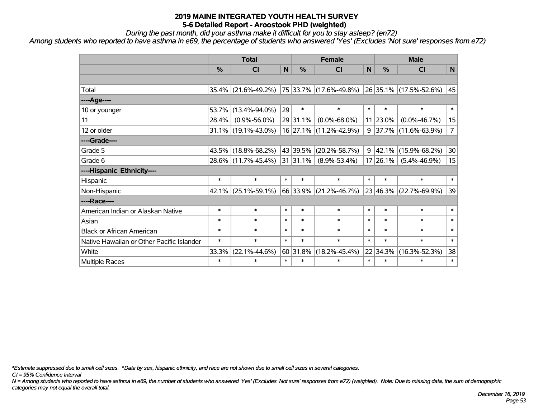*During the past month, did your asthma make it difficult for you to stay asleep? (en72)*

*Among students who reported to have asthma in e69, the percentage of students who answered 'Yes' (Excludes 'Not sure' responses from e72)*

|                                           | <b>Total</b> |                     |        |               | <b>Female</b>              | <b>Male</b> |             |                        |                |
|-------------------------------------------|--------------|---------------------|--------|---------------|----------------------------|-------------|-------------|------------------------|----------------|
|                                           | %            | <b>CI</b>           | N      | $\frac{0}{0}$ | <b>CI</b>                  | N           | %           | <b>CI</b>              | N              |
|                                           |              |                     |        |               |                            |             |             |                        |                |
| Total                                     |              | 35.4% (21.6%-49.2%) |        |               | 75 33.7% (17.6%-49.8%)     |             |             | 26 35.1% (17.5%-52.6%) | 45             |
| ----Age----                               |              |                     |        |               |                            |             |             |                        |                |
| 10 or younger                             | 53.7%        | $(13.4\% - 94.0\%)$ | 29     | $\ast$        | $\ast$                     | $\ast$      | $\ast$      | $\ast$                 | $\ast$         |
| 11                                        | 28.4%        | $(0.9\% - 56.0\%)$  |        | 29 31.1%      | $(0.0\% - 68.0\%)$         |             | $11 23.0\%$ | $(0.0\% - 46.7\%)$     | 15             |
| 12 or older                               |              | 31.1% (19.1%-43.0%) |        |               | 16 27.1% (11.2%-42.9%)     | 9           |             | 37.7% (11.6%-63.9%)    | $\overline{7}$ |
| ----Grade----                             |              |                     |        |               |                            |             |             |                        |                |
| Grade 5                                   | 43.5%        | $(18.8\% - 68.2\%)$ |        | 43 39.5%      | $(20.2\% - 58.7\%)$        | 9           | 42.1%       | $(15.9\% - 68.2\%)$    | 30             |
| Grade 6                                   |              | 28.6% (11.7%-45.4%) |        |               | $ 31 31.1\% $ (8.9%-53.4%) |             | 17 26.1%    | $(5.4\% - 46.9\%)$     | 15             |
| ----Hispanic Ethnicity----                |              |                     |        |               |                            |             |             |                        |                |
| Hispanic                                  | $\ast$       | $\ast$              | $\ast$ | $\ast$        | $\ast$                     | $\ast$      | $\ast$      | $\ast$                 | $\ast$         |
| Non-Hispanic                              |              | 42.1% (25.1%-59.1%) |        | 66 33.9%      | $(21.2\% - 46.7\%)$        |             | 23 46.3%    | $(22.7\% - 69.9\%)$    | 39             |
| ----Race----                              |              |                     |        |               |                            |             |             |                        |                |
| American Indian or Alaskan Native         | $\ast$       | $\ast$              | $\ast$ | $\ast$        | $\ast$                     | $\ast$      | $\ast$      | $\ast$                 | $\ast$         |
| Asian                                     | $\ast$       | $\ast$              | $\ast$ | $\ast$        | $\ast$                     | $\ast$      | $\ast$      | $\ast$                 | $\ast$         |
| <b>Black or African American</b>          | $\ast$       | $\ast$              | $\ast$ | $\ast$        | $\ast$                     | $\ast$      | $\ast$      | $\ast$                 | $\ast$         |
| Native Hawaiian or Other Pacific Islander | $\ast$       | $\ast$              | $\ast$ | $\ast$        | $\ast$                     | $\ast$      | $\ast$      | $\ast$                 | $\ast$         |
| White                                     | 33.3%        | $(22.1\% - 44.6\%)$ |        | 60 31.8%      | $(18.2\% - 45.4\%)$        |             | 22 34.3%    | $(16.3\% - 52.3\%)$    | 38             |
| Multiple Races                            | $\ast$       | $\ast$              | $\ast$ | $\ast$        | $\ast$                     | $\ast$      | $\ast$      | $\ast$                 | $\ast$         |

*\*Estimate suppressed due to small cell sizes. ^Data by sex, hispanic ethnicity, and race are not shown due to small cell sizes in several categories.*

*CI = 95% Confidence Interval*

*N = Among students who reported to have asthma in e69, the number of students who answered 'Yes' (Excludes 'Not sure' responses from e72) (weighted). Note: Due to missing data, the sum of demographic categories may not equal the overall total.*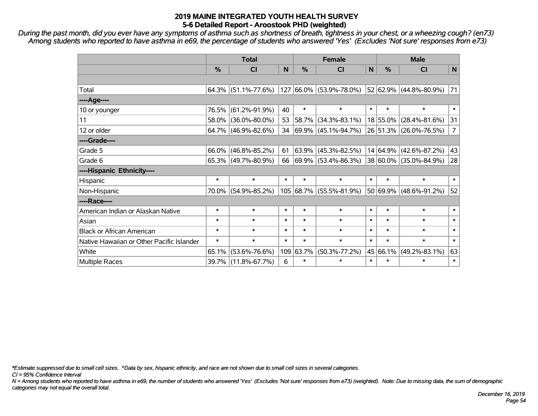*During the past month, did you ever have any symptoms of asthma such as shortness of breath, tightness in your chest, or a wheezing cough? (en73) Among students who reported to have asthma in e69, the percentage of students who answered 'Yes' (Excludes 'Not sure' responses from e73)*

|                                           | <b>Total</b>  |                        |        |          | <b>Female</b>            | <b>Male</b> |          |                        |                |
|-------------------------------------------|---------------|------------------------|--------|----------|--------------------------|-------------|----------|------------------------|----------------|
|                                           | $\frac{0}{0}$ | <b>CI</b>              | N      | %        | <b>CI</b>                | N           | %        | <b>CI</b>              | $\mathsf{N}$   |
|                                           |               |                        |        |          |                          |             |          |                        |                |
| Total                                     |               | $64.3\%$ (51.1%-77.6%) |        |          | 127 66.0% (53.9%-78.0%)  |             |          | 52 62.9% (44.8%-80.9%) | 71             |
| ----Age----                               |               |                        |        |          |                          |             |          |                        |                |
| 10 or younger                             | 76.5%         | $(61.2\% - 91.9\%)$    | 40     | $\ast$   | $\ast$                   | $\ast$      | $\ast$   | $\ast$                 | $\ast$         |
| 11                                        | 58.0%         | $(36.0\% - 80.0\%)$    | 53     | 58.7%    | $(34.3\% - 83.1\%)$      |             | 18 55.0% | $(28.4\% - 81.6\%)$    | 31             |
| 12 or older                               |               | $64.7\%$ (46.9%-82.6%) | 34     |          | 69.9% (45.1%-94.7%)      |             |          | 26 51.3% (26.0%-76.5%) | $\overline{7}$ |
| ----Grade----                             |               |                        |        |          |                          |             |          |                        |                |
| Grade 5                                   | 66.0%         | $(46.8\% - 85.2\%)$    | 61     | $63.9\%$ | $(45.3\% - 82.5\%)$      |             |          | 14 64.9% (42.6%-87.2%) | 43             |
| Grade 6                                   |               | $65.3\%$ (49.7%-80.9%) | 66     |          | $ 69.9\% $ (53.4%-86.3%) |             |          | 38 60.0% (35.0%-84.9%) | 28             |
| ----Hispanic Ethnicity----                |               |                        |        |          |                          |             |          |                        |                |
| Hispanic                                  | $\ast$        | $\ast$                 | $\ast$ | $\ast$   | $\ast$                   | $\ast$      | $\ast$   | $\ast$                 | $\ast$         |
| Non-Hispanic                              | 70.0%         | $(54.9\% - 85.2\%)$    |        |          | 105 68.7% (55.5%-81.9%)  |             |          | 50 69.9% (48.6%-91.2%) | 52             |
| ----Race----                              |               |                        |        |          |                          |             |          |                        |                |
| American Indian or Alaskan Native         | $\ast$        | $\ast$                 | $\ast$ | $\ast$   | $\ast$                   | $\ast$      | $\ast$   | $\ast$                 | $\ast$         |
| Asian                                     | $\ast$        | $\ast$                 | $\ast$ | $\ast$   | $\ast$                   | $\ast$      | $\ast$   | $\ast$                 | $\ast$         |
| <b>Black or African American</b>          | $\ast$        | $\ast$                 | $\ast$ | $\ast$   | $\ast$                   | $\ast$      | $\ast$   | $\ast$                 | $\ast$         |
| Native Hawaiian or Other Pacific Islander | $\ast$        | $\ast$                 | $\ast$ | $\ast$   | $\ast$                   | $\ast$      | $\ast$   | $\ast$                 | $\ast$         |
| White                                     | 65.1%         | $(53.6\% - 76.6\%)$    | 109    | 63.7%    | $(50.3\% - 77.2\%)$      | 45          | 66.1%    | $(49.2\% - 83.1\%)$    | 63             |
| <b>Multiple Races</b>                     |               | 39.7% (11.8%-67.7%)    | 6      | $\ast$   | $\ast$                   | $\ast$      | $\ast$   | $\ast$                 | $\ast$         |

*\*Estimate suppressed due to small cell sizes. ^Data by sex, hispanic ethnicity, and race are not shown due to small cell sizes in several categories.*

*CI = 95% Confidence Interval*

*N = Among students who reported to have asthma in e69, the number of students who answered 'Yes' (Excludes 'Not sure' responses from e73) (weighted). Note: Due to missing data, the sum of demographic categories may not equal the overall total.*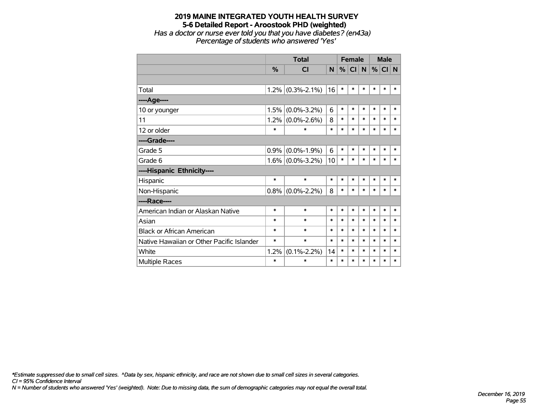#### **2019 MAINE INTEGRATED YOUTH HEALTH SURVEY 5-6 Detailed Report - Aroostook PHD (weighted)** *Has a doctor or nurse ever told you that you have diabetes? (en43a) Percentage of students who answered 'Yes'*

|                                           |               | <b>Total</b>        |        | <b>Female</b> |           |        | <b>Male</b> |        |             |
|-------------------------------------------|---------------|---------------------|--------|---------------|-----------|--------|-------------|--------|-------------|
|                                           | $\frac{9}{6}$ | CI                  | N.     | %             | <b>CI</b> | N      | %           | CI     | $\mathbf N$ |
|                                           |               |                     |        |               |           |        |             |        |             |
| Total                                     | 1.2%          | $(0.3\% - 2.1\%)$   | 16     | $\ast$        | $\ast$    | $\ast$ | $\ast$      | $\ast$ | $\ast$      |
| ----Age----                               |               |                     |        |               |           |        |             |        |             |
| 10 or younger                             | 1.5%          | $(0.0\% - 3.2\%)$   | 6      | $\ast$        | $\ast$    | $\ast$ | $\ast$      | $\ast$ | $\ast$      |
| 11                                        | 1.2%          | $(0.0\% - 2.6\%)$   | 8      | $\ast$        | $\ast$    | $\ast$ | $\ast$      | $\ast$ | $\ast$      |
| 12 or older                               | $\ast$        | $\ast$              | $\ast$ | $\ast$        | $\ast$    | $\ast$ | $\ast$      | $\ast$ | *           |
| ----Grade----                             |               |                     |        |               |           |        |             |        |             |
| Grade 5                                   | 0.9%          | $(0.0\% - 1.9\%)$   | 6      | $\ast$        | $\ast$    | $\ast$ | $\ast$      | $\ast$ | $\ast$      |
| Grade 6                                   |               | $1.6\%$ (0.0%-3.2%) | 10     | $\ast$        | $\ast$    | $\ast$ | $\ast$      | $\ast$ | $\ast$      |
| ----Hispanic Ethnicity----                |               |                     |        |               |           |        |             |        |             |
| Hispanic                                  | $\ast$        | $\ast$              | $\ast$ | $\ast$        | $\ast$    | $\ast$ | *           | *      | *           |
| Non-Hispanic                              |               | $0.8\%$ (0.0%-2.2%) | 8      | $\ast$        | $\ast$    | $\ast$ | $\ast$      | $\ast$ | $\ast$      |
| ----Race----                              |               |                     |        |               |           |        |             |        |             |
| American Indian or Alaskan Native         | $\ast$        | $\ast$              | $\ast$ | $\ast$        | $\ast$    | $\ast$ | $\ast$      | $\ast$ | $\ast$      |
| Asian                                     | $\ast$        | $\ast$              | *      | $\ast$        | $\ast$    | $\ast$ | $\ast$      | *      | $\ast$      |
| <b>Black or African American</b>          | $\ast$        | $\ast$              | $\ast$ | $\ast$        | $\ast$    | $\ast$ | $\ast$      | $\ast$ | $\ast$      |
| Native Hawaiian or Other Pacific Islander | $\ast$        | $\ast$              | *      | $\ast$        | $\ast$    | $\ast$ | $\ast$      | $\ast$ | $\ast$      |
| White                                     | 1.2%          | $(0.1\% - 2.2\%)$   | 14     | $\ast$        | $\ast$    | $\ast$ | $\ast$      | $\ast$ | *           |
| <b>Multiple Races</b>                     | $\ast$        | $\ast$              | $\ast$ | $\ast$        | *         | $\ast$ | $\ast$      | $\ast$ | $\ast$      |

*CI = 95% Confidence Interval \*Estimate suppressed due to small cell sizes. ^Data by sex, hispanic ethnicity, and race are not shown due to small cell sizes in several categories.*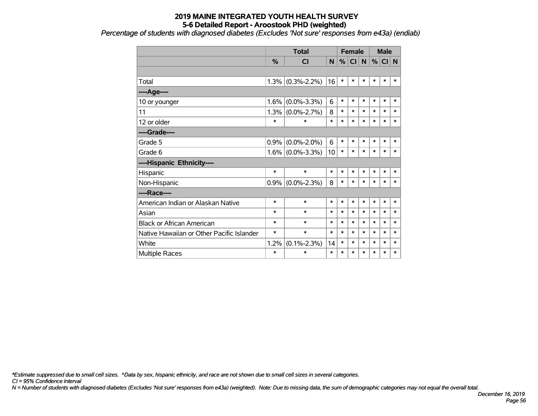*Percentage of students with diagnosed diabetes (Excludes 'Not sure' responses from e43a) (endiab)*

|                                           |               | <b>Total</b>        |        | <b>Female</b> |           |        | <b>Male</b> |           |             |
|-------------------------------------------|---------------|---------------------|--------|---------------|-----------|--------|-------------|-----------|-------------|
|                                           | $\frac{9}{6}$ | <b>CI</b>           | N      | %             | <b>CI</b> | N      | %           | <b>CI</b> | $\mathbf N$ |
|                                           |               |                     |        |               |           |        |             |           |             |
| Total                                     |               | $1.3\%$ (0.3%-2.2%) | 16     | $\ast$        | $\ast$    | $\ast$ | $\ast$      | $\ast$    | $\ast$      |
| ----Age----                               |               |                     |        |               |           |        |             |           |             |
| 10 or younger                             | 1.6%          | $(0.0\% - 3.3\%)$   | 6      | $\ast$        | $\ast$    | $\ast$ | $\ast$      | $\ast$    | $\ast$      |
| 11                                        | 1.3%          | $(0.0\% - 2.7\%)$   | 8      | $\ast$        | *         | $\ast$ | $\ast$      | $\ast$    | $\ast$      |
| 12 or older                               | $\ast$        | $\ast$              | $\ast$ | $\ast$        | $\ast$    | $\ast$ | $\ast$      | $\ast$    | $\ast$      |
| ----Grade----                             |               |                     |        |               |           |        |             |           |             |
| Grade 5                                   | 0.9%          | $(0.0\% - 2.0\%)$   | 6      | $\ast$        | $\ast$    | $\ast$ | $\ast$      | $\ast$    | $\ast$      |
| Grade 6                                   |               | $1.6\%$ (0.0%-3.3%) | 10     | $\ast$        | *         | $\ast$ | $\ast$      | $\ast$    | *           |
| ----Hispanic Ethnicity----                |               |                     |        |               |           |        |             |           |             |
| Hispanic                                  | $\ast$        | $\ast$              | $\ast$ | $\ast$        | *         | $\ast$ | $\ast$      | $\ast$    | $\ast$      |
| Non-Hispanic                              | 0.9%          | $(0.0\% - 2.3\%)$   | 8      | $\ast$        | *         | $\ast$ | *           | $\ast$    | $\ast$      |
| ----Race----                              |               |                     |        |               |           |        |             |           |             |
| American Indian or Alaskan Native         | $\ast$        | $\ast$              | $\ast$ | $\ast$        | *         | $\ast$ | $\ast$      | $\ast$    | $\ast$      |
| Asian                                     | $\ast$        | $\ast$              | $\ast$ | $\ast$        | *         | $\ast$ | $\ast$      | $\ast$    | $\ast$      |
| <b>Black or African American</b>          | *             | $\ast$              | $\ast$ | $\ast$        | $\ast$    | $\ast$ | $\ast$      | $\ast$    | *           |
| Native Hawaiian or Other Pacific Islander | $\ast$        | $\ast$              | $\ast$ | $\ast$        | *         | $\ast$ | $\ast$      | $\ast$    | *           |
| White                                     | 1.2%          | $(0.1\% - 2.3\%)$   | 14     | $\ast$        | *         | $\ast$ | $\ast$      | $\ast$    | *           |
| Multiple Races                            | $\ast$        | $\ast$              | $\ast$ | $\ast$        | *         | $\ast$ | $\ast$      | $\ast$    | $\ast$      |

*\*Estimate suppressed due to small cell sizes. ^Data by sex, hispanic ethnicity, and race are not shown due to small cell sizes in several categories.*

*CI = 95% Confidence Interval*

*N = Number of students with diagnosed diabetes (Excludes 'Not sure' responses from e43a) (weighted). Note: Due to missing data, the sum of demographic categories may not equal the overall total.*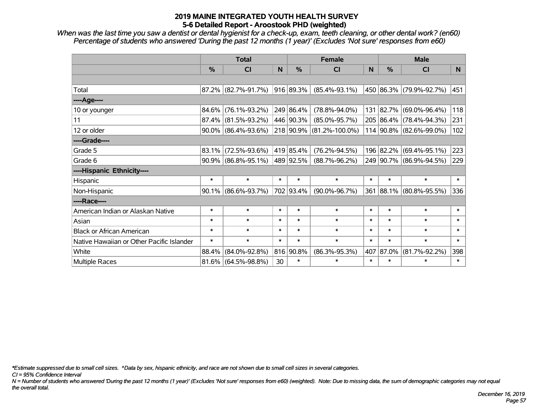*When was the last time you saw a dentist or dental hygienist for a check-up, exam, teeth cleaning, or other dental work? (en60) Percentage of students who answered 'During the past 12 months (1 year)' (Excludes 'Not sure' responses from e60)*

|                                           | <b>Total</b> |                                  |              | <b>Female</b> |                          | <b>Male</b> |               |                         |        |
|-------------------------------------------|--------------|----------------------------------|--------------|---------------|--------------------------|-------------|---------------|-------------------------|--------|
|                                           | %            | <b>CI</b>                        | <sub>N</sub> | %             | <b>CI</b>                | N           | $\frac{0}{0}$ | <b>CI</b>               | N.     |
|                                           |              |                                  |              |               |                          |             |               |                         |        |
| Total                                     |              | $87.2\%$ (82.7%-91.7%)           |              | 916 89.3%     | $(85.4\% - 93.1\%)$      |             |               | 450 86.3% (79.9%-92.7%) | 451    |
| ----Age----                               |              |                                  |              |               |                          |             |               |                         |        |
| 10 or younger                             | 84.6%        | $(76.1\% - 93.2\%)$              |              | 249 86.4%     | $(78.8\% - 94.0\%)$      |             |               | 131 82.7% (69.0%-96.4%) | 118    |
| 11                                        | 87.4%        | $(81.5\% - 93.2\%)$              |              | 446 90.3%     | $(85.0\% - 95.7\%)$      |             |               | 205 86.4% (78.4%-94.3%) | 231    |
| 12 or older                               |              | $90.0\%$ (86.4%-93.6%)           |              |               | 218 90.9% (81.2%-100.0%) |             |               | 114 90.8% (82.6%-99.0%) | 102    |
| ----Grade----                             |              |                                  |              |               |                          |             |               |                         |        |
| Grade 5                                   | $83.1\%$     | $(72.5\% - 93.6\%)$              |              | 419 85.4%     | $(76.2\% - 94.5\%)$      |             |               | 196 82.2% (69.4%-95.1%) | 223    |
| Grade 6                                   |              | $90.9\%$ (86.8%-95.1%) 489 92.5% |              |               | $(88.7\% - 96.2\%)$      |             |               | 249 90.7% (86.9%-94.5%) | 229    |
| ----Hispanic Ethnicity----                |              |                                  |              |               |                          |             |               |                         |        |
| Hispanic                                  | $\ast$       | $\ast$                           | $\ast$       | $\ast$        | $\ast$                   | $\ast$      | $\ast$        | $\ast$                  | $\ast$ |
| Non-Hispanic                              |              | $90.1\%$ (86.6%-93.7%)           |              | 702 93.4%     | $(90.0\% - 96.7\%)$      |             |               | 361 88.1% (80.8%-95.5%) | 336    |
| ----Race----                              |              |                                  |              |               |                          |             |               |                         |        |
| American Indian or Alaskan Native         | $\ast$       | $\ast$                           | $\ast$       | $\ast$        | $\ast$                   | $\ast$      | $\ast$        | $\ast$                  | $\ast$ |
| Asian                                     | $\ast$       | $\ast$                           | $\ast$       | $\ast$        | $\ast$                   | $\ast$      | $\ast$        | $\ast$                  | $\ast$ |
| <b>Black or African American</b>          | $\ast$       | $\ast$                           | $\ast$       | $\ast$        | $\ast$                   | $\ast$      | $\ast$        | $\ast$                  | $\ast$ |
| Native Hawaiian or Other Pacific Islander | $\ast$       | $\ast$                           | $\ast$       | $\ast$        | $\ast$                   | $\ast$      | $\ast$        | $\ast$                  | $\ast$ |
| White                                     | 88.4%        | $(84.0\% - 92.8\%)$              |              | 816 90.8%     | $(86.3\% - 95.3\%)$      | 407         | 87.0%         | $(81.7\% - 92.2\%)$     | 398    |
| <b>Multiple Races</b>                     |              | $81.6\%$ (64.5%-98.8%)           | 30           | $\ast$        | $\ast$                   | $\ast$      | $\ast$        | $\ast$                  | $\ast$ |

*\*Estimate suppressed due to small cell sizes. ^Data by sex, hispanic ethnicity, and race are not shown due to small cell sizes in several categories.*

*CI = 95% Confidence Interval*

*N = Number of students who answered 'During the past 12 months (1 year)' (Excludes 'Not sure' responses from e60) (weighted). Note: Due to missing data, the sum of demographic categories may not equal the overall total.*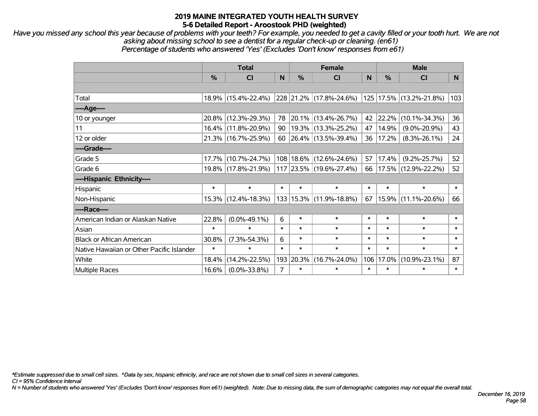*Have you missed any school this year because of problems with your teeth? For example, you needed to get a cavity filled or your tooth hurt. We are not asking about missing school to see a dentist for a regular check-up or cleaning. (en61) Percentage of students who answered 'Yes' (Excludes 'Don't know' responses from e61)*

|                                           | <b>Total</b>  |                     |        | <b>Female</b> | <b>Male</b>                 |        |               |                     |        |
|-------------------------------------------|---------------|---------------------|--------|---------------|-----------------------------|--------|---------------|---------------------|--------|
|                                           | $\frac{9}{6}$ | CI                  | N      | $\frac{0}{0}$ | <b>CI</b>                   | N      | $\frac{0}{0}$ | <b>CI</b>           | N      |
|                                           |               |                     |        |               |                             |        |               |                     |        |
| Total                                     |               | 18.9% (15.4%-22.4%) |        |               | 228 21.2% (17.8%-24.6%)     | 125    |               | 17.5% (13.2%-21.8%) | 103    |
| $---Age---$                               |               |                     |        |               |                             |        |               |                     |        |
| 10 or younger                             |               | 20.8% (12.3%-29.3%) | 78     |               | 20.1% (13.4%-26.7%)         | 42     | 22.2%         | $(10.1\% - 34.3\%)$ | 36     |
| 11                                        |               | 16.4% (11.8%-20.9%) | 90     |               | $19.3\%$ (13.3%-25.2%)      | 47     | 14.9%         | $(9.0\% - 20.9\%)$  | 43     |
| 12 or older                               |               | 21.3% (16.7%-25.9%) |        |               | 60   26.4%   (13.5%-39.4%)  | 36     | 17.2%         | $(8.3\% - 26.1\%)$  | 24     |
| ----Grade----                             |               |                     |        |               |                             |        |               |                     |        |
| Grade 5                                   |               | 17.7% (10.7%-24.7%) |        |               | 108 18.6% (12.6%-24.6%)     | 57     | 17.4%         | $(9.2\% - 25.7\%)$  | 52     |
| Grade 6                                   |               | 19.8% (17.8%-21.9%) |        |               | 117 23.5% (19.6%-27.4%)     | 66     |               | 17.5% (12.9%-22.2%) | 52     |
| ----Hispanic Ethnicity----                |               |                     |        |               |                             |        |               |                     |        |
| Hispanic                                  | $\ast$        | $\ast$              | $\ast$ | $\ast$        | $\ast$                      | $\ast$ | $\ast$        | $\ast$              | $\ast$ |
| Non-Hispanic                              |               | 15.3% (12.4%-18.3%) |        |               | 133   15.3%   (11.9%-18.8%) | 67     | 15.9%         | $(11.1\% - 20.6\%)$ | 66     |
| ----Race----                              |               |                     |        |               |                             |        |               |                     |        |
| American Indian or Alaskan Native         | 22.8%         | $(0.0\% - 49.1\%)$  | 6      | $\ast$        | $\ast$                      | $\ast$ | $\ast$        | $\ast$              | $\ast$ |
| Asian                                     | $\ast$        | $\ast$              | $\ast$ | $\ast$        | $\ast$                      | $\ast$ | $\ast$        | $\ast$              | $\ast$ |
| <b>Black or African American</b>          | 30.8%         | $(7.3\% - 54.3\%)$  | 6      | $\ast$        | $\ast$                      | $\ast$ | $\ast$        | $\ast$              | $\ast$ |
| Native Hawaiian or Other Pacific Islander | $\ast$        | $\ast$              | $\ast$ | $\ast$        | $\ast$                      | $\ast$ | $\ast$        | $\ast$              | $\ast$ |
| White                                     | 18.4%         | $(14.2\% - 22.5\%)$ | 193    | 20.3%         | $(16.7\% - 24.0\%)$         | 106    | 17.0%         | $(10.9\% - 23.1\%)$ | 87     |
| <b>Multiple Races</b>                     | 16.6%         | $(0.0\% - 33.8\%)$  | 7      | $\ast$        | $\ast$                      | $\ast$ | $\ast$        | *                   | $\ast$ |

*\*Estimate suppressed due to small cell sizes. ^Data by sex, hispanic ethnicity, and race are not shown due to small cell sizes in several categories.*

*CI = 95% Confidence Interval*

*N = Number of students who answered 'Yes' (Excludes 'Don't know' responses from e61) (weighted). Note: Due to missing data, the sum of demographic categories may not equal the overall total.*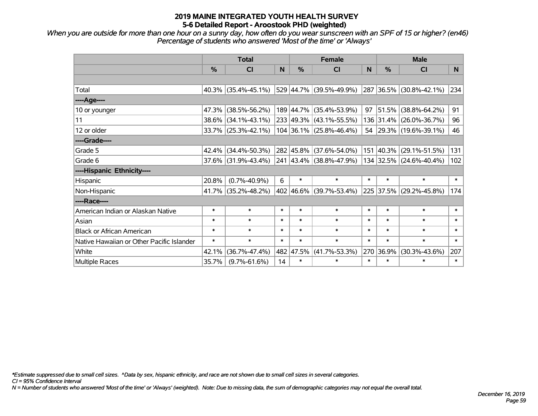*When you are outside for more than one hour on a sunny day, how often do you wear sunscreen with an SPF of 15 or higher? (en46) Percentage of students who answered 'Most of the time' or 'Always'*

|                                           | <b>Total</b> |                        |        |        | <b>Female</b>             |        | <b>Male</b>   |                         |                |  |
|-------------------------------------------|--------------|------------------------|--------|--------|---------------------------|--------|---------------|-------------------------|----------------|--|
|                                           | %            | <b>CI</b>              | N      | %      | <b>CI</b>                 | N      | $\frac{0}{0}$ | <b>CI</b>               | N <sub>1</sub> |  |
|                                           |              |                        |        |        |                           |        |               |                         |                |  |
| Total                                     |              | $40.3\%$ (35.4%-45.1%) |        |        | 529 44.7% (39.5%-49.9%)   |        |               | 287 36.5% (30.8%-42.1%) | 234            |  |
| ----Age----                               |              |                        |        |        |                           |        |               |                         |                |  |
| 10 or younger                             | 47.3%        | $(38.5\% - 56.2\%)$    |        |        | 189 44.7% (35.4%-53.9%)   | 97     | 51.5%         | $(38.8\% - 64.2\%)$     | 91             |  |
| 11                                        | 38.6%        | $(34.1\% - 43.1\%)$    |        |        | 233 49.3% (43.1%-55.5%)   |        |               | 136 31.4% (26.0%-36.7%) | 96             |  |
| 12 or older                               |              | $33.7\%$ (25.3%-42.1%) |        |        | $104$ 36.1% (25.8%-46.4%) |        |               | 54 29.3% (19.6%-39.1%)  | 46             |  |
| ----Grade----                             |              |                        |        |        |                           |        |               |                         |                |  |
| Grade 5                                   | 42.4%        | $(34.4\% - 50.3\%)$    |        |        | 282 45.8% (37.6%-54.0%)   |        | 151 40.3%     | $(29.1\% - 51.5\%)$     | 131            |  |
| Grade 6                                   |              | $37.6\%$ (31.9%-43.4%) |        |        | 241 43.4% (38.8%-47.9%)   |        |               | 134 32.5% (24.6%-40.4%) | 102            |  |
| ----Hispanic Ethnicity----                |              |                        |        |        |                           |        |               |                         |                |  |
| Hispanic                                  | 20.8%        | $(0.7\% - 40.9\%)$     | 6      | $\ast$ | $\ast$                    | $\ast$ | $\ast$        | $\ast$                  | $\ast$         |  |
| Non-Hispanic                              | 41.7%        | $(35.2\% - 48.2\%)$    |        |        | 402 46.6% (39.7%-53.4%)   |        |               | 225 37.5% (29.2%-45.8%) | 174            |  |
| ----Race----                              |              |                        |        |        |                           |        |               |                         |                |  |
| American Indian or Alaskan Native         | $\ast$       | $\ast$                 | $\ast$ | $\ast$ | $\ast$                    | $\ast$ | $\ast$        | $\ast$                  | $\ast$         |  |
| Asian                                     | $\ast$       | $\ast$                 | $\ast$ | $\ast$ | $\ast$                    | $\ast$ | $\ast$        | $\ast$                  | $\ast$         |  |
| <b>Black or African American</b>          | $\ast$       | $\ast$                 | $\ast$ | $\ast$ | $\ast$                    | $\ast$ | $\ast$        | $\ast$                  | $\ast$         |  |
| Native Hawaiian or Other Pacific Islander | $\ast$       | $\ast$                 | $\ast$ | $\ast$ | $\ast$                    | $\ast$ | $\ast$        | $\ast$                  | $\ast$         |  |
| White                                     | 42.1%        | $(36.7\% - 47.4\%)$    | 482    | 47.5%  | $(41.7\% - 53.3\%)$       | 270    | 36.9%         | $(30.3\% - 43.6\%)$     | 207            |  |
| Multiple Races                            | 35.7%        | $(9.7\% - 61.6\%)$     | 14     | $\ast$ | $\ast$                    | $\ast$ | $\ast$        | *                       | $\ast$         |  |

*\*Estimate suppressed due to small cell sizes. ^Data by sex, hispanic ethnicity, and race are not shown due to small cell sizes in several categories.*

*CI = 95% Confidence Interval*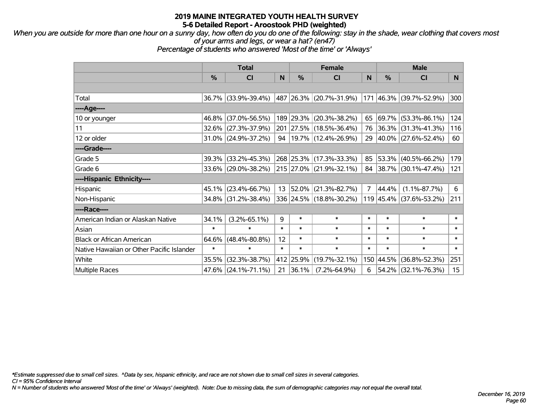*When you are outside for more than one hour on a sunny day, how often do you do one of the following: stay in the shade, wear clothing that covers most of your arms and legs, or wear a hat? (en47)*

*Percentage of students who answered 'Most of the time' or 'Always'*

|                                           | <b>Total</b> |                        |        | <b>Female</b> |                             | <b>Male</b>    |           |                         |                  |
|-------------------------------------------|--------------|------------------------|--------|---------------|-----------------------------|----------------|-----------|-------------------------|------------------|
|                                           | $\%$         | <b>CI</b>              | N      | $\%$          | <b>CI</b>                   | N              | $\%$      | <b>CI</b>               | N <sub>1</sub>   |
|                                           |              |                        |        |               |                             |                |           |                         |                  |
| Total                                     |              | 36.7% (33.9%-39.4%)    |        |               | 487   26.3%   (20.7%-31.9%) |                |           | 171 46.3% (39.7%-52.9%) | 300              |
| ----Age----                               |              |                        |        |               |                             |                |           |                         |                  |
| 10 or younger                             |              | 46.8% (37.0%-56.5%)    |        | 189 29.3%     | $(20.3\% - 38.2\%)$         | 65             | 69.7%     | $(53.3\% - 86.1\%)$     | 124              |
| 11                                        |              | 32.6% (27.3%-37.9%)    |        |               | 201 27.5% (18.5%-36.4%)     |                | 76 36.3%  | $(31.3\% - 41.3\%)$     | 116              |
| 12 or older                               |              | $31.0\%$ (24.9%-37.2%) |        |               | 94   19.7%   (12.4%-26.9%)  |                |           | 29 40.0% (27.6%-52.4%)  | 60               |
| ----Grade----                             |              |                        |        |               |                             |                |           |                         |                  |
| Grade 5                                   |              | 39.3% (33.2%-45.3%)    |        |               | 268 25.3% (17.3%-33.3%)     | 85             | 53.3%     | $(40.5\% - 66.2\%)$     | 179              |
| Grade 6                                   |              | 33.6% (29.0%-38.2%)    |        |               | 215 27.0% (21.9%-32.1%)     |                |           | 84 38.7% (30.1%-47.4%)  | 121              |
| ----Hispanic Ethnicity----                |              |                        |        |               |                             |                |           |                         |                  |
| Hispanic                                  |              | 45.1% (23.4%-66.7%)    | 13     | 52.0%         | $(21.3\% - 82.7\%)$         | $\overline{7}$ | 44.4%     | $(1.1\% - 87.7\%)$      | 6                |
| Non-Hispanic                              |              | 34.8% (31.2%-38.4%)    |        |               | 336 24.5% (18.8%-30.2%)     |                |           | 119 45.4% (37.6%-53.2%) | 211              |
| ----Race----                              |              |                        |        |               |                             |                |           |                         |                  |
| American Indian or Alaskan Native         | 34.1%        | $(3.2\% - 65.1\%)$     | 9      | $\ast$        | $\ast$                      | $\ast$         | $\ast$    | $\ast$                  | $\ast$           |
| Asian                                     | $\ast$       | $\ast$                 | $\ast$ | $\ast$        | $\ast$                      | $\ast$         | $\ast$    | $\ast$                  | $\ast$           |
| <b>Black or African American</b>          | $64.6\%$     | $(48.4\% - 80.8\%)$    | 12     | $\ast$        | $\ast$                      | $\ast$         | $\ast$    | $\ast$                  | $\ast$           |
| Native Hawaiian or Other Pacific Islander | $\ast$       | $\ast$                 | $\ast$ | $\ast$        | $\ast$                      | $\ast$         | $\ast$    | $\ast$                  | $\ast$           |
| White                                     | 35.5%        | $(32.3\% - 38.7\%)$    |        | 412 25.9%     | $(19.7\% - 32.1\%)$         |                | 150 44.5% | $(36.8\% - 52.3\%)$     | 251              |
| <b>Multiple Races</b>                     |              | 47.6% (24.1%-71.1%)    | 21     | 36.1%         | $(7.2\% - 64.9\%)$          | 6              | 54.2%     | $(32.1\% - 76.3\%)$     | 15 <sub>15</sub> |

*\*Estimate suppressed due to small cell sizes. ^Data by sex, hispanic ethnicity, and race are not shown due to small cell sizes in several categories.*

*CI = 95% Confidence Interval*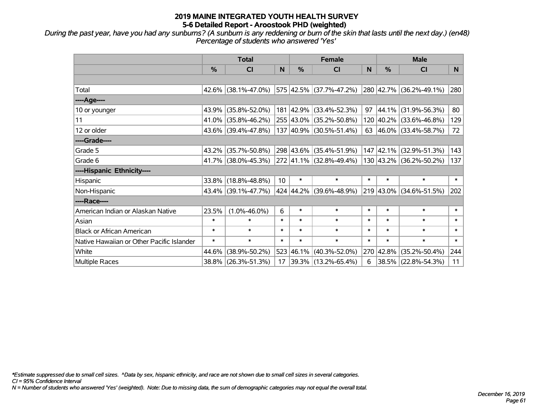*During the past year, have you had any sunburns? (A sunburn is any reddening or burn of the skin that lasts until the next day.) (en48) Percentage of students who answered 'Yes'*

|                                           | <b>Total</b> |                        |                 |           | <b>Female</b>               | <b>Male</b> |               |                         |                |
|-------------------------------------------|--------------|------------------------|-----------------|-----------|-----------------------------|-------------|---------------|-------------------------|----------------|
|                                           | %            | <b>CI</b>              | N               | %         | <b>CI</b>                   | N           | $\frac{0}{0}$ | <b>CI</b>               | N <sub>1</sub> |
|                                           |              |                        |                 |           |                             |             |               |                         |                |
| Total                                     |              | $42.6\%$ (38.1%-47.0%) |                 |           | 575 42.5% (37.7%-47.2%)     |             |               | 280 42.7% (36.2%-49.1%) | 280            |
| ----Age----                               |              |                        |                 |           |                             |             |               |                         |                |
| 10 or younger                             | 43.9%        | $(35.8\% - 52.0\%)$    |                 | 181 42.9% | $(33.4\% - 52.3\%)$         | 97          | 44.1%         | $(31.9\% - 56.3\%)$     | 80             |
| 11                                        | 41.0%        | $(35.8\% - 46.2\%)$    |                 |           | 255 43.0% (35.2%-50.8%)     |             |               | 120 40.2% (33.6%-46.8%) | 129            |
| 12 or older                               |              | 43.6% (39.4%-47.8%)    |                 |           | $137 40.9\% $ (30.5%-51.4%) |             |               | 63 46.0% (33.4%-58.7%)  | 72             |
| ----Grade----                             |              |                        |                 |           |                             |             |               |                         |                |
| Grade 5                                   | 43.2%        | $(35.7\% - 50.8\%)$    |                 |           | 298 43.6% (35.4%-51.9%)     |             | 147 42.1%     | $(32.9\% - 51.3\%)$     | 143            |
| Grade 6                                   |              | 41.7% (38.0%-45.3%)    |                 |           | 272 41.1% (32.8%-49.4%)     |             |               | 130 43.2% (36.2%-50.2%) | 137            |
| ----Hispanic Ethnicity----                |              |                        |                 |           |                             |             |               |                         |                |
| Hispanic                                  | 33.8%        | $(18.8\% - 48.8\%)$    | 10 <sup>1</sup> | $\ast$    | $\ast$                      | $\ast$      | $\ast$        | $\ast$                  | $\ast$         |
| Non-Hispanic                              |              | 43.4% (39.1%-47.7%)    |                 |           | 424 44.2% (39.6%-48.9%)     |             |               | 219 43.0% (34.6%-51.5%) | 202            |
| ----Race----                              |              |                        |                 |           |                             |             |               |                         |                |
| American Indian or Alaskan Native         | 23.5%        | $(1.0\% - 46.0\%)$     | 6               | $\ast$    | $\ast$                      | $\ast$      | $\ast$        | $\ast$                  | $\ast$         |
| Asian                                     | $\ast$       | $\ast$                 | $\ast$          | $\ast$    | $\ast$                      | $\ast$      | $\ast$        | $\ast$                  | $\ast$         |
| <b>Black or African American</b>          | $\ast$       | $\ast$                 | $\ast$          | $\ast$    | $\ast$                      | $\ast$      | $\ast$        | $\ast$                  | $\ast$         |
| Native Hawaiian or Other Pacific Islander | $\ast$       | $\ast$                 | $\ast$          | $\ast$    | $\ast$                      | $\ast$      | $\ast$        | $\ast$                  | $\ast$         |
| White                                     | 44.6%        | $(38.9\% - 50.2\%)$    | 523             | 46.1%     | $(40.3\% - 52.0\%)$         |             | 270 42.8%     | $(35.2\% - 50.4\%)$     | 244            |
| Multiple Races                            | 38.8%        | $(26.3\% - 51.3\%)$    | 17              |           | $ 39.3\% $ (13.2%-65.4%)    | 6           | 38.5%         | $(22.8\% - 54.3\%)$     | 11             |

*\*Estimate suppressed due to small cell sizes. ^Data by sex, hispanic ethnicity, and race are not shown due to small cell sizes in several categories.*

*CI = 95% Confidence Interval*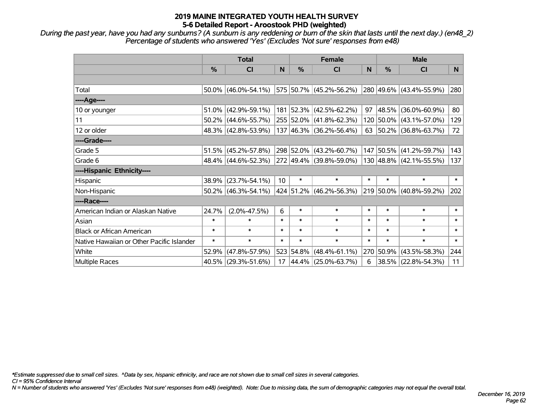*During the past year, have you had any sunburns? (A sunburn is any reddening or burn of the skin that lasts until the next day.) (en48\_2) Percentage of students who answered 'Yes' (Excludes 'Not sure' responses from e48)*

|                                           | <b>Total</b>  |                        |        | <b>Female</b> |                                    |        | <b>Male</b> |                            |        |
|-------------------------------------------|---------------|------------------------|--------|---------------|------------------------------------|--------|-------------|----------------------------|--------|
|                                           | $\frac{0}{0}$ | CI                     | N      | %             | <b>CI</b>                          | N      | %           | <b>CI</b>                  | N.     |
|                                           |               |                        |        |               |                                    |        |             |                            |        |
| Total                                     |               | $50.0\%$ (46.0%-54.1%) |        |               | 575 50.7% (45.2%-56.2%)            |        |             | 280 49.6% (43.4%-55.9%)    | 280    |
| ----Age----                               |               |                        |        |               |                                    |        |             |                            |        |
| 10 or younger                             | $51.0\%$      | $(42.9\% - 59.1\%)$    |        |               | 181 52.3% (42.5%-62.2%)            | 97     | 48.5%       | $(36.0\% - 60.9\%)$        | 80     |
| 11                                        |               | $50.2\%$ (44.6%-55.7%) |        |               | 255 52.0% (41.8%-62.3%)            |        |             | 120 50.0% (43.1%-57.0%)    | 129    |
| 12 or older                               |               | 48.3% (42.8%-53.9%)    |        |               | 137 46.3% (36.2%-56.4%)            |        |             | 63   50.2%   (36.8%-63.7%) | 72     |
| ----Grade----                             |               |                        |        |               |                                    |        |             |                            |        |
| Grade 5                                   |               | $51.5\%$ (45.2%-57.8%) |        |               | 298 52.0% (43.2%-60.7%)            |        | 147 50.5%   | $(41.2\% - 59.7\%)$        | 143    |
| Grade 6                                   |               | 48.4% (44.6%-52.3%)    |        |               | 272 49.4% (39.8%-59.0%)            |        |             | 130 48.8% (42.1%-55.5%)    | 137    |
| ----Hispanic Ethnicity----                |               |                        |        |               |                                    |        |             |                            |        |
| Hispanic                                  | 38.9%         | $(23.7\% - 54.1\%)$    | 10     | $\ast$        | $\ast$                             | $\ast$ | $\ast$      | $\ast$                     | $\ast$ |
| Non-Hispanic                              |               | $50.2\%$ (46.3%-54.1%) |        |               | 424 51.2% (46.2%-56.3%)            |        |             | 219 50.0% (40.8%-59.2%)    | 202    |
| ----Race----                              |               |                        |        |               |                                    |        |             |                            |        |
| American Indian or Alaskan Native         | 24.7%         | $(2.0\% - 47.5\%)$     | 6      | $\ast$        | $\ast$                             | $\ast$ | $\ast$      | $\ast$                     | $\ast$ |
| Asian                                     | $\ast$        | $\ast$                 | $\ast$ | $\ast$        | $\ast$                             | $\ast$ | $\ast$      | $\ast$                     | $\ast$ |
| <b>Black or African American</b>          | $\ast$        | $\ast$                 | $\ast$ | $\ast$        | $\ast$                             | $\ast$ | $\ast$      | $\ast$                     | $\ast$ |
| Native Hawaiian or Other Pacific Islander | $\ast$        | $\ast$                 | $\ast$ | $\ast$        | $\ast$                             | $\ast$ | $\ast$      | $\ast$                     | $\ast$ |
| White                                     | 52.9%         | $(47.8\% - 57.9\%)$    |        |               | $523   54.8\%   (48.4\% - 61.1\%)$ | 270    | 50.9%       | $(43.5\% - 58.3\%)$        | 244    |
| Multiple Races                            |               | $40.5\%$ (29.3%-51.6%) | 17     |               | 44.4% (25.0%-63.7%)                | 6      |             | 38.5% (22.8%-54.3%)        | 11     |

*\*Estimate suppressed due to small cell sizes. ^Data by sex, hispanic ethnicity, and race are not shown due to small cell sizes in several categories.*

*CI = 95% Confidence Interval*

*N = Number of students who answered 'Yes' (Excludes 'Not sure' responses from e48) (weighted). Note: Due to missing data, the sum of demographic categories may not equal the overall total.*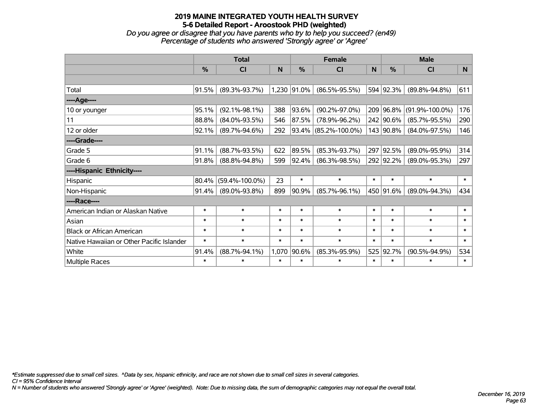*Do you agree or disagree that you have parents who try to help you succeed? (en49) Percentage of students who answered 'Strongly agree' or 'Agree'*

|                                           | <b>Total</b> |                      |        | <b>Female</b> |                      |        | <b>Male</b> |                      |        |
|-------------------------------------------|--------------|----------------------|--------|---------------|----------------------|--------|-------------|----------------------|--------|
|                                           | %            | <b>CI</b>            | N      | $\frac{0}{0}$ | <b>CI</b>            | N      | %           | <b>CI</b>            | N.     |
|                                           |              |                      |        |               |                      |        |             |                      |        |
| Total                                     | 91.5%        | $(89.3\% - 93.7\%)$  |        | 1,230 91.0%   | $(86.5\% - 95.5\%)$  |        | 594 92.3%   | $(89.8\% - 94.8\%)$  | 611    |
| ----Age----                               |              |                      |        |               |                      |        |             |                      |        |
| 10 or younger                             | 95.1%        | $(92.1\% - 98.1\%)$  | 388    | 93.6%         | $(90.2\% - 97.0\%)$  | 209    | 96.8%       | $(91.9\% - 100.0\%)$ | 176    |
| 11                                        | 88.8%        | $(84.0\% - 93.5\%)$  | 546    | 87.5%         | $(78.9\% - 96.2\%)$  |        | 242 90.6%   | $(85.7\% - 95.5\%)$  | 290    |
| 12 or older                               | 92.1%        | $(89.7\% - 94.6\%)$  | 292    |               | 93.4% (85.2%-100.0%) |        | 143 90.8%   | $(84.0\% - 97.5\%)$  | 146    |
| ----Grade----                             |              |                      |        |               |                      |        |             |                      |        |
| Grade 5                                   | 91.1%        | $(88.7\% - 93.5\%)$  | 622    | 89.5%         | $(85.3\% - 93.7\%)$  |        | 297 92.5%   | $(89.0\% - 95.9\%)$  | 314    |
| Grade 6                                   | 91.8%        | $(88.8\% - 94.8\%)$  | 599    | $ 92.4\% $    | $(86.3\% - 98.5\%)$  |        | 292 92.2%   | $(89.0\% - 95.3\%)$  | 297    |
| ----Hispanic Ethnicity----                |              |                      |        |               |                      |        |             |                      |        |
| Hispanic                                  | 80.4%        | $(59.4\% - 100.0\%)$ | 23     | $\ast$        | $\ast$               | $\ast$ | $\ast$      | $\ast$               | $\ast$ |
| Non-Hispanic                              | 91.4%        | $(89.0\% - 93.8\%)$  | 899    | 90.9%         | $(85.7\% - 96.1\%)$  |        | 450 91.6%   | $(89.0\% - 94.3\%)$  | 434    |
| ----Race----                              |              |                      |        |               |                      |        |             |                      |        |
| American Indian or Alaskan Native         | $\ast$       | $\ast$               | $\ast$ | $\ast$        | $\ast$               | $\ast$ | $\ast$      | $\ast$               | $\ast$ |
| Asian                                     | $\ast$       | $\ast$               | $\ast$ | $\ast$        | $\ast$               | $\ast$ | $\ast$      | $\ast$               | $\ast$ |
| <b>Black or African American</b>          | $\ast$       | $\ast$               | $\ast$ | $\ast$        | $\ast$               | $\ast$ | $\ast$      | $\ast$               | $\ast$ |
| Native Hawaiian or Other Pacific Islander | $\ast$       | $\ast$               | $\ast$ | $\ast$        | $\ast$               | $\ast$ | $\ast$      | $\ast$               | $\ast$ |
| White                                     | 91.4%        | $(88.7\% - 94.1\%)$  | 1,070  | 90.6%         | $(85.3\% - 95.9\%)$  | 525    | 92.7%       | $(90.5\% - 94.9\%)$  | 534    |
| <b>Multiple Races</b>                     | $\ast$       | $\ast$               | $\ast$ | $\ast$        | $\ast$               | $\ast$ | $\ast$      | $\ast$               | $\ast$ |

*\*Estimate suppressed due to small cell sizes. ^Data by sex, hispanic ethnicity, and race are not shown due to small cell sizes in several categories.*

*CI = 95% Confidence Interval*